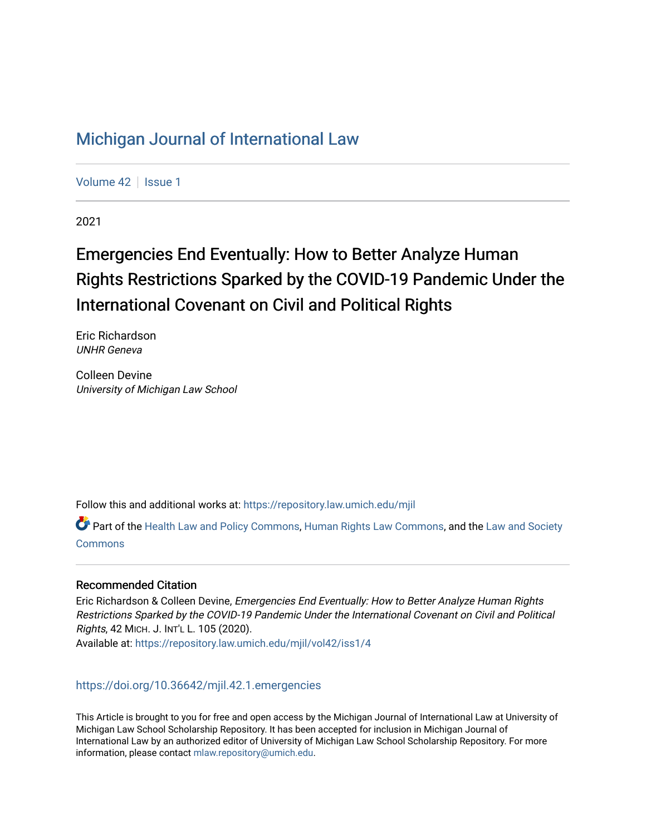# [Michigan Journal of International Law](https://repository.law.umich.edu/mjil)

[Volume 42](https://repository.law.umich.edu/mjil/vol42) | [Issue 1](https://repository.law.umich.edu/mjil/vol42/iss1)

2021

# Emergencies End Eventually: How to Better Analyze Human Rights Restrictions Sparked by the COVID-19 Pandemic Under the International Covenant on Civil and Political Rights

Eric Richardson UNHR Geneva

Colleen Devine University of Michigan Law School

Follow this and additional works at: [https://repository.law.umich.edu/mjil](https://repository.law.umich.edu/mjil?utm_source=repository.law.umich.edu%2Fmjil%2Fvol42%2Fiss1%2F4&utm_medium=PDF&utm_campaign=PDFCoverPages) 

Part of the [Health Law and Policy Commons](http://network.bepress.com/hgg/discipline/901?utm_source=repository.law.umich.edu%2Fmjil%2Fvol42%2Fiss1%2F4&utm_medium=PDF&utm_campaign=PDFCoverPages), [Human Rights Law Commons,](http://network.bepress.com/hgg/discipline/847?utm_source=repository.law.umich.edu%2Fmjil%2Fvol42%2Fiss1%2F4&utm_medium=PDF&utm_campaign=PDFCoverPages) and the [Law and Society](http://network.bepress.com/hgg/discipline/853?utm_source=repository.law.umich.edu%2Fmjil%2Fvol42%2Fiss1%2F4&utm_medium=PDF&utm_campaign=PDFCoverPages) **[Commons](http://network.bepress.com/hgg/discipline/853?utm_source=repository.law.umich.edu%2Fmjil%2Fvol42%2Fiss1%2F4&utm_medium=PDF&utm_campaign=PDFCoverPages)** 

# Recommended Citation

Eric Richardson & Colleen Devine, Emergencies End Eventually: How to Better Analyze Human Rights Restrictions Sparked by the COVID-19 Pandemic Under the International Covenant on Civil and Political Rights, 42 MICH. J. INT'L L. 105 (2020). Available at: [https://repository.law.umich.edu/mjil/vol42/iss1/4](https://repository.law.umich.edu/mjil/vol42/iss1/4?utm_source=repository.law.umich.edu%2Fmjil%2Fvol42%2Fiss1%2F4&utm_medium=PDF&utm_campaign=PDFCoverPages) 

<https://doi.org/10.36642/mjil.42.1.emergencies>

This Article is brought to you for free and open access by the Michigan Journal of International Law at University of Michigan Law School Scholarship Repository. It has been accepted for inclusion in Michigan Journal of International Law by an authorized editor of University of Michigan Law School Scholarship Repository. For more information, please contact [mlaw.repository@umich.edu](mailto:mlaw.repository@umich.edu).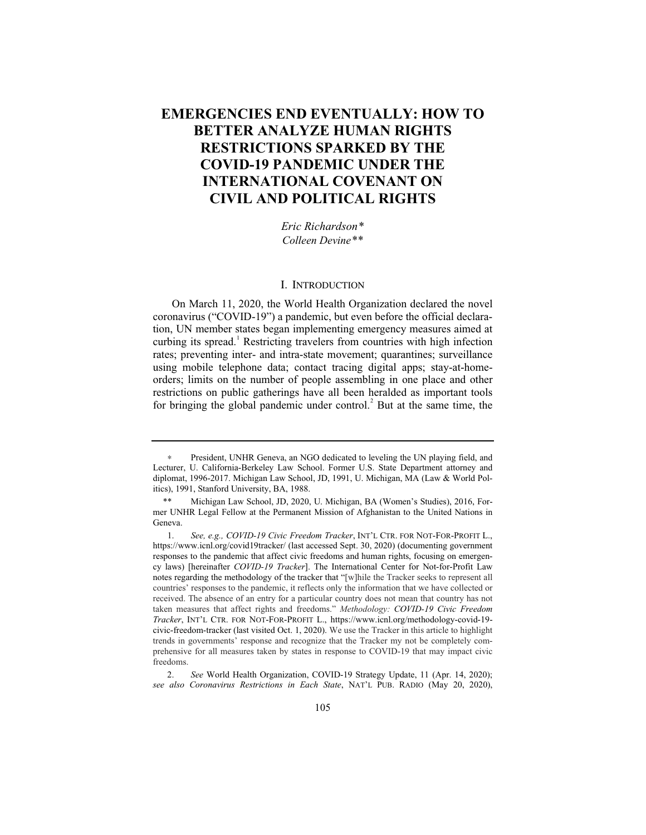# **EMERGENCIES END EVENTUALLY: HOW TO BETTER ANALYZE HUMAN RIGHTS RESTRICTIONS SPARKED BY THE COVID-19 PANDEMIC UNDER THE INTERNATIONAL COVENANT ON CIVIL AND POLITICAL RIGHTS**

*Eric Richardson\* Colleen Devine\*\**

#### I. INTRODUCTION

On March 11, 2020, the World Health Organization declared the novel coronavirus ("COVID-19") a pandemic, but even before the official declaration, UN member states began implementing emergency measures aimed at curbing its spread.<sup>1</sup> Restricting travelers from countries with high infection rates; preventing inter- and intra-state movement; quarantines; surveillance using mobile telephone data; contact tracing digital apps; stay-at-homeorders; limits on the number of people assembling in one place and other restrictions on public gatherings have all been heralded as important tools for bringing the global pandemic under control.<sup>2</sup> But at the same time, the

<sup>∗</sup> President, UNHR Geneva, an NGO dedicated to leveling the UN playing field, and Lecturer, U. California-Berkeley Law School. Former U.S. State Department attorney and diplomat, 1996-2017. Michigan Law School, JD, 1991, U. Michigan, MA (Law & World Politics), 1991, Stanford University, BA, 1988.

<sup>\*\*</sup> Michigan Law School, JD, 2020, U. Michigan, BA (Women's Studies), 2016, Former UNHR Legal Fellow at the Permanent Mission of Afghanistan to the United Nations in Geneva.

<sup>1.</sup> *See, e.g., COVID-19 Civic Freedom Tracker*, INT'L CTR. FOR NOT-FOR-PROFIT L., https://www.icnl.org/covid19tracker/ (last accessed Sept. 30, 2020) (documenting government responses to the pandemic that affect civic freedoms and human rights, focusing on emergency laws) [hereinafter *COVID-19 Tracker*]. The International Center for Not-for-Profit Law notes regarding the methodology of the tracker that "[w]hile the Tracker seeks to represent all countries' responses to the pandemic, it reflects only the information that we have collected or received. The absence of an entry for a particular country does not mean that country has not taken measures that affect rights and freedoms." *Methodology: COVID-19 Civic Freedom Tracker*, INT'L CTR. FOR NOT-FOR-PROFIT L., https://www.icnl.org/methodology-covid-19 civic-freedom-tracker (last visited Oct. 1, 2020). We use the Tracker in this article to highlight trends in governments' response and recognize that the Tracker my not be completely comprehensive for all measures taken by states in response to COVID-19 that may impact civic freedoms.

<sup>2.</sup> *See* World Health Organization, COVID-19 Strategy Update, 11 (Apr. 14, 2020); *see also Coronavirus Restrictions in Each State*, NAT'L PUB. RADIO (May 20, 2020),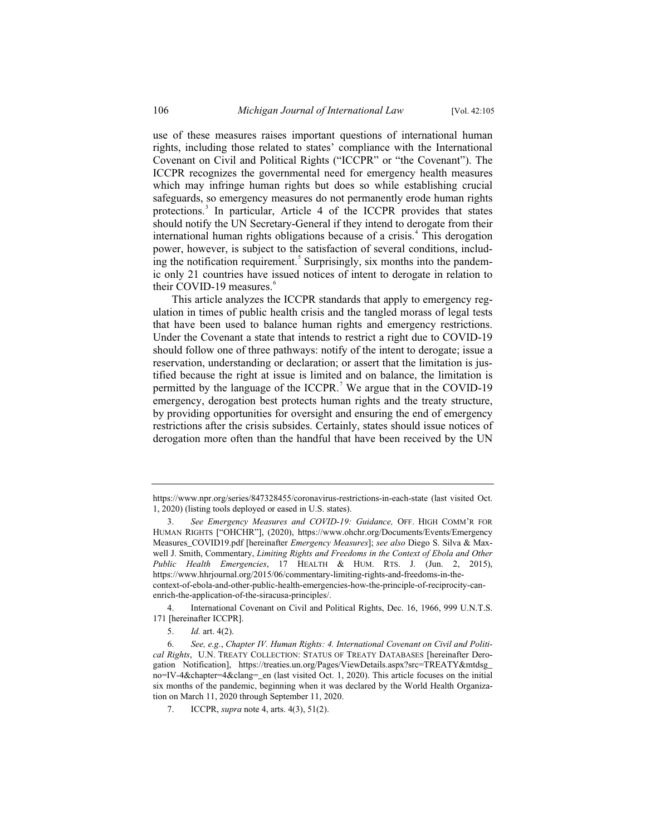use of these measures raises important questions of international human rights, including those related to states' compliance with the International Covenant on Civil and Political Rights ("ICCPR" or "the Covenant"). The ICCPR recognizes the governmental need for emergency health measures which may infringe human rights but does so while establishing crucial safeguards, so emergency measures do not permanently erode human rights protections.<sup>3</sup> In particular, Article 4 of the ICCPR provides that states should notify the UN Secretary-General if they intend to derogate from their international human rights obligations because of a crisis.<sup>4</sup> This derogation power, however, is subject to the satisfaction of several conditions, including the notification requirement.<sup>5</sup> Surprisingly, six months into the pandemic only 21 countries have issued notices of intent to derogate in relation to their COVID-19 measures.<sup>6</sup>

This article analyzes the ICCPR standards that apply to emergency regulation in times of public health crisis and the tangled morass of legal tests that have been used to balance human rights and emergency restrictions. Under the Covenant a state that intends to restrict a right due to COVID-19 should follow one of three pathways: notify of the intent to derogate; issue a reservation, understanding or declaration; or assert that the limitation is justified because the right at issue is limited and on balance, the limitation is permitted by the language of the ICCPR.<sup>7</sup> We argue that in the COVID-19 emergency, derogation best protects human rights and the treaty structure, by providing opportunities for oversight and ensuring the end of emergency restrictions after the crisis subsides. Certainly, states should issue notices of derogation more often than the handful that have been received by the UN

https://www.npr.org/series/847328455/coronavirus-restrictions-in-each-state (last visited Oct. 1, 2020) (listing tools deployed or eased in U.S. states).

<sup>3.</sup> *See Emergency Measures and COVID-19: Guidance,* OFF. HIGH COMM'R FOR HUMAN RIGHTS ["OHCHR"], (2020), https://www.ohchr.org/Documents/Events/Emergency Measures\_COVID19.pdf [hereinafter *Emergency Measures*]; *see also* Diego S. Silva & Maxwell J. Smith, Commentary, *Limiting Rights and Freedoms in the Context of Ebola and Other Public Health Emergencies*, 17 HEALTH & HUM. RTS. J. (Jun. 2, 2015), https://www.hhrjournal.org/2015/06/commentary-limiting-rights-and-freedoms-in-thecontext-of-ebola-and-other-public-health-emergencies-how-the-principle-of-reciprocity-canenrich-the-application-of-the-siracusa-principles/.

<sup>4.</sup> International Covenant on Civil and Political Rights, Dec. 16, 1966, 999 U.N.T.S. 171 [hereinafter ICCPR].

<sup>5.</sup> *Id.* art. 4(2).

<sup>6.</sup> *See, e.g.*, *Chapter IV. Human Rights: 4. International Covenant on Civil and Political Rights*, U.N. TREATY COLLECTION: STATUS OF TREATY DATABASES [hereinafter Derogation Notification], https://treaties.un.org/Pages/ViewDetails.aspx?src=TREATY&mtdsg\_ no=IV-4&chapter=4&clang=\_en (last visited Oct. 1, 2020). This article focuses on the initial six months of the pandemic, beginning when it was declared by the World Health Organization on March 11, 2020 through September 11, 2020.

<sup>7.</sup> ICCPR, *supra* note 4, arts. 4(3), 51(2).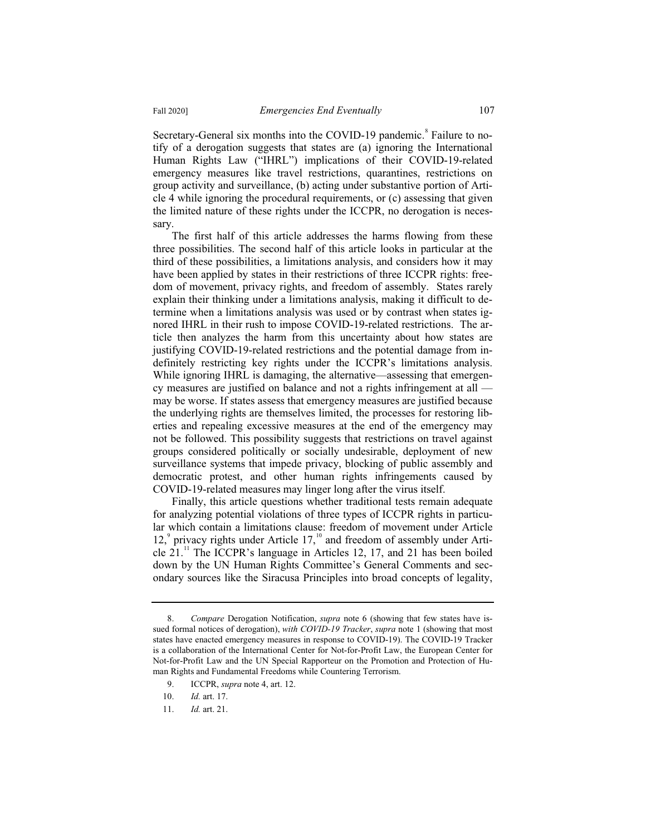Secretary-General six months into the COVID-19 pandemic.<sup>8</sup> Failure to notify of a derogation suggests that states are (a) ignoring the International Human Rights Law ("IHRL") implications of their COVID-19-related emergency measures like travel restrictions, quarantines, restrictions on group activity and surveillance, (b) acting under substantive portion of Article 4 while ignoring the procedural requirements, or (c) assessing that given the limited nature of these rights under the ICCPR, no derogation is necessary.

The first half of this article addresses the harms flowing from these three possibilities. The second half of this article looks in particular at the third of these possibilities, a limitations analysis, and considers how it may have been applied by states in their restrictions of three ICCPR rights: freedom of movement, privacy rights, and freedom of assembly. States rarely explain their thinking under a limitations analysis, making it difficult to determine when a limitations analysis was used or by contrast when states ignored IHRL in their rush to impose COVID-19-related restrictions. The article then analyzes the harm from this uncertainty about how states are justifying COVID-19-related restrictions and the potential damage from indefinitely restricting key rights under the ICCPR's limitations analysis. While ignoring IHRL is damaging, the alternative—assessing that emergency measures are justified on balance and not a rights infringement at all may be worse. If states assess that emergency measures are justified because the underlying rights are themselves limited, the processes for restoring liberties and repealing excessive measures at the end of the emergency may not be followed. This possibility suggests that restrictions on travel against groups considered politically or socially undesirable, deployment of new surveillance systems that impede privacy, blocking of public assembly and democratic protest, and other human rights infringements caused by COVID-19-related measures may linger long after the virus itself.

Finally, this article questions whether traditional tests remain adequate for analyzing potential violations of three types of ICCPR rights in particular which contain a limitations clause: freedom of movement under Article 12, $^{\circ}$  privacy rights under Article 17, $^{\text{10}}$  and freedom of assembly under Article  $21$ .<sup>11</sup> The ICCPR's language in Articles 12, 17, and 21 has been boiled down by the UN Human Rights Committee's General Comments and secondary sources like the Siracusa Principles into broad concepts of legality,

<sup>8.</sup> *Compare* Derogation Notification, *supra* note 6 (showing that few states have issued formal notices of derogation), *with COVID-19 Tracker*, *supra* note 1 (showing that most states have enacted emergency measures in response to COVID-19). The COVID-19 Tracker is a collaboration of the International Center for Not-for-Profit Law, the European Center for Not-for-Profit Law and the UN Special Rapporteur on the Promotion and Protection of Human Rights and Fundamental Freedoms while Countering Terrorism.

<sup>9.</sup> ICCPR, *supra* note 4, art. 12.

<sup>10.</sup> *Id.* art. 17.

<sup>11.</sup> *Id.* art. 21.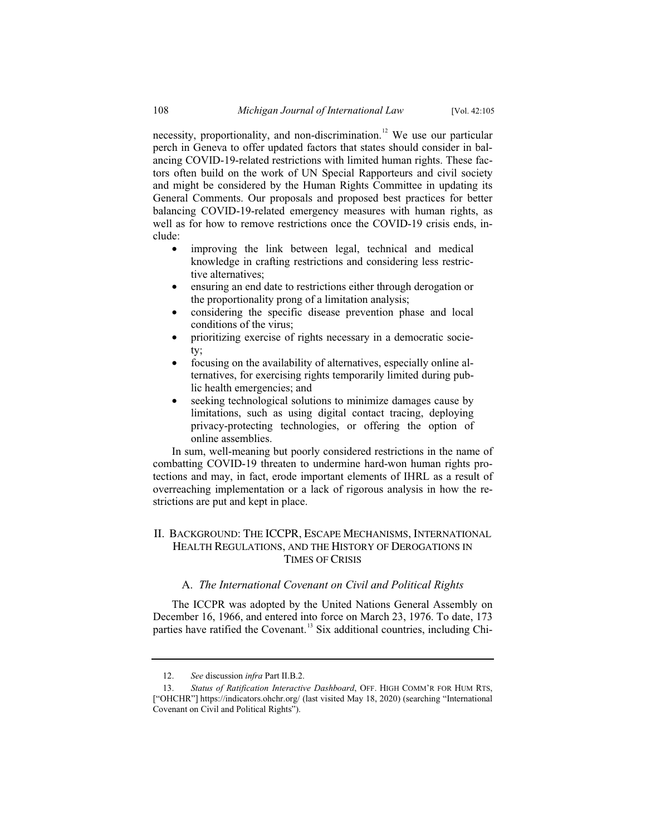necessity, proportionality, and non-discrimination.<sup>12</sup> We use our particular perch in Geneva to offer updated factors that states should consider in balancing COVID-19-related restrictions with limited human rights. These factors often build on the work of UN Special Rapporteurs and civil society and might be considered by the Human Rights Committee in updating its General Comments. Our proposals and proposed best practices for better balancing COVID-19-related emergency measures with human rights, as well as for how to remove restrictions once the COVID-19 crisis ends, include:

- improving the link between legal, technical and medical knowledge in crafting restrictions and considering less restrictive alternatives;
- ensuring an end date to restrictions either through derogation or the proportionality prong of a limitation analysis;
- considering the specific disease prevention phase and local conditions of the virus;
- prioritizing exercise of rights necessary in a democratic society;
- focusing on the availability of alternatives, especially online alternatives, for exercising rights temporarily limited during public health emergencies; and
- seeking technological solutions to minimize damages cause by limitations, such as using digital contact tracing, deploying privacy-protecting technologies, or offering the option of online assemblies.

In sum, well-meaning but poorly considered restrictions in the name of combatting COVID-19 threaten to undermine hard-won human rights protections and may, in fact, erode important elements of IHRL as a result of overreaching implementation or a lack of rigorous analysis in how the restrictions are put and kept in place.

## II. BACKGROUND: THE ICCPR, ESCAPE MECHANISMS, INTERNATIONAL HEALTH REGULATIONS, AND THE HISTORY OF DEROGATIONS IN TIMES OF CRISIS

#### A. *The International Covenant on Civil and Political Rights*

The ICCPR was adopted by the United Nations General Assembly on December 16, 1966, and entered into force on March 23, 1976. To date, 173 parties have ratified the Covenant.<sup>13</sup> Six additional countries, including Chi-

<sup>12.</sup> *See* discussion *infra* Part II.B.2.

<sup>13.</sup> *Status of Ratification Interactive Dashboard*, OFF. HIGH COMM'R FOR HUM RTS, ["OHCHR"] https://indicators.ohchr.org/ (last visited May 18, 2020) (searching "International Covenant on Civil and Political Rights").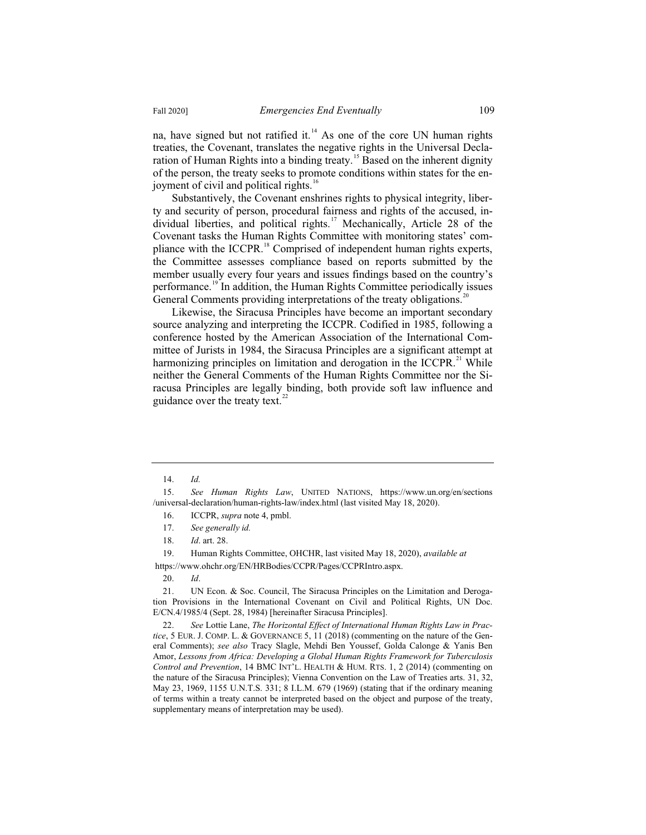na, have signed but not ratified it.<sup>14</sup> As one of the core UN human rights treaties, the Covenant, translates the negative rights in the Universal Declaration of Human Rights into a binding treaty.<sup>15</sup> Based on the inherent dignity of the person, the treaty seeks to promote conditions within states for the enjoyment of civil and political rights.<sup>16</sup>

Substantively, the Covenant enshrines rights to physical integrity, liberty and security of person, procedural fairness and rights of the accused, individual liberties, and political rights.<sup>17</sup> Mechanically, Article 28 of the Covenant tasks the Human Rights Committee with monitoring states' compliance with the ICCPR.<sup>18</sup> Comprised of independent human rights experts, the Committee assesses compliance based on reports submitted by the member usually every four years and issues findings based on the country's performance.<sup>19</sup> In addition, the Human Rights Committee periodically issues General Comments providing interpretations of the treaty obligations.<sup>20</sup>

Likewise, the Siracusa Principles have become an important secondary source analyzing and interpreting the ICCPR. Codified in 1985, following a conference hosted by the American Association of the International Committee of Jurists in 1984, the Siracusa Principles are a significant attempt at harmonizing principles on limitation and derogation in the ICCPR.<sup>21</sup> While neither the General Comments of the Human Rights Committee nor the Siracusa Principles are legally binding, both provide soft law influence and guidance over the treaty text. $^{22}$ 

16. ICCPR, *supra* note 4, pmbl.

<sup>14.</sup> *Id.*

<sup>15.</sup> *See Human Rights Law*, UNITED NATIONS, https://www.un.org/en/sections /universal-declaration/human-rights-law/index.html (last visited May 18, 2020).

<sup>17.</sup> *See generally id.*

<sup>18.</sup> *Id*. art. 28.

<sup>19.</sup> Human Rights Committee, OHCHR, last visited May 18, 2020), *available at*

https://www.ohchr.org/EN/HRBodies/CCPR/Pages/CCPRIntro.aspx.

<sup>20.</sup> *Id*.

<sup>21.</sup> UN Econ. & Soc. Council, The Siracusa Principles on the Limitation and Derogation Provisions in the International Covenant on Civil and Political Rights, UN Doc. E/CN.4/1985/4 (Sept. 28, 1984) [hereinafter Siracusa Principles].

<sup>22.</sup> *See* Lottie Lane, *The Horizontal Effect of International Human Rights Law in Practice*, 5 EUR. J. COMP. L. & GOVERNANCE 5, 11 (2018) (commenting on the nature of the General Comments); *see also* Tracy Slagle, Mehdi Ben Youssef, Golda Calonge & Yanis Ben Amor, *Lessons from Africa: Developing a Global Human Rights Framework for Tuberculosis Control and Prevention*, 14 BMC INT'L. HEALTH & HUM. RTS. 1, 2 (2014) (commenting on the nature of the Siracusa Principles); Vienna Convention on the Law of Treaties arts. 31, 32, May 23, 1969, 1155 U.N.T.S. 331; 8 I.L.M. 679 (1969) (stating that if the ordinary meaning of terms within a treaty cannot be interpreted based on the object and purpose of the treaty, supplementary means of interpretation may be used).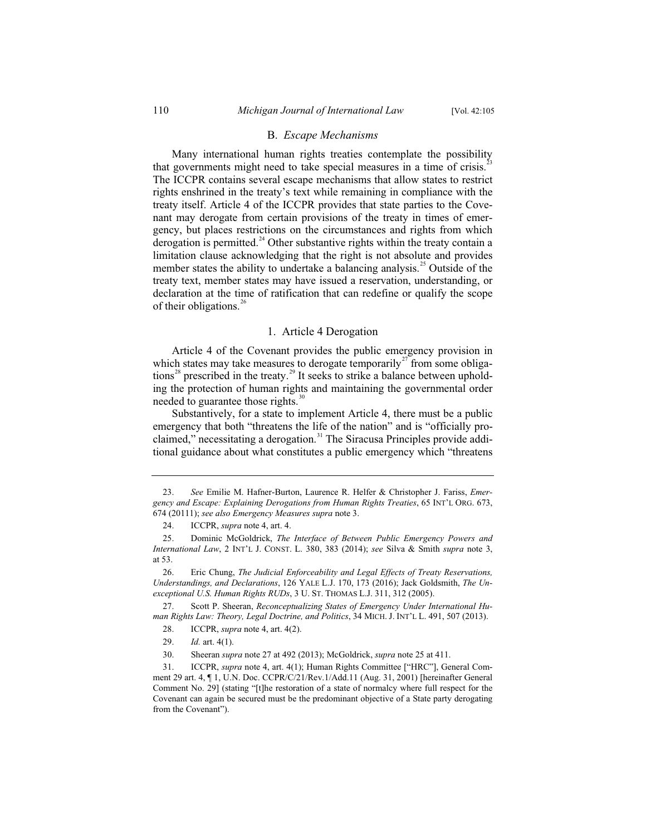#### B. *Escape Mechanisms*

Many international human rights treaties contemplate the possibility that governments might need to take special measures in a time of crisis.<sup>2</sup> The ICCPR contains several escape mechanisms that allow states to restrict rights enshrined in the treaty's text while remaining in compliance with the treaty itself. Article 4 of the ICCPR provides that state parties to the Covenant may derogate from certain provisions of the treaty in times of emergency, but places restrictions on the circumstances and rights from which derogation is permitted. $24$  Other substantive rights within the treaty contain a limitation clause acknowledging that the right is not absolute and provides member states the ability to undertake a balancing analysis.<sup>25</sup> Outside of the treaty text, member states may have issued a reservation, understanding, or declaration at the time of ratification that can redefine or qualify the scope of their obligations.<sup>26</sup>

#### 1. Article 4 Derogation

Article 4 of the Covenant provides the public emergency provision in which states may take measures to derogate temporarily<sup>27</sup> from some obligations<sup>28</sup> prescribed in the treaty.<sup>29</sup> It seeks to strike a balance between upholding the protection of human rights and maintaining the governmental order needed to guarantee those rights. $30$ 

Substantively, for a state to implement Article 4, there must be a public emergency that both "threatens the life of the nation" and is "officially proclaimed," necessitating a derogation.<sup>31</sup> The Siracusa Principles provide additional guidance about what constitutes a public emergency which "threatens

<sup>23.</sup> *See* Emilie M. Hafner-Burton, Laurence R. Helfer & Christopher J. Fariss, *Emergency and Escape: Explaining Derogations from Human Rights Treaties*, 65 INT'L ORG. 673, 674 (20111); *see also Emergency Measures supra* note 3.

<sup>24.</sup> ICCPR, *supra* note 4, art. 4.

<sup>25.</sup> Dominic McGoldrick, *The Interface of Between Public Emergency Powers and International Law*, 2 INT'L J. CONST. L. 380, 383 (2014); *see* Silva & Smith *supra* note 3, at 53.

<sup>26.</sup> Eric Chung, *The Judicial Enforceability and Legal Effects of Treaty Reservations, Understandings, and Declarations*, 126 YALE L.J. 170, 173 (2016); Jack Goldsmith, *The Unexceptional U.S. Human Rights RUDs*, 3 U. ST. THOMAS L.J. 311, 312 (2005).

<sup>27.</sup> Scott P. Sheeran, *Reconceptualizing States of Emergency Under International Human Rights Law: Theory, Legal Doctrine, and Politics*, 34 MICH. J. INT'L L. 491, 507 (2013).

<sup>28.</sup> ICCPR, *supra* note 4, art. 4(2).

<sup>29.</sup> *Id.* art. 4(1).

<sup>30.</sup> Sheeran *supra* note 27 at 492 (2013); McGoldrick, *supra* note 25 at 411.

<sup>31.</sup> ICCPR, *supra* note 4, art. 4(1); Human Rights Committee ["HRC"], General Comment 29 art. 4, ¶ 1, U.N. Doc. CCPR/C/21/Rev.1/Add.11 (Aug. 31, 2001) [hereinafter General Comment No. 29] (stating "[t]he restoration of a state of normalcy where full respect for the Covenant can again be secured must be the predominant objective of a State party derogating from the Covenant").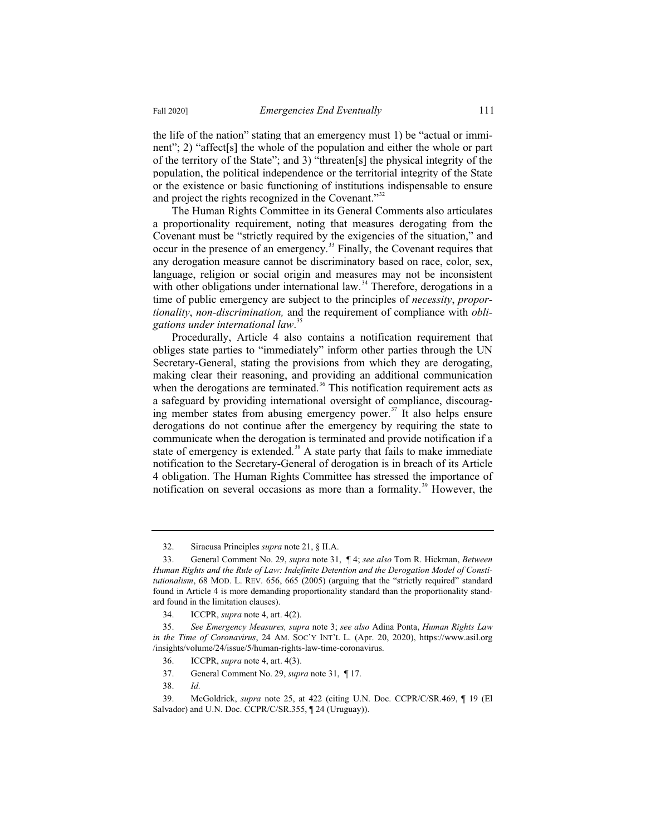the life of the nation" stating that an emergency must 1) be "actual or imminent"; 2) "affect[s] the whole of the population and either the whole or part of the territory of the State"; and 3) "threaten[s] the physical integrity of the population, the political independence or the territorial integrity of the State or the existence or basic functioning of institutions indispensable to ensure and project the rights recognized in the Covenant."<sup>32</sup>

The Human Rights Committee in its General Comments also articulates a proportionality requirement, noting that measures derogating from the Covenant must be "strictly required by the exigencies of the situation," and occur in the presence of an emergency.<sup>33</sup> Finally, the Covenant requires that any derogation measure cannot be discriminatory based on race, color, sex, language, religion or social origin and measures may not be inconsistent with other obligations under international law.<sup>34</sup> Therefore, derogations in a time of public emergency are subject to the principles of *necessity*, *proportionality*, *non-discrimination,* and the requirement of compliance with *obligations under international law*. 35

Procedurally, Article 4 also contains a notification requirement that obliges state parties to "immediately" inform other parties through the UN Secretary-General, stating the provisions from which they are derogating, making clear their reasoning, and providing an additional communication when the derogations are terminated.<sup>36</sup> This notification requirement acts as a safeguard by providing international oversight of compliance, discouraging member states from abusing emergency power.<sup>37</sup> It also helps ensure derogations do not continue after the emergency by requiring the state to communicate when the derogation is terminated and provide notification if a state of emergency is extended.<sup>38</sup> A state party that fails to make immediate notification to the Secretary-General of derogation is in breach of its Article 4 obligation. The Human Rights Committee has stressed the importance of notification on several occasions as more than a formality.<sup>39</sup> However, the

<sup>32.</sup> Siracusa Principles *supra* note 21, § II.A.

<sup>33.</sup> General Comment No. 29, *supra* note 31, ¶ 4; *see also* Tom R. Hickman, *Between Human Rights and the Rule of Law: Indefinite Detention and the Derogation Model of Constitutionalism*, 68 MOD. L. REV. 656, 665 (2005) (arguing that the "strictly required" standard found in Article 4 is more demanding proportionality standard than the proportionality standard found in the limitation clauses).

<sup>34.</sup> ICCPR, *supra* note 4, art. 4(2).

<sup>35.</sup> *See Emergency Measures, supra* note 3; *see also* Adina Ponta, *Human Rights Law in the Time of Coronavirus*, 24 AM. SOC'Y INT'L L. (Apr. 20, 2020), https://www.asil.org /insights/volume/24/issue/5/human-rights-law-time-coronavirus.

<sup>36.</sup> ICCPR, *supra* note 4, art. 4(3).

<sup>37.</sup> General Comment No. 29, *supra* note 31, ¶ 17.

<sup>38.</sup> *Id.*

<sup>39.</sup> McGoldrick, *supra* note 25, at 422 (citing U.N. Doc. CCPR/C/SR.469, ¶ 19 (El Salvador) and U.N. Doc. CCPR/C/SR.355, ¶ 24 (Uruguay)).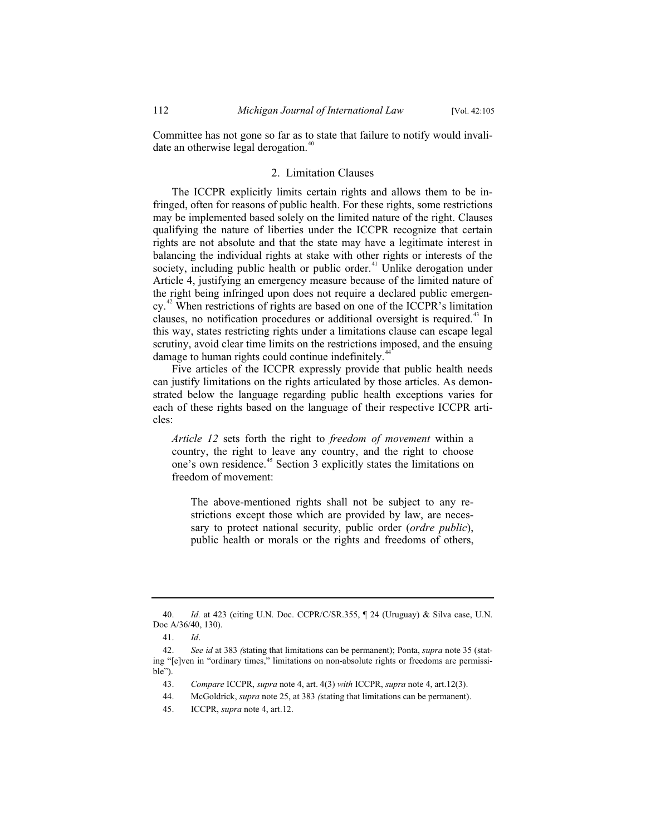Committee has not gone so far as to state that failure to notify would invalidate an otherwise legal derogation.<sup>40</sup>

#### 2. Limitation Clauses

The ICCPR explicitly limits certain rights and allows them to be infringed, often for reasons of public health. For these rights, some restrictions may be implemented based solely on the limited nature of the right. Clauses qualifying the nature of liberties under the ICCPR recognize that certain rights are not absolute and that the state may have a legitimate interest in balancing the individual rights at stake with other rights or interests of the society, including public health or public order.<sup>41</sup> Unlike derogation under Article 4, justifying an emergency measure because of the limited nature of the right being infringed upon does not require a declared public emergency.<sup>42</sup> When restrictions of rights are based on one of the ICCPR's limitation clauses, no notification procedures or additional oversight is required.<sup>43</sup> In this way, states restricting rights under a limitations clause can escape legal scrutiny, avoid clear time limits on the restrictions imposed, and the ensuing damage to human rights could continue indefinitely.<sup>4</sup>

Five articles of the ICCPR expressly provide that public health needs can justify limitations on the rights articulated by those articles. As demonstrated below the language regarding public health exceptions varies for each of these rights based on the language of their respective ICCPR articles:

*Article 12* sets forth the right to *freedom of movement* within a country, the right to leave any country, and the right to choose one's own residence.<sup>45</sup> Section 3 explicitly states the limitations on freedom of movement:

The above-mentioned rights shall not be subject to any restrictions except those which are provided by law, are necessary to protect national security, public order (*ordre public*), public health or morals or the rights and freedoms of others,

<sup>40.</sup> *Id.* at 423 (citing U.N. Doc. CCPR/C/SR.355, ¶ 24 (Uruguay) & Silva case, U.N. Doc A/36/40, 130).

<sup>41.</sup> *Id*.

<sup>42.</sup> *See id* at 383 *(*stating that limitations can be permanent); Ponta, *supra* note 35 (stating "[e]ven in "ordinary times," limitations on non-absolute rights or freedoms are permissible").

<sup>43.</sup> *Compare* ICCPR, *supra* note 4, art. 4(3) *with* ICCPR, *supra* note 4, art.12(3).

<sup>44.</sup> McGoldrick, *supra* note 25, at 383 *(*stating that limitations can be permanent).

<sup>45.</sup> ICCPR, *supra* note 4, art.12.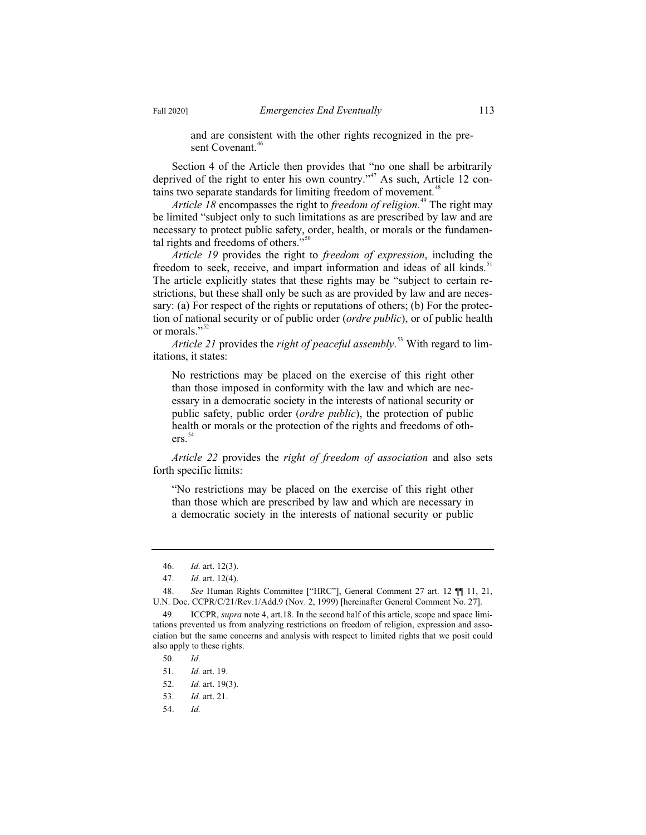and are consistent with the other rights recognized in the present Covenant.<sup>46</sup>

Section 4 of the Article then provides that "no one shall be arbitrarily deprived of the right to enter his own country."<sup>47</sup> As such, Article 12 contains two separate standards for limiting freedom of movement.<sup>48</sup>

*Article 18* encompasses the right to *freedom of religion*. <sup>49</sup> The right may be limited "subject only to such limitations as are prescribed by law and are necessary to protect public safety, order, health, or morals or the fundamental rights and freedoms of others." $50$ 

*Article 19* provides the right to *freedom of expression*, including the freedom to seek, receive, and impart information and ideas of all kinds.<sup>51</sup> The article explicitly states that these rights may be "subject to certain restrictions, but these shall only be such as are provided by law and are necessary: (a) For respect of the rights or reputations of others; (b) For the protection of national security or of public order (*ordre public*), or of public health or morals."<sup>52</sup>

*Article 21* provides the *right of peaceful assembly*. <sup>53</sup> With regard to limitations, it states:

No restrictions may be placed on the exercise of this right other than those imposed in conformity with the law and which are necessary in a democratic society in the interests of national security or public safety, public order (*ordre public*), the protection of public health or morals or the protection of the rights and freedoms of others.<sup>54</sup>

*Article 22* provides the *right of freedom of association* and also sets forth specific limits:

"No restrictions may be placed on the exercise of this right other than those which are prescribed by law and which are necessary in a democratic society in the interests of national security or public

- 53. *Id.* art. 21.
- 54. *Id.*

<sup>46.</sup> *Id.* art. 12(3).

<sup>47.</sup> *Id.* art. 12(4).

<sup>48.</sup> *See* Human Rights Committee ["HRC"], General Comment 27 art. 12 ¶¶ 11, 21, U.N. Doc. CCPR/C/21/Rev.1/Add.9 (Nov. 2, 1999) [hereinafter General Comment No. 27].

<sup>49.</sup> ICCPR, *supra* note 4, art.18. In the second half of this article, scope and space limitations prevented us from analyzing restrictions on freedom of religion, expression and association but the same concerns and analysis with respect to limited rights that we posit could also apply to these rights.

<sup>50.</sup> *Id.*

<sup>51</sup>*. Id.* art. 19.

<sup>52.</sup> *Id.* art. 19(3).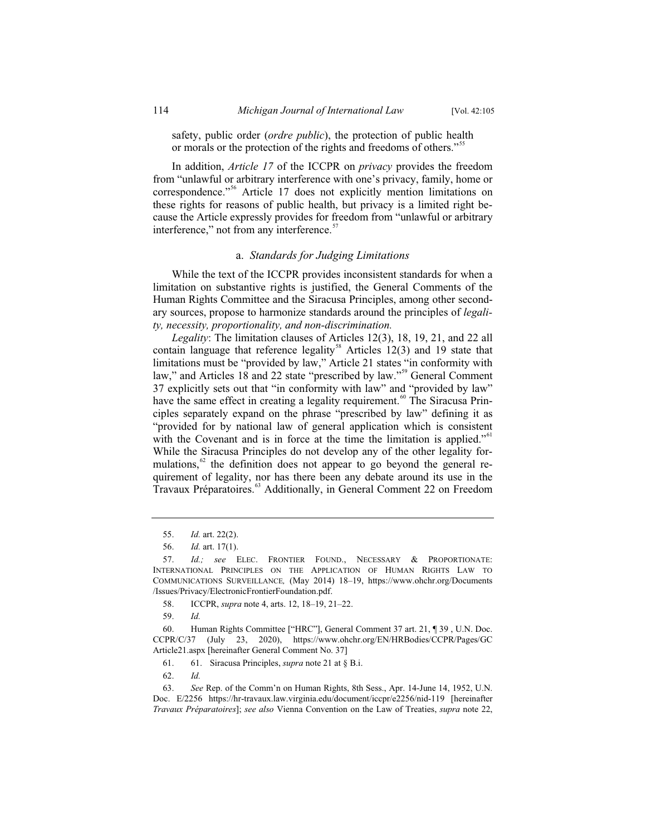safety, public order (*ordre public*), the protection of public health or morals or the protection of the rights and freedoms of others."<sup>55</sup>

In addition, *Article 17* of the ICCPR on *privacy* provides the freedom from "unlawful or arbitrary interference with one's privacy, family, home or correspondence."<sup>56</sup> Article 17 does not explicitly mention limitations on these rights for reasons of public health, but privacy is a limited right because the Article expressly provides for freedom from "unlawful or arbitrary interference," not from any interference.<sup>57</sup>

#### a. *Standards for Judging Limitations*

While the text of the ICCPR provides inconsistent standards for when a limitation on substantive rights is justified, the General Comments of the Human Rights Committee and the Siracusa Principles, among other secondary sources, propose to harmonize standards around the principles of *legality, necessity, proportionality, and non-discrimination.*

*Legality*: The limitation clauses of Articles 12(3), 18, 19, 21, and 22 all contain language that reference legality<sup>58</sup> Articles  $12(3)$  and 19 state that limitations must be "provided by law," Article 21 states "in conformity with law," and Articles 18 and 22 state "prescribed by law."<sup>59</sup> General Comment 37 explicitly sets out that "in conformity with law" and "provided by law" have the same effect in creating a legality requirement.<sup>60</sup> The Siracusa Principles separately expand on the phrase "prescribed by law" defining it as "provided for by national law of general application which is consistent with the Covenant and is in force at the time the limitation is applied."<sup>61</sup> While the Siracusa Principles do not develop any of the other legality formulations, $62$  the definition does not appear to go beyond the general requirement of legality, nor has there been any debate around its use in the Travaux Préparatoires.<sup>63</sup> Additionally, in General Comment 22 on Freedom

<sup>55.</sup> *Id.* art. 22(2).

<sup>56.</sup> *Id.* art. 17(1).

<sup>57.</sup> *Id.; see* ELEC. FRONTIER FOUND., NECESSARY & PROPORTIONATE: INTERNATIONAL PRINCIPLES ON THE APPLICATION OF HUMAN RIGHTS LAW TO COMMUNICATIONS SURVEILLANCE*,* (May 2014) 18–19, https://www.ohchr.org/Documents /Issues/Privacy/ElectronicFrontierFoundation.pdf.

<sup>58.</sup> ICCPR, *supra* note 4, arts. 12, 18–19, 21–22.

<sup>59.</sup> *Id.*

<sup>60.</sup> Human Rights Committee ["HRC"], General Comment 37 art. 21, ¶ 39 , U.N. Doc. CCPR/C/37 (July 23, 2020), https://www.ohchr.org/EN/HRBodies/CCPR/Pages/GC Article21.aspx [hereinafter General Comment No. 37]

<sup>61. 61.</sup> Siracusa Principles, *supra* note 21 at § B.i.

<sup>62.</sup> *Id.*

<sup>63.</sup> *See* Rep. of the Comm'n on Human Rights, 8th Sess., Apr. 14-June 14, 1952, U.N. Doc. E/2256 https://hr-travaux.law.virginia.edu/document/iccpr/e2256/nid-119 [hereinafter *Travaux Préparatoires*]; *see also* Vienna Convention on the Law of Treaties, *supra* note 22,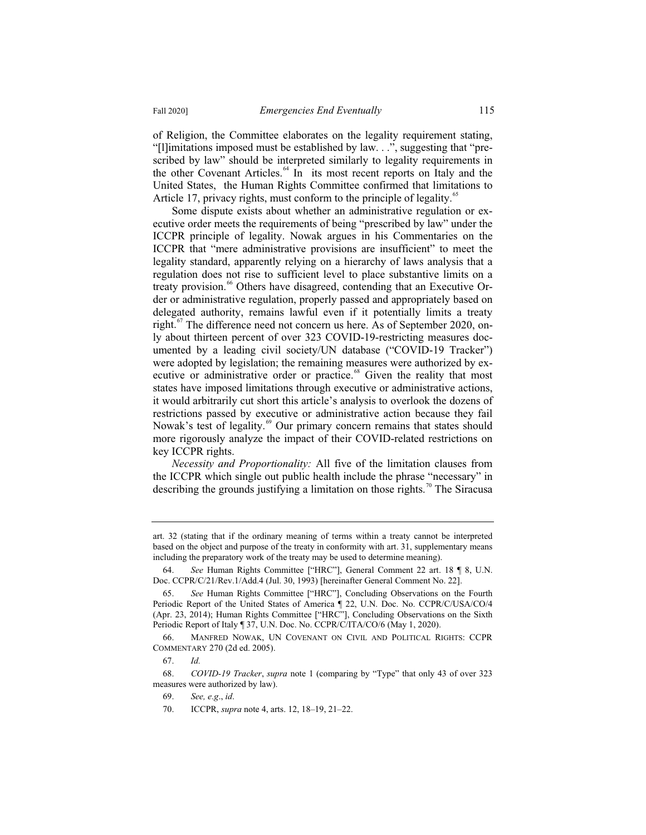of Religion, the Committee elaborates on the legality requirement stating, "[l]imitations imposed must be established by law. . .", suggesting that "prescribed by law" should be interpreted similarly to legality requirements in the other Covenant Articles.<sup>64</sup> In its most recent reports on Italy and the United States, the Human Rights Committee confirmed that limitations to Article 17, privacy rights, must conform to the principle of legality.<sup>65</sup>

Some dispute exists about whether an administrative regulation or executive order meets the requirements of being "prescribed by law" under the ICCPR principle of legality. Nowak argues in his Commentaries on the ICCPR that "mere administrative provisions are insufficient" to meet the legality standard, apparently relying on a hierarchy of laws analysis that a regulation does not rise to sufficient level to place substantive limits on a treaty provision.<sup>66</sup> Others have disagreed, contending that an Executive Order or administrative regulation, properly passed and appropriately based on delegated authority, remains lawful even if it potentially limits a treaty right.<sup>67</sup> The difference need not concern us here. As of September 2020, only about thirteen percent of over 323 COVID-19-restricting measures documented by a leading civil society/UN database ("COVID-19 Tracker") were adopted by legislation; the remaining measures were authorized by executive or administrative order or practice.<sup>68</sup> Given the reality that most states have imposed limitations through executive or administrative actions, it would arbitrarily cut short this article's analysis to overlook the dozens of restrictions passed by executive or administrative action because they fail Nowak's test of legality.<sup>69</sup> Our primary concern remains that states should more rigorously analyze the impact of their COVID-related restrictions on key ICCPR rights.

*Necessity and Proportionality:* All five of the limitation clauses from the ICCPR which single out public health include the phrase "necessary" in describing the grounds justifying a limitation on those rights.<sup>70</sup> The Siracusa

art. 32 (stating that if the ordinary meaning of terms within a treaty cannot be interpreted based on the object and purpose of the treaty in conformity with art. 31, supplementary means including the preparatory work of the treaty may be used to determine meaning).

<sup>64.</sup> *See* Human Rights Committee ["HRC"], General Comment 22 art. 18 ¶ 8, U.N. Doc. CCPR/C/21/Rev.1/Add.4 (Jul. 30, 1993) [hereinafter General Comment No. 22].

<sup>65.</sup> *See* Human Rights Committee ["HRC"], Concluding Observations on the Fourth Periodic Report of the United States of America ¶ 22, U.N. Doc. No. CCPR/C/USA/CO/4 (Apr. 23, 2014); Human Rights Committee ["HRC"], Concluding Observations on the Sixth Periodic Report of Italy ¶ 37, U.N. Doc. No. CCPR/C/ITA/CO/6 (May 1, 2020).

<sup>66.</sup> MANFRED NOWAK, UN COVENANT ON CIVIL AND POLITICAL RIGHTS: CCPR COMMENTARY 270 (2d ed. 2005).

<sup>67.</sup> *Id.*

<sup>68.</sup> *COVID-19 Tracker*, *supra* note 1 (comparing by "Type" that only 43 of over 323 measures were authorized by law).

<sup>69.</sup> *See, e.g*., *id*.

<sup>70.</sup> ICCPR, *supra* note 4, arts. 12, 18–19, 21–22.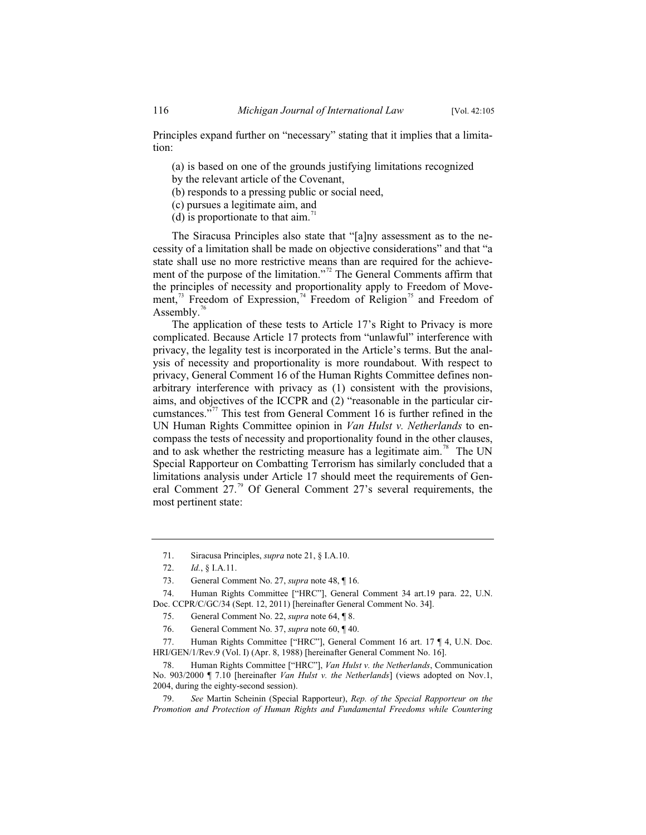Principles expand further on "necessary" stating that it implies that a limitation:

- (a) is based on one of the grounds justifying limitations recognized
- by the relevant article of the Covenant,
- (b) responds to a pressing public or social need,
- (c) pursues a legitimate aim, and
- (d) is proportionate to that  $\dim$ .<sup>11</sup>

The Siracusa Principles also state that "[a]ny assessment as to the necessity of a limitation shall be made on objective considerations" and that "a state shall use no more restrictive means than are required for the achievement of the purpose of the limitation."<sup>72</sup> The General Comments affirm that the principles of necessity and proportionality apply to Freedom of Movement,<sup>73</sup> Freedom of Expression,<sup>74</sup> Freedom of Religion<sup>75</sup> and Freedom of Assembly.<sup>76</sup>

The application of these tests to Article 17's Right to Privacy is more complicated. Because Article 17 protects from "unlawful" interference with privacy, the legality test is incorporated in the Article's terms. But the analysis of necessity and proportionality is more roundabout. With respect to privacy, General Comment 16 of the Human Rights Committee defines nonarbitrary interference with privacy as (1) consistent with the provisions, aims, and objectives of the ICCPR and (2) "reasonable in the particular circumstances."<sup>77</sup> This test from General Comment 16 is further refined in the UN Human Rights Committee opinion in *Van Hulst v. Netherlands* to encompass the tests of necessity and proportionality found in the other clauses, and to ask whether the restricting measure has a legitimate aim.<sup>78</sup> The UN Special Rapporteur on Combatting Terrorism has similarly concluded that a limitations analysis under Article 17 should meet the requirements of General Comment  $27<sup>79</sup>$  Of General Comment 27's several requirements, the most pertinent state:

<sup>71.</sup> Siracusa Principles, *supra* note 21, § I.A.10.

<sup>72.</sup> *Id.*, § I.A.11.

<sup>73.</sup> General Comment No. 27, *supra* note 48, ¶ 16.

<sup>74.</sup> Human Rights Committee ["HRC"], General Comment 34 art.19 para. 22, U.N. Doc. CCPR/C/GC/34 (Sept. 12, 2011) [hereinafter General Comment No. 34].

<sup>75.</sup> General Comment No. 22, *supra* note 64, ¶ 8.

<sup>76.</sup> General Comment No. 37, *supra* note 60, ¶ 40.

<sup>77.</sup> Human Rights Committee ["HRC"], General Comment 16 art. 17 ¶ 4, U.N. Doc. HRI/GEN/1/Rev.9 (Vol. I) (Apr. 8, 1988) [hereinafter General Comment No. 16].

<sup>78.</sup> Human Rights Committee ["HRC"], *Van Hulst v. the Netherlands*, Communication No. 903/2000 ¶ 7.10 [hereinafter *Van Hulst v. the Netherlands*] (views adopted on Nov.1, 2004, during the eighty-second session).

<sup>79.</sup> *See* Martin Scheinin (Special Rapporteur), *Rep. of the Special Rapporteur on the Promotion and Protection of Human Rights and Fundamental Freedoms while Countering*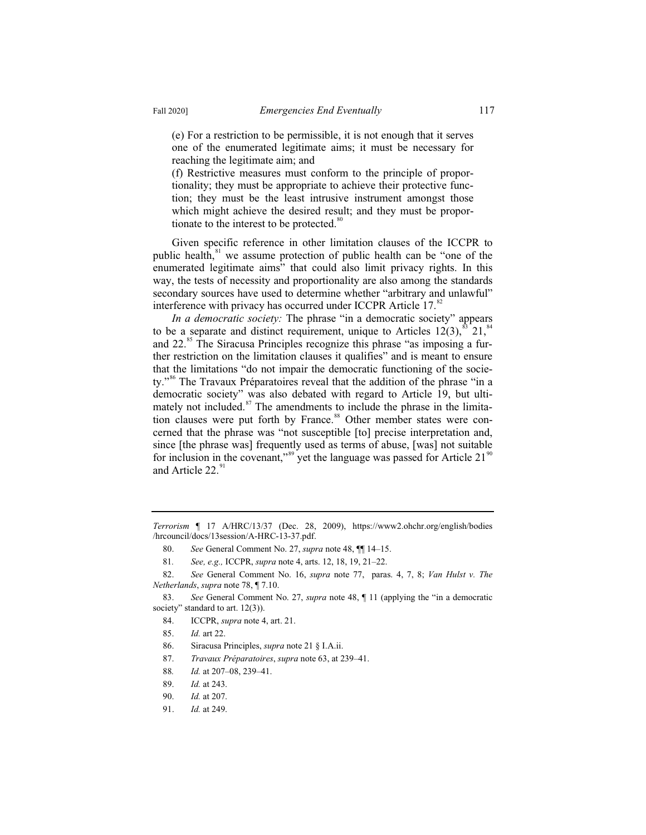(e) For a restriction to be permissible, it is not enough that it serves one of the enumerated legitimate aims; it must be necessary for reaching the legitimate aim; and

(f) Restrictive measures must conform to the principle of proportionality; they must be appropriate to achieve their protective function; they must be the least intrusive instrument amongst those which might achieve the desired result; and they must be proportionate to the interest to be protected.<sup>80</sup>

Given specific reference in other limitation clauses of the ICCPR to public health, $s<sup>1</sup>$  we assume protection of public health can be "one of the enumerated legitimate aims" that could also limit privacy rights. In this way, the tests of necessity and proportionality are also among the standards secondary sources have used to determine whether "arbitrary and unlawful" interference with privacy has occurred under ICCPR Article 17. $82$ 

*In a democratic society:* The phrase "in a democratic society" appears to be a separate and distinct requirement, unique to Articles  $12(3)$ ,  $83$   $21$ ,  $84$ and  $22.^{85}$  The Siracusa Principles recognize this phrase "as imposing a further restriction on the limitation clauses it qualifies" and is meant to ensure that the limitations "do not impair the democratic functioning of the society."<sup>86</sup> The Travaux Préparatoires reveal that the addition of the phrase "in a democratic society" was also debated with regard to Article 19, but ultimately not included.<sup>87</sup> The amendments to include the phrase in the limitation clauses were put forth by France.<sup>88</sup> Other member states were concerned that the phrase was "not susceptible [to] precise interpretation and, since [the phrase was] frequently used as terms of abuse, [was] not suitable for inclusion in the covenant,"<sup>89</sup> yet the language was passed for Article 21<sup>90</sup> and Article 22.<sup>91</sup>

*Terrorism* ¶ 17 A/HRC/13/37 (Dec. 28, 2009), https://www2.ohchr.org/english/bodies /hrcouncil/docs/13session/A-HRC-13-37.pdf.

<sup>80.</sup> *See* General Comment No. 27, *supra* note 48, ¶¶ 14–15.

<sup>81</sup>*. See, e.g.,* ICCPR, *supra* note 4, arts. 12, 18, 19, 21–22.

<sup>82.</sup> *See* General Comment No. 16, *supra* note 77, paras. 4, 7, 8; *Van Hulst v. The Netherlands*, *supra* note 78, ¶ 7.10.

<sup>83.</sup> *See* General Comment No. 27, *supra* note 48, ¶ 11 (applying the "in a democratic society" standard to art. 12(3)).

<sup>84.</sup> ICCPR, *supra* note 4, art. 21.

<sup>85.</sup> *Id.* art 22.

<sup>86.</sup> Siracusa Principles, *supra* note 21 § I.A.ii.

<sup>87.</sup> *Travaux Préparatoires*, *supra* note 63, at 239–41.

<sup>88</sup>*. Id.* at 207–08, 239–41.

<sup>89.</sup> *Id.* at 243.

<sup>90.</sup> *Id.* at 207.

<sup>91.</sup> *Id.* at 249.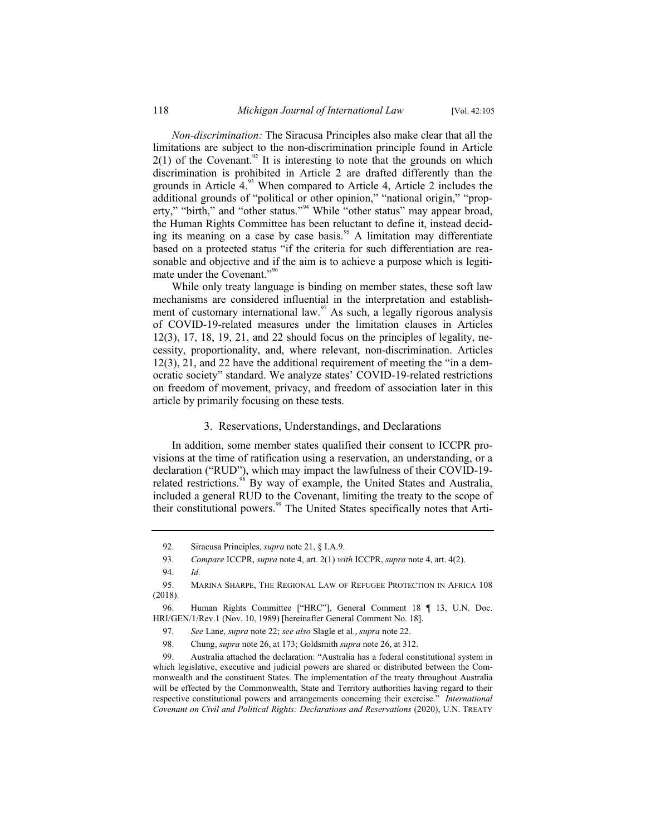*Non-discrimination:* The Siracusa Principles also make clear that all the limitations are subject to the non-discrimination principle found in Article  $2(1)$  of the Covenant.<sup>92</sup> It is interesting to note that the grounds on which discrimination is prohibited in Article 2 are drafted differently than the grounds in Article  $4<sup>93</sup>$  When compared to Article 4, Article 2 includes the additional grounds of "political or other opinion," "national origin," "property," "birth," and "other status."<sup>94</sup> While "other status" may appear broad, the Human Rights Committee has been reluctant to define it, instead deciding its meaning on a case by case basis.<sup>95</sup> A limitation may differentiate based on a protected status "if the criteria for such differentiation are reasonable and objective and if the aim is to achieve a purpose which is legitimate under the Covenant."<sup>96</sup>

While only treaty language is binding on member states, these soft law mechanisms are considered influential in the interpretation and establishment of customary international law. $\frac{97}{15}$  As such, a legally rigorous analysis of COVID-19-related measures under the limitation clauses in Articles  $12(3)$ ,  $17$ ,  $18$ ,  $19$ ,  $21$ , and  $22$  should focus on the principles of legality, necessity, proportionality, and, where relevant, non-discrimination. Articles 12(3), 21, and 22 have the additional requirement of meeting the "in a democratic society" standard. We analyze states' COVID-19-related restrictions on freedom of movement, privacy, and freedom of association later in this article by primarily focusing on these tests.

#### 3. Reservations, Understandings, and Declarations

In addition, some member states qualified their consent to ICCPR provisions at the time of ratification using a reservation, an understanding, or a declaration ("RUD"), which may impact the lawfulness of their COVID-19 related restrictions.<sup>98</sup> By way of example, the United States and Australia, included a general RUD to the Covenant, limiting the treaty to the scope of their constitutional powers.<sup>99</sup> The United States specifically notes that Arti-

<sup>92.</sup> Siracusa Principles, *supra* note 21, § I.A.9.

<sup>93.</sup> *Compare* ICCPR, *supra* note 4, art. 2(1) *with* ICCPR, *supra* note 4, art. 4(2).

<sup>94.</sup> *Id.*

<sup>95.</sup> MARINA SHARPE, THE REGIONAL LAW OF REFUGEE PROTECTION IN AFRICA 108 (2018).

<sup>96.</sup> Human Rights Committee ["HRC"], General Comment 18 ¶ 13, U.N. Doc. HRI/GEN/1/Rev.1 (Nov. 10, 1989) [hereinafter General Comment No. 18].

<sup>97.</sup> *See* Lane, *supra* note 22; *see also* Slagle et al., *supra* note 22.

<sup>98.</sup> Chung, *supra* note 26, at 173; Goldsmith *supra* note 26, at 312.

<sup>99.</sup> Australia attached the declaration: "Australia has a federal constitutional system in which legislative, executive and judicial powers are shared or distributed between the Commonwealth and the constituent States. The implementation of the treaty throughout Australia will be effected by the Commonwealth, State and Territory authorities having regard to their respective constitutional powers and arrangements concerning their exercise." *International Covenant on Civil and Political Rights: Declarations and Reservations* (2020), U.N. TREATY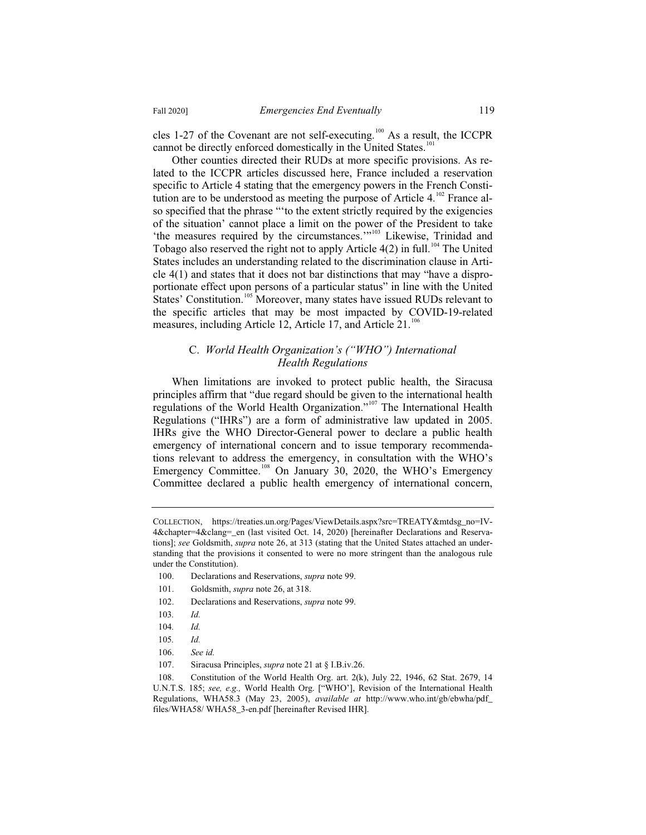cles 1-27 of the Covenant are not self-executing.<sup>100</sup> As a result, the ICCPR cannot be directly enforced domestically in the United States.<sup>101</sup>

Other counties directed their RUDs at more specific provisions. As related to the ICCPR articles discussed here, France included a reservation specific to Article 4 stating that the emergency powers in the French Constitution are to be understood as meeting the purpose of Article  $4.^{102}$  France also specified that the phrase "'to the extent strictly required by the exigencies of the situation' cannot place a limit on the power of the President to take 'the measures required by the circumstances.'"<sup>103</sup> Likewise, Trinidad and Tobago also reserved the right not to apply Article  $4(2)$  in full.<sup>104</sup> The United States includes an understanding related to the discrimination clause in Article 4(1) and states that it does not bar distinctions that may "have a disproportionate effect upon persons of a particular status" in line with the United States' Constitution.<sup>105</sup> Moreover, many states have issued RUDs relevant to the specific articles that may be most impacted by COVID-19-related measures, including Article 12, Article 17, and Article 21.<sup>106</sup>

## C. *World Health Organization's ("WHO") International Health Regulations*

When limitations are invoked to protect public health, the Siracusa principles affirm that "due regard should be given to the international health regulations of the World Health Organization."<sup>107</sup> The International Health Regulations ("IHRs") are a form of administrative law updated in 2005. IHRs give the WHO Director-General power to declare a public health emergency of international concern and to issue temporary recommendations relevant to address the emergency, in consultation with the WHO's Emergency Committee.<sup>108</sup> On January 30, 2020, the WHO's Emergency Committee declared a public health emergency of international concern,

COLLECTION, https://treaties.un.org/Pages/ViewDetails.aspx?src=TREATY&mtdsg\_no=IV-4&chapter=4&clang=\_en (last visited Oct. 14, 2020) [hereinafter Declarations and Reservations]; *see* Goldsmith, *supra* note 26, at 313 (stating that the United States attached an understanding that the provisions it consented to were no more stringent than the analogous rule under the Constitution).

<sup>100.</sup> Declarations and Reservations, *supra* note 99.

<sup>101.</sup> Goldsmith, *supra* note 26, at 318.

<sup>102.</sup> Declarations and Reservations, *supra* note 99.

<sup>103</sup>*. Id.*

<sup>104</sup>*. Id.*

<sup>105</sup>*. Id.*

<sup>106.</sup> *See id.*

<sup>107.</sup> Siracusa Principles, *supra* note 21 at § I.B.iv.26.

<sup>108.</sup> Constitution of the World Health Org. art. 2(k), July 22, 1946, 62 Stat. 2679, 14 U.N.T.S. 185; *see, e.g.,* World Health Org. ["WHO'], Revision of the International Health Regulations, WHA58.3 (May 23, 2005), *available at* http://www.who.int/gb/ebwha/pdf\_ files/WHA58/ WHA58\_3-en.pdf [hereinafter Revised IHR].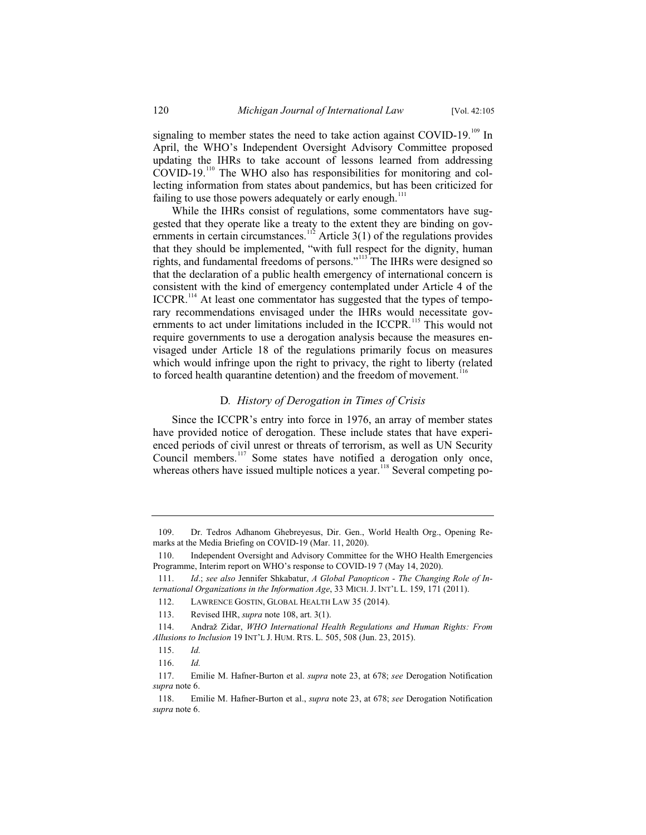signaling to member states the need to take action against COVID-19.<sup>109</sup> In April, the WHO's Independent Oversight Advisory Committee proposed updating the IHRs to take account of lessons learned from addressing COVID-19.<sup>110</sup> The WHO also has responsibilities for monitoring and collecting information from states about pandemics, but has been criticized for failing to use those powers adequately or early enough.<sup>111</sup>

While the IHRs consist of regulations, some commentators have suggested that they operate like a treaty to the extent they are binding on governments in certain circumstances.<sup>112</sup> Article 3(1) of the regulations provides that they should be implemented, "with full respect for the dignity, human rights, and fundamental freedoms of persons."<sup>113</sup> The IHRs were designed so that the declaration of a public health emergency of international concern is consistent with the kind of emergency contemplated under Article 4 of the ICCPR.<sup>114</sup> At least one commentator has suggested that the types of temporary recommendations envisaged under the IHRs would necessitate governments to act under limitations included in the ICCPR.<sup>115</sup> This would not require governments to use a derogation analysis because the measures envisaged under Article 18 of the regulations primarily focus on measures which would infringe upon the right to privacy, the right to liberty (related to forced health quarantine detention) and the freedom of movement.<sup>116</sup>

#### D*. History of Derogation in Times of Crisis*

Since the ICCPR's entry into force in 1976, an array of member states have provided notice of derogation. These include states that have experienced periods of civil unrest or threats of terrorism, as well as UN Security Council members.<sup>117</sup> Some states have notified a derogation only once, whereas others have issued multiple notices a year.<sup>118</sup> Several competing po-

<sup>109.</sup> Dr. Tedros Adhanom Ghebreyesus, Dir. Gen., World Health Org., Opening Remarks at the Media Briefing on COVID-19 (Mar. 11, 2020).

<sup>110.</sup> Independent Oversight and Advisory Committee for the WHO Health Emergencies Programme, Interim report on WHO's response to COVID-19 7 (May 14, 2020).

<sup>111.</sup> *Id*.; *see also* Jennifer Shkabatur, *A Global Panopticon - The Changing Role of International Organizations in the Information Age*, 33 MICH. J. INT'L L. 159, 171 (2011).

<sup>112.</sup> LAWRENCE GOSTIN, GLOBAL HEALTH LAW 35 (2014).

<sup>113.</sup> Revised IHR, *supra* note 108, art. 3(1).

<sup>114.</sup> Andraž Zidar, *WHO International Health Regulations and Human Rights: From Allusions to Inclusion* 19 INT'L J. HUM. RTS. L. 505, 508 (Jun. 23, 2015).

<sup>115.</sup> *Id.*

<sup>116.</sup> *Id.*

<sup>117.</sup> Emilie M. Hafner-Burton et al. *supra* note 23, at 678; *see* Derogation Notification *supra* note 6.

<sup>118.</sup> Emilie M. Hafner-Burton et al., *supra* note 23, at 678; *see* Derogation Notification *supra* note 6.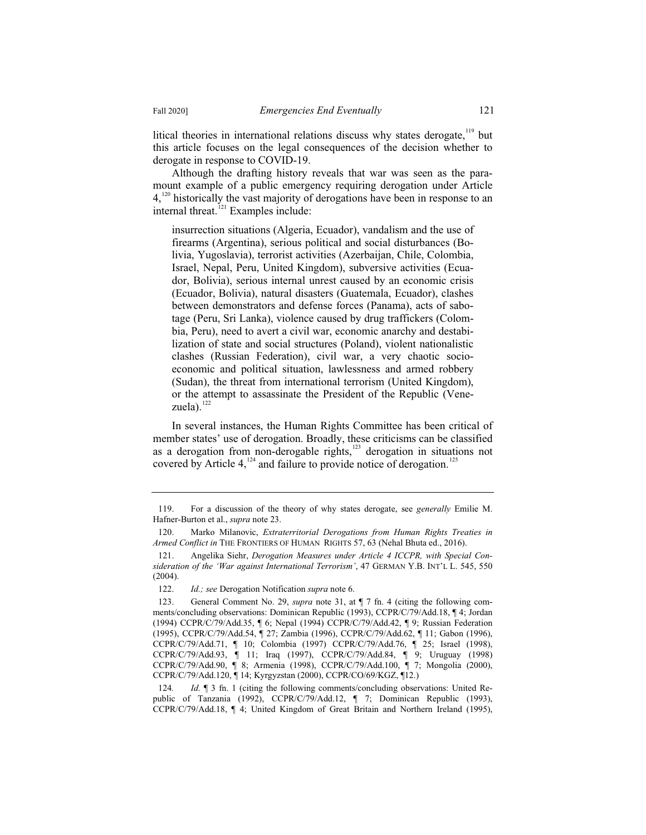litical theories in international relations discuss why states derogate, $119$  but this article focuses on the legal consequences of the decision whether to derogate in response to COVID-19.

Although the drafting history reveals that war was seen as the paramount example of a public emergency requiring derogation under Article  $4.120$  historically the vast majority of derogations have been in response to an internal threat.<sup>121</sup> Examples include:

insurrection situations (Algeria, Ecuador), vandalism and the use of firearms (Argentina), serious political and social disturbances (Bolivia, Yugoslavia), terrorist activities (Azerbaijan, Chile, Colombia, Israel, Nepal, Peru, United Kingdom), subversive activities (Ecuador, Bolivia), serious internal unrest caused by an economic crisis (Ecuador, Bolivia), natural disasters (Guatemala, Ecuador), clashes between demonstrators and defense forces (Panama), acts of sabotage (Peru, Sri Lanka), violence caused by drug traffickers (Colombia, Peru), need to avert a civil war, economic anarchy and destabilization of state and social structures (Poland), violent nationalistic clashes (Russian Federation), civil war, a very chaotic socioeconomic and political situation, lawlessness and armed robbery (Sudan), the threat from international terrorism (United Kingdom), or the attempt to assassinate the President of the Republic (Venezuela). $122$ 

In several instances, the Human Rights Committee has been critical of member states' use of derogation. Broadly, these criticisms can be classified as a derogation from non-derogable rights, $123$  derogation in situations not covered by Article  $4$ ,  $^{124}$  and failure to provide notice of derogation.<sup>125</sup>

124*. Id.* ¶ 3 fn. 1 (citing the following comments/concluding observations: United Republic of Tanzania (1992), CCPR/C/79/Add.12, ¶ 7; Dominican Republic (1993), CCPR/C/79/Add.18, ¶ 4; United Kingdom of Great Britain and Northern Ireland (1995),

<sup>119.</sup> For a discussion of the theory of why states derogate, see *generally* Emilie M. Hafner-Burton et al., *supra* note 23.

<sup>120.</sup> Marko Milanovic, *Extraterritorial Derogations from Human Rights Treaties in Armed Conflict in* THE FRONTIERS OF HUMAN RIGHTS 57, 63 (Nehal Bhuta ed., 2016).

<sup>121.</sup> Angelika Siehr, *Derogation Measures under Article 4 ICCPR, with Special Consideration of the 'War against International Terrorism'*, 47 GERMAN Y.B. INT'L L. 545, 550 (2004).

<sup>122.</sup> *Id.; see* Derogation Notification *supra* note 6.

<sup>123.</sup> General Comment No. 29, *supra* note 31, at ¶ 7 fn. 4 (citing the following comments/concluding observations: Dominican Republic (1993), CCPR/C/79/Add.18, ¶ 4; Jordan (1994) CCPR/C/79/Add.35, ¶ 6; Nepal (1994) CCPR/C/79/Add.42, ¶ 9; Russian Federation (1995), CCPR/C/79/Add.54, ¶ 27; Zambia (1996), CCPR/C/79/Add.62, ¶ 11; Gabon (1996), CCPR/C/79/Add.71, ¶ 10; Colombia (1997) CCPR/C/79/Add.76, ¶ 25; Israel (1998), CCPR/C/79/Add.93, ¶ 11; Iraq (1997), CCPR/C/79/Add.84, ¶ 9; Uruguay (1998) CCPR/C/79/Add.90, ¶ 8; Armenia (1998), CCPR/C/79/Add.100, ¶ 7; Mongolia (2000), CCPR/C/79/Add.120, ¶ 14; Kyrgyzstan (2000), CCPR/CO/69/KGZ, ¶12.)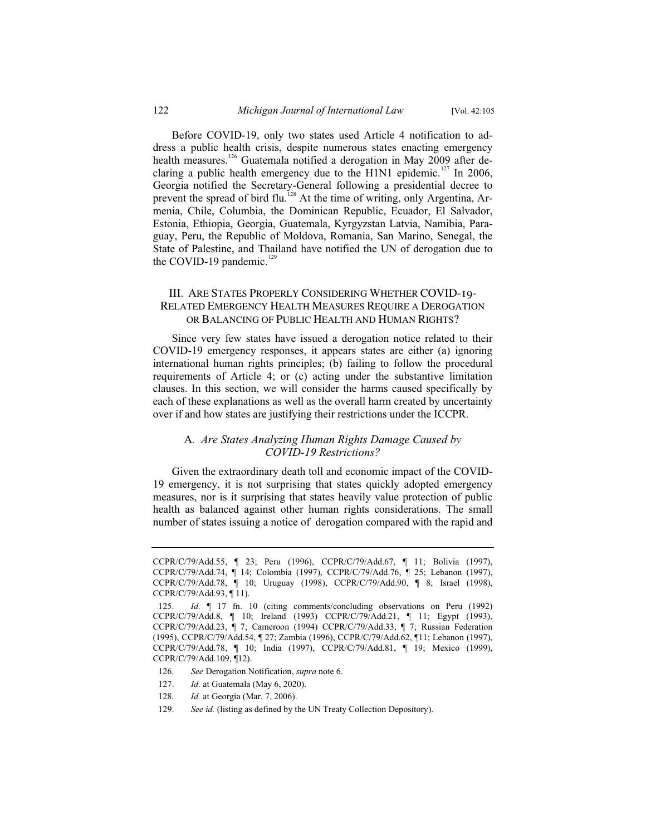Before COVID-19, only two states used Article 4 notification to address a public health crisis, despite numerous states enacting emergency health measures.<sup>126</sup> Guatemala notified a derogation in May 2009 after declaring a public health emergency due to the H1N1 epidemic.<sup>127</sup> In 2006, Georgia notified the Secretary-General following a presidential decree to prevent the spread of bird flu.<sup>128</sup> At the time of writing, only Argentina, Armenia, Chile, Columbia, the Dominican Republic, Ecuador, El Salvador, Estonia, Ethiopia, Georgia, Guatemala, Kyrgyzstan Latvia, Namibia, Paraguay, Peru, the Republic of Moldova, Romania, San Marino, Senegal, the State of Palestine, and Thailand have notified the UN of derogation due to the COVID-19 pandemic. $129$ 

## III. ARE STATES PROPERLY CONSIDERING WHETHER COVID-19- RELATED EMERGENCY HEALTH MEASURES REQUIRE A DEROGATION OR BALANCING OF PUBLIC HEALTH AND HUMAN RIGHTS?

Since very few states have issued a derogation notice related to their COVID-19 emergency responses, it appears states are either (a) ignoring international human rights principles; (b) failing to follow the procedural requirements of Article 4; or (c) acting under the substantive limitation clauses. In this section, we will consider the harms caused specifically by each of these explanations as well as the overall harm created by uncertainty over if and how states are justifying their restrictions under the ICCPR.

# A*. Are States Analyzing Human Rights Damage Caused by COVID-19 Restrictions?*

Given the extraordinary death toll and economic impact of the COVID-19 emergency, it is not surprising that states quickly adopted emergency measures, nor is it surprising that states heavily value protection of public health as balanced against other human rights considerations. The small number of states issuing a notice of derogation compared with the rapid and

- 126. *See* Derogation Notification, *supra* note 6.
- 127. *Id.* at Guatemala (May 6, 2020).
- 128*. Id.* at Georgia (Mar. 7, 2006).
- 129. *See id.* (listing as defined by the UN Treaty Collection Depository).

CCPR/C/79/Add.55, ¶ 23; Peru (1996), CCPR/C/79/Add.67, ¶ 11; Bolivia (1997), CCPR/C/79/Add.74, ¶ 14; Colombia (1997), CCPR/C/79/Add.76, ¶ 25; Lebanon (1997), CCPR/C/79/Add.78, ¶ 10; Uruguay (1998), CCPR/C/79/Add.90, ¶ 8; Israel (1998), CCPR/C/79/Add.93, ¶ 11).

<sup>125.</sup> *Id.* ¶ 17 fn. 10 (citing comments/concluding observations on Peru (1992) CCPR/C/79/Add.8, ¶ 10; Ireland (1993) CCPR/C/79/Add.21, ¶ 11; Egypt (1993), CCPR/C/79/Add.23, ¶ 7; Cameroon (1994) CCPR/C/79/Add.33, ¶ 7; Russian Federation (1995), CCPR/C/79/Add.54, ¶ 27; Zambia (1996), CCPR/C/79/Add.62, ¶11; Lebanon (1997), CCPR/C/79/Add.78, ¶ 10; India (1997), CCPR/C/79/Add.81, ¶ 19; Mexico (1999), CCPR/C/79/Add.109, ¶12).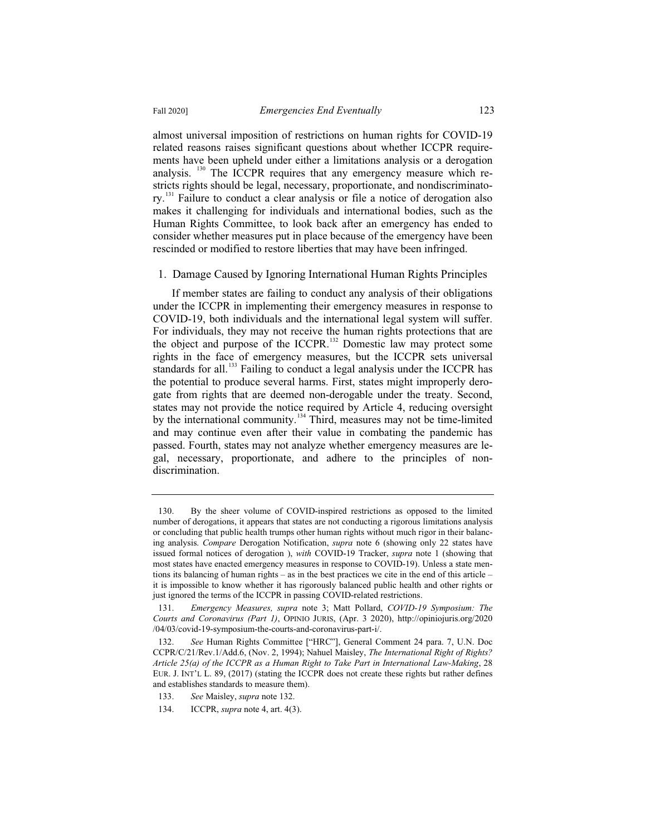almost universal imposition of restrictions on human rights for COVID-19 related reasons raises significant questions about whether ICCPR requirements have been upheld under either a limitations analysis or a derogation analysis. <sup>130</sup> The ICCPR requires that any emergency measure which restricts rights should be legal, necessary, proportionate, and nondiscriminatory.<sup>131</sup> Failure to conduct a clear analysis or file a notice of derogation also makes it challenging for individuals and international bodies, such as the

Human Rights Committee, to look back after an emergency has ended to consider whether measures put in place because of the emergency have been rescinded or modified to restore liberties that may have been infringed.

1. Damage Caused by Ignoring International Human Rights Principles If member states are failing to conduct any analysis of their obligations

under the ICCPR in implementing their emergency measures in response to COVID-19, both individuals and the international legal system will suffer. For individuals, they may not receive the human rights protections that are the object and purpose of the ICCPR.<sup>132</sup> Domestic law may protect some rights in the face of emergency measures, but the ICCPR sets universal standards for all.<sup>133</sup> Failing to conduct a legal analysis under the ICCPR has the potential to produce several harms. First, states might improperly derogate from rights that are deemed non-derogable under the treaty. Second, states may not provide the notice required by Article 4, reducing oversight by the international community.<sup>134</sup> Third, measures may not be time-limited and may continue even after their value in combating the pandemic has passed. Fourth, states may not analyze whether emergency measures are legal, necessary, proportionate, and adhere to the principles of nondiscrimination.

<sup>130.</sup> By the sheer volume of COVID-inspired restrictions as opposed to the limited number of derogations, it appears that states are not conducting a rigorous limitations analysis or concluding that public health trumps other human rights without much rigor in their balancing analysis. *Compare* Derogation Notification, *supra* note 6 (showing only 22 states have issued formal notices of derogation ), *with* COVID-19 Tracker, *supra* note 1 (showing that most states have enacted emergency measures in response to COVID-19). Unless a state mentions its balancing of human rights – as in the best practices we cite in the end of this article – it is impossible to know whether it has rigorously balanced public health and other rights or just ignored the terms of the ICCPR in passing COVID-related restrictions.

<sup>131.</sup> *Emergency Measures, supra* note 3; Matt Pollard, *COVID-19 Symposium: The Courts and Coronavirus (Part 1)*, OPINIO JURIS, (Apr. 3 2020), http://opiniojuris.org/2020 /04/03/covid-19-symposium-the-courts-and-coronavirus-part-i/.

<sup>132.</sup> *See* Human Rights Committee ["HRC"], General Comment 24 para. 7, U.N. Doc CCPR/C/21/Rev.1/Add.6, (Nov. 2, 1994); Nahuel Maisley, *The International Right of Rights? Article 25(a) of the ICCPR as a Human Right to Take Part in International Law-Making*, 28 EUR. J. INT'L L. 89, (2017) (stating the ICCPR does not create these rights but rather defines and establishes standards to measure them).

<sup>133.</sup> *See* Maisley, *supra* note 132.

<sup>134.</sup> ICCPR, *supra* note 4, art. 4(3).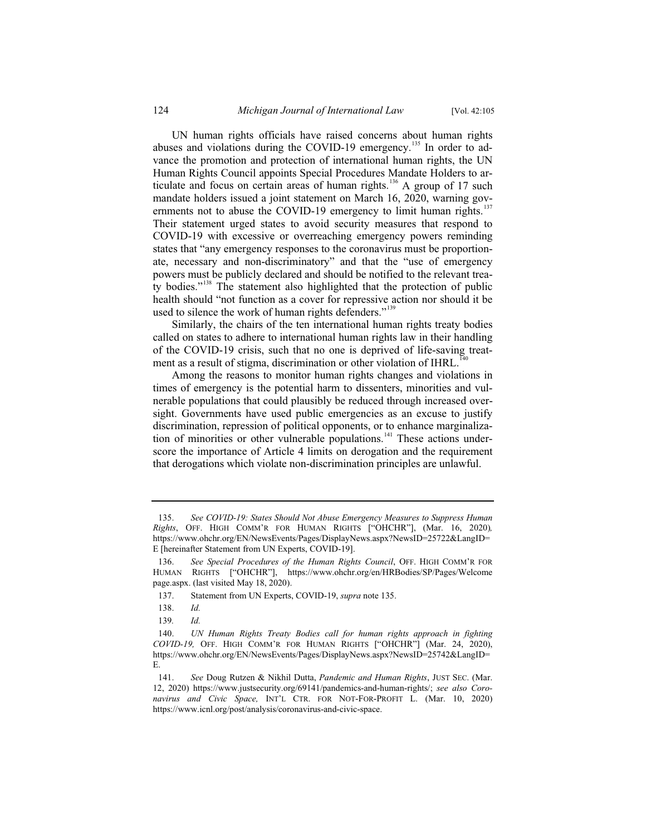UN human rights officials have raised concerns about human rights abuses and violations during the COVID-19 emergency.<sup>135</sup> In order to advance the promotion and protection of international human rights, the UN Human Rights Council appoints Special Procedures Mandate Holders to articulate and focus on certain areas of human rights.<sup>136</sup> A group of 17 such mandate holders issued a joint statement on March 16, 2020, warning governments not to abuse the COVID-19 emergency to limit human rights.<sup>137</sup> Their statement urged states to avoid security measures that respond to COVID-19 with excessive or overreaching emergency powers reminding states that "any emergency responses to the coronavirus must be proportionate, necessary and non-discriminatory" and that the "use of emergency powers must be publicly declared and should be notified to the relevant treaty bodies."<sup>138</sup> The statement also highlighted that the protection of public health should "not function as a cover for repressive action nor should it be used to silence the work of human rights defenders."<sup>139</sup>

Similarly, the chairs of the ten international human rights treaty bodies called on states to adhere to international human rights law in their handling of the COVID-19 crisis, such that no one is deprived of life-saving treatment as a result of stigma, discrimination or other violation of IHRL.<sup>14</sup>

Among the reasons to monitor human rights changes and violations in times of emergency is the potential harm to dissenters, minorities and vulnerable populations that could plausibly be reduced through increased oversight. Governments have used public emergencies as an excuse to justify discrimination, repression of political opponents, or to enhance marginalization of minorities or other vulnerable populations.<sup>141</sup> These actions underscore the importance of Article 4 limits on derogation and the requirement that derogations which violate non-discrimination principles are unlawful.

<sup>135.</sup> *See COVID-19: States Should Not Abuse Emergency Measures to Suppress Human Rights*, OFF. HIGH COMM'R FOR HUMAN RIGHTS ["OHCHR"], (Mar. 16, 2020)*,* https://www.ohchr.org/EN/NewsEvents/Pages/DisplayNews.aspx?NewsID=25722&LangID= E [hereinafter Statement from UN Experts, COVID-19].

<sup>136.</sup> *See Special Procedures of the Human Rights Council*, OFF. HIGH COMM'R FOR HUMAN RIGHTS ["OHCHR"], https://www.ohchr.org/en/HRBodies/SP/Pages/Welcome page.aspx. (last visited May 18, 2020).

<sup>137.</sup> Statement from UN Experts, COVID-19, *supra* note 135.

<sup>138.</sup> *Id.*

<sup>139</sup>*. Id.*

<sup>140.</sup> *UN Human Rights Treaty Bodies call for human rights approach in fighting COVID-19,* OFF. HIGH COMM'R FOR HUMAN RIGHTS ["OHCHR"] (Mar. 24, 2020), https://www.ohchr.org/EN/NewsEvents/Pages/DisplayNews.aspx?NewsID=25742&LangID= E.

<sup>141.</sup> *See* Doug Rutzen & Nikhil Dutta, *Pandemic and Human Rights*, JUST SEC. (Mar. 12, 2020) https://www.justsecurity.org/69141/pandemics-and-human-rights/; *see also Coronavirus and Civic Space,* INT'L CTR. FOR NOT-FOR-PROFIT L. (Mar. 10, 2020) https://www.icnl.org/post/analysis/coronavirus-and-civic-space.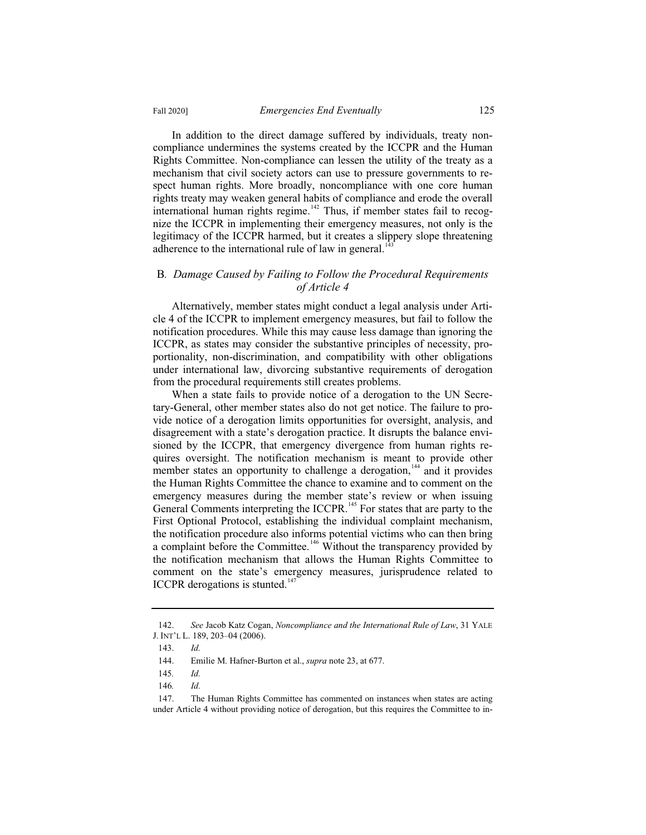In addition to the direct damage suffered by individuals, treaty noncompliance undermines the systems created by the ICCPR and the Human Rights Committee. Non-compliance can lessen the utility of the treaty as a mechanism that civil society actors can use to pressure governments to respect human rights. More broadly, noncompliance with one core human rights treaty may weaken general habits of compliance and erode the overall international human rights regime.<sup>142</sup> Thus, if member states fail to recognize the ICCPR in implementing their emergency measures, not only is the legitimacy of the ICCPR harmed, but it creates a slippery slope threatening adherence to the international rule of law in general.<sup>143</sup>

#### B*. Damage Caused by Failing to Follow the Procedural Requirements of Article 4*

Alternatively, member states might conduct a legal analysis under Article 4 of the ICCPR to implement emergency measures, but fail to follow the notification procedures. While this may cause less damage than ignoring the ICCPR, as states may consider the substantive principles of necessity, proportionality, non-discrimination, and compatibility with other obligations under international law, divorcing substantive requirements of derogation from the procedural requirements still creates problems.

When a state fails to provide notice of a derogation to the UN Secretary-General, other member states also do not get notice. The failure to provide notice of a derogation limits opportunities for oversight, analysis, and disagreement with a state's derogation practice. It disrupts the balance envisioned by the ICCPR, that emergency divergence from human rights requires oversight. The notification mechanism is meant to provide other member states an opportunity to challenge a derogation,  $144$  and it provides the Human Rights Committee the chance to examine and to comment on the emergency measures during the member state's review or when issuing General Comments interpreting the ICCPR.<sup>145</sup> For states that are party to the First Optional Protocol, establishing the individual complaint mechanism, the notification procedure also informs potential victims who can then bring a complaint before the Committee.<sup>146</sup> Without the transparency provided by the notification mechanism that allows the Human Rights Committee to comment on the state's emergency measures, jurisprudence related to ICCPR derogations is stunted.<sup>1</sup>

<sup>142.</sup> *See* Jacob Katz Cogan, *Noncompliance and the International Rule of Law*, 31 YALE J. INT'L L. 189, 203–04 (2006).

<sup>143.</sup> *Id.*

<sup>144.</sup> Emilie M. Hafner-Burton et al., *supra* note 23, at 677.

<sup>145</sup>*. Id.*

<sup>146</sup>*. Id.*

<sup>147.</sup> The Human Rights Committee has commented on instances when states are acting under Article 4 without providing notice of derogation, but this requires the Committee to in-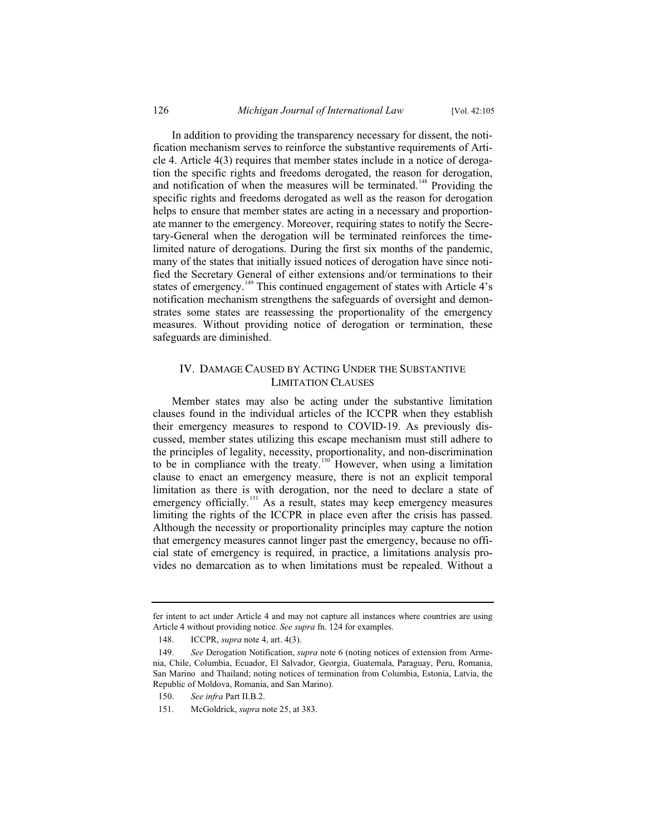In addition to providing the transparency necessary for dissent, the notification mechanism serves to reinforce the substantive requirements of Article 4. Article 4(3) requires that member states include in a notice of derogation the specific rights and freedoms derogated, the reason for derogation, and notification of when the measures will be terminated.<sup>148</sup> Providing the specific rights and freedoms derogated as well as the reason for derogation helps to ensure that member states are acting in a necessary and proportionate manner to the emergency. Moreover, requiring states to notify the Secretary-General when the derogation will be terminated reinforces the timelimited nature of derogations. During the first six months of the pandemic, many of the states that initially issued notices of derogation have since notified the Secretary General of either extensions and/or terminations to their states of emergency.<sup>149</sup> This continued engagement of states with Article 4's notification mechanism strengthens the safeguards of oversight and demonstrates some states are reassessing the proportionality of the emergency measures. Without providing notice of derogation or termination, these safeguards are diminished.

#### IV. DAMAGE CAUSED BY ACTING UNDER THE SUBSTANTIVE LIMITATION CLAUSES

Member states may also be acting under the substantive limitation clauses found in the individual articles of the ICCPR when they establish their emergency measures to respond to COVID-19. As previously discussed, member states utilizing this escape mechanism must still adhere to the principles of legality, necessity, proportionality, and non-discrimination to be in compliance with the treaty.<sup>150</sup> However, when using a limitation clause to enact an emergency measure, there is not an explicit temporal limitation as there is with derogation, nor the need to declare a state of emergency officially.<sup>151</sup> As a result, states may keep emergency measures limiting the rights of the ICCPR in place even after the crisis has passed. Although the necessity or proportionality principles may capture the notion that emergency measures cannot linger past the emergency, because no official state of emergency is required, in practice, a limitations analysis provides no demarcation as to when limitations must be repealed. Without a

fer intent to act under Article 4 and may not capture all instances where countries are using Article 4 without providing notice. *See supra* fn. 124 for examples.

<sup>148.</sup> ICCPR, *supra* note 4, art. 4(3).

<sup>149.</sup> *See* Derogation Notification, *supra* note 6 (noting notices of extension from Armenia, Chile, Columbia, Ecuador, El Salvador, Georgia, Guatemala, Paraguay, Peru, Romania, San Marino and Thailand; noting notices of termination from Columbia, Estonia, Latvia, the Republic of Moldova, Romania, and San Marino).

<sup>150.</sup> *See infra* Part II.B.2.

<sup>151.</sup> McGoldrick, *supra* note 25, at 383.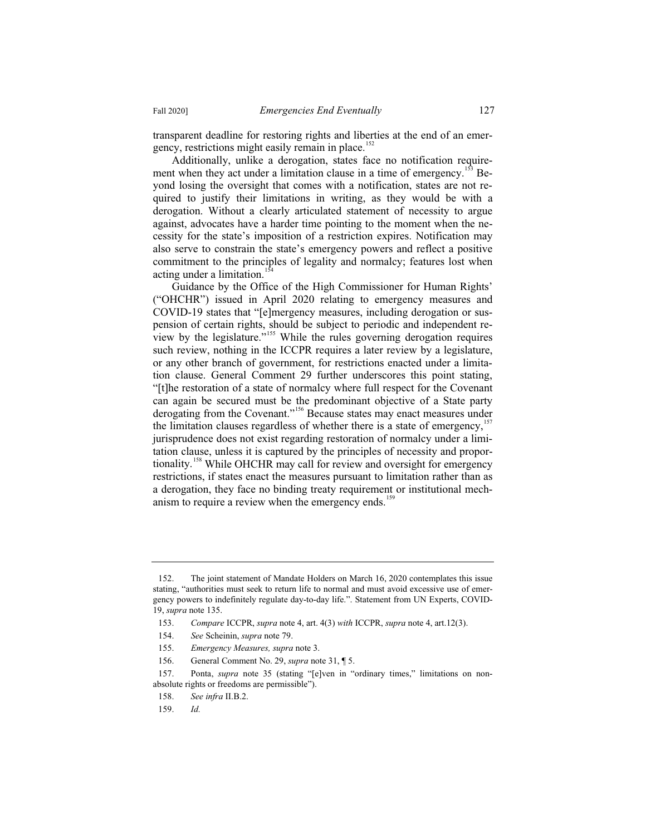transparent deadline for restoring rights and liberties at the end of an emergency, restrictions might easily remain in place.<sup>152</sup>

Additionally, unlike a derogation, states face no notification requirement when they act under a limitation clause in a time of emergency.<sup>153</sup> Beyond losing the oversight that comes with a notification, states are not required to justify their limitations in writing, as they would be with a derogation. Without a clearly articulated statement of necessity to argue against, advocates have a harder time pointing to the moment when the necessity for the state's imposition of a restriction expires. Notification may also serve to constrain the state's emergency powers and reflect a positive commitment to the principles of legality and normalcy; features lost when acting under a limitation.<sup>154</sup>

Guidance by the Office of the High Commissioner for Human Rights' ("OHCHR") issued in April 2020 relating to emergency measures and COVID-19 states that "[e]mergency measures, including derogation or suspension of certain rights, should be subject to periodic and independent review by the legislature."<sup>155</sup> While the rules governing derogation requires such review, nothing in the ICCPR requires a later review by a legislature, or any other branch of government, for restrictions enacted under a limitation clause. General Comment 29 further underscores this point stating, "[t]he restoration of a state of normalcy where full respect for the Covenant can again be secured must be the predominant objective of a State party derogating from the Covenant."<sup>156</sup> Because states may enact measures under the limitation clauses regardless of whether there is a state of emergency,  $157$ jurisprudence does not exist regarding restoration of normalcy under a limitation clause, unless it is captured by the principles of necessity and proportionality.<sup>158</sup> While OHCHR may call for review and oversight for emergency restrictions, if states enact the measures pursuant to limitation rather than as a derogation, they face no binding treaty requirement or institutional mechanism to require a review when the emergency ends.<sup>159</sup>

159. *Id.*

<sup>152.</sup> The joint statement of Mandate Holders on March 16, 2020 contemplates this issue stating, "authorities must seek to return life to normal and must avoid excessive use of emergency powers to indefinitely regulate day-to-day life.". Statement from UN Experts, COVID-19, *supra* note 135.

<sup>153.</sup> *Compare* ICCPR, *supra* note 4, art. 4(3) *with* ICCPR, *supra* note 4, art.12(3).

<sup>154.</sup> *See* Scheinin, *supra* note 79.

<sup>155.</sup> *Emergency Measures, supra* note 3.

<sup>156.</sup> General Comment No. 29, *supra* note 31, ¶ 5.

<sup>157.</sup> Ponta, *supra* note 35 (stating "[e]ven in "ordinary times," limitations on nonabsolute rights or freedoms are permissible").

<sup>158.</sup> *See infra* II.B.2.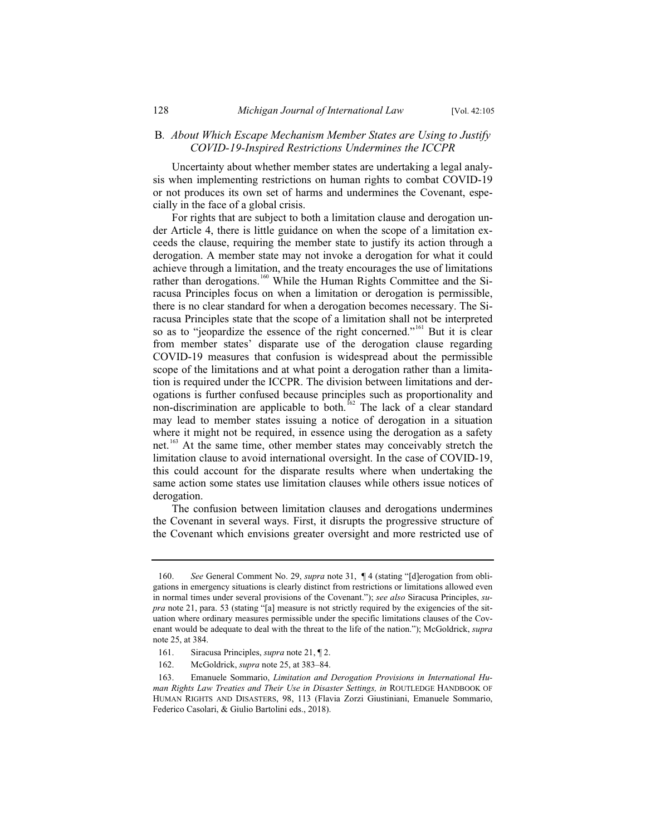#### B*. About Which Escape Mechanism Member States are Using to Justify COVID-19-Inspired Restrictions Undermines the ICCPR*

Uncertainty about whether member states are undertaking a legal analysis when implementing restrictions on human rights to combat COVID-19 or not produces its own set of harms and undermines the Covenant, especially in the face of a global crisis.

For rights that are subject to both a limitation clause and derogation under Article 4, there is little guidance on when the scope of a limitation exceeds the clause, requiring the member state to justify its action through a derogation. A member state may not invoke a derogation for what it could achieve through a limitation, and the treaty encourages the use of limitations rather than derogations.<sup>160</sup> While the Human Rights Committee and the Siracusa Principles focus on when a limitation or derogation is permissible, there is no clear standard for when a derogation becomes necessary. The Siracusa Principles state that the scope of a limitation shall not be interpreted so as to "jeopardize the essence of the right concerned."<sup>161</sup> But it is clear from member states' disparate use of the derogation clause regarding COVID-19 measures that confusion is widespread about the permissible scope of the limitations and at what point a derogation rather than a limitation is required under the ICCPR. The division between limitations and derogations is further confused because principles such as proportionality and non-discrimination are applicable to both.<sup>162</sup> The lack of a clear standard may lead to member states issuing a notice of derogation in a situation where it might not be required, in essence using the derogation as a safety net.<sup>163</sup> At the same time, other member states may conceivably stretch the limitation clause to avoid international oversight. In the case of COVID-19, this could account for the disparate results where when undertaking the same action some states use limitation clauses while others issue notices of derogation.

The confusion between limitation clauses and derogations undermines the Covenant in several ways. First, it disrupts the progressive structure of the Covenant which envisions greater oversight and more restricted use of

<sup>160.</sup> *See* General Comment No. 29, *supra* note 31, ¶ 4 (stating "[d]erogation from obligations in emergency situations is clearly distinct from restrictions or limitations allowed even in normal times under several provisions of the Covenant."); *see also* Siracusa Principles, *supra* note 21, para. 53 (stating "[a] measure is not strictly required by the exigencies of the situation where ordinary measures permissible under the specific limitations clauses of the Covenant would be adequate to deal with the threat to the life of the nation."); McGoldrick, *supra*  note 25, at 384.

<sup>161.</sup> Siracusa Principles, *supra* note 21, ¶ 2.

<sup>162.</sup> McGoldrick, *supra* note 25, at 383–84.

<sup>163.</sup> Emanuele Sommario, *Limitation and Derogation Provisions in International Human Rights Law Treaties and Their Use in Disaster Settings, in ROUTLEDGE HANDBOOK OF* HUMAN RIGHTS AND DISASTERS, 98, 113 (Flavia Zorzi Giustiniani, Emanuele Sommario, Federico Casolari, & Giulio Bartolini eds., 2018).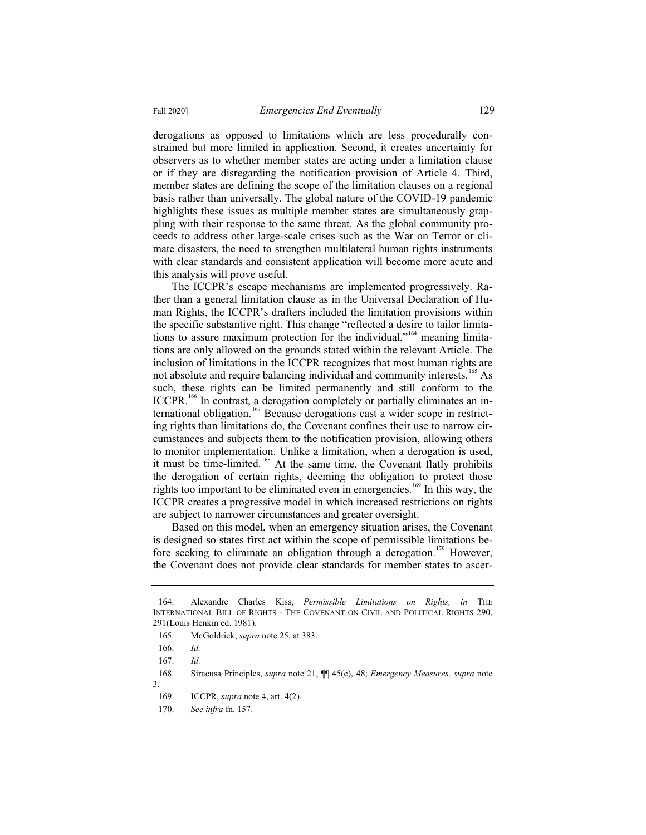derogations as opposed to limitations which are less procedurally constrained but more limited in application. Second, it creates uncertainty for observers as to whether member states are acting under a limitation clause or if they are disregarding the notification provision of Article 4. Third, member states are defining the scope of the limitation clauses on a regional basis rather than universally. The global nature of the COVID-19 pandemic highlights these issues as multiple member states are simultaneously grappling with their response to the same threat. As the global community proceeds to address other large-scale crises such as the War on Terror or climate disasters, the need to strengthen multilateral human rights instruments with clear standards and consistent application will become more acute and this analysis will prove useful.

The ICCPR's escape mechanisms are implemented progressively. Rather than a general limitation clause as in the Universal Declaration of Human Rights, the ICCPR's drafters included the limitation provisions within the specific substantive right. This change "reflected a desire to tailor limitations to assure maximum protection for the individual,"<sup>164</sup> meaning limitations are only allowed on the grounds stated within the relevant Article. The inclusion of limitations in the ICCPR recognizes that most human rights are not absolute and require balancing individual and community interests.<sup>165</sup> As such, these rights can be limited permanently and still conform to the ICCPR.<sup>166</sup> In contrast, a derogation completely or partially eliminates an international obligation.<sup>167</sup> Because derogations cast a wider scope in restricting rights than limitations do, the Covenant confines their use to narrow circumstances and subjects them to the notification provision, allowing others to monitor implementation. Unlike a limitation, when a derogation is used, it must be time-limited.<sup>168</sup> At the same time, the Covenant flatly prohibits the derogation of certain rights, deeming the obligation to protect those rights too important to be eliminated even in emergencies.<sup>169</sup> In this way, the ICCPR creates a progressive model in which increased restrictions on rights are subject to narrower circumstances and greater oversight.

Based on this model, when an emergency situation arises, the Covenant is designed so states first act within the scope of permissible limitations before seeking to eliminate an obligation through a derogation.<sup>170</sup> However, the Covenant does not provide clear standards for member states to ascer-

<sup>164.</sup> Alexandre Charles Kiss, *Permissible Limitations on Rights, in* THE INTERNATIONAL BILL OF RIGHTS - THE COVENANT ON CIVIL AND POLITICAL RIGHTS 290, 291(Louis Henkin ed. 1981).

<sup>165.</sup> McGoldrick, *supra* note 25, at 383.

<sup>166.</sup> *Id.*

<sup>167.</sup> *Id.*

<sup>168.</sup> Siracusa Principles, *supra* note 21, ¶¶ 45(c), 48; *Emergency Measures, supra* note 3.

<sup>169.</sup> ICCPR, *supra* note 4, art. 4(2).

<sup>170.</sup> *See infra* fn. 157.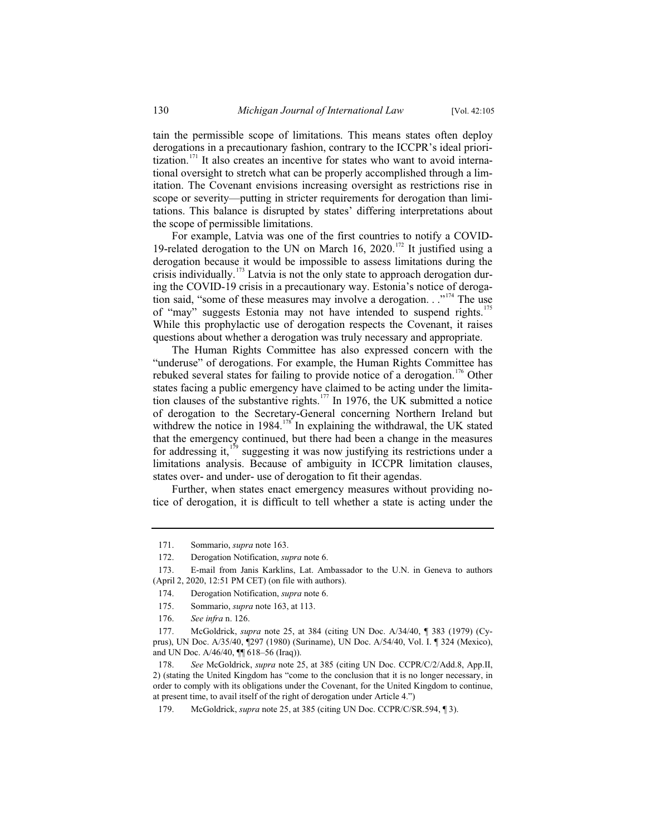tain the permissible scope of limitations. This means states often deploy derogations in a precautionary fashion, contrary to the ICCPR's ideal prioritization.<sup>171</sup> It also creates an incentive for states who want to avoid international oversight to stretch what can be properly accomplished through a limitation. The Covenant envisions increasing oversight as restrictions rise in scope or severity—putting in stricter requirements for derogation than limitations. This balance is disrupted by states' differing interpretations about the scope of permissible limitations.

For example, Latvia was one of the first countries to notify a COVID-19-related derogation to the UN on March 16, 2020.<sup>172</sup> It justified using a derogation because it would be impossible to assess limitations during the crisis individually.<sup>173</sup> Latvia is not the only state to approach derogation during the COVID-19 crisis in a precautionary way. Estonia's notice of derogation said, "some of these measures may involve a derogation.  $\cdot$ ."<sup>174</sup> The use of "may" suggests Estonia may not have intended to suspend rights.<sup>175</sup> While this prophylactic use of derogation respects the Covenant, it raises questions about whether a derogation was truly necessary and appropriate.

The Human Rights Committee has also expressed concern with the "underuse" of derogations. For example, the Human Rights Committee has rebuked several states for failing to provide notice of a derogation.<sup>176</sup> Other states facing a public emergency have claimed to be acting under the limitation clauses of the substantive rights.<sup>177</sup> In 1976, the UK submitted a notice of derogation to the Secretary-General concerning Northern Ireland but withdrew the notice in 1984.<sup>178</sup> In explaining the withdrawal, the UK stated that the emergency continued, but there had been a change in the measures for addressing it, $1^{79}$  suggesting it was now justifying its restrictions under a limitations analysis. Because of ambiguity in ICCPR limitation clauses, states over- and under- use of derogation to fit their agendas.

Further, when states enact emergency measures without providing notice of derogation, it is difficult to tell whether a state is acting under the

<sup>171.</sup> Sommario, *supra* note 163.

<sup>172.</sup> Derogation Notification, *supra* note 6.

<sup>173.</sup> E-mail from Janis Karklins, Lat. Ambassador to the U.N. in Geneva to authors (April 2, 2020, 12:51 PM CET) (on file with authors).

<sup>174.</sup> Derogation Notification, *supra* note 6.

<sup>175.</sup> Sommario, *supra* note 163, at 113.

<sup>176.</sup> *See infra* n. 126.

<sup>177.</sup> McGoldrick, *supra* note 25, at 384 (citing UN Doc. A/34/40, ¶ 383 (1979) (Cyprus), UN Doc. A/35/40, ¶297 (1980) (Suriname), UN Doc. A/54/40, Vol. I. ¶ 324 (Mexico), and UN Doc. A/46/40, ¶¶ 618–56 (Iraq)).

<sup>178.</sup> *See* McGoldrick, *supra* note 25, at 385 (citing UN Doc. CCPR/C/2/Add.8, App.II, 2) (stating the United Kingdom has "come to the conclusion that it is no longer necessary, in order to comply with its obligations under the Covenant, for the United Kingdom to continue, at present time, to avail itself of the right of derogation under Article 4.")

<sup>179.</sup> McGoldrick, *supra* note 25, at 385 (citing UN Doc. CCPR/C/SR.594, ¶ 3).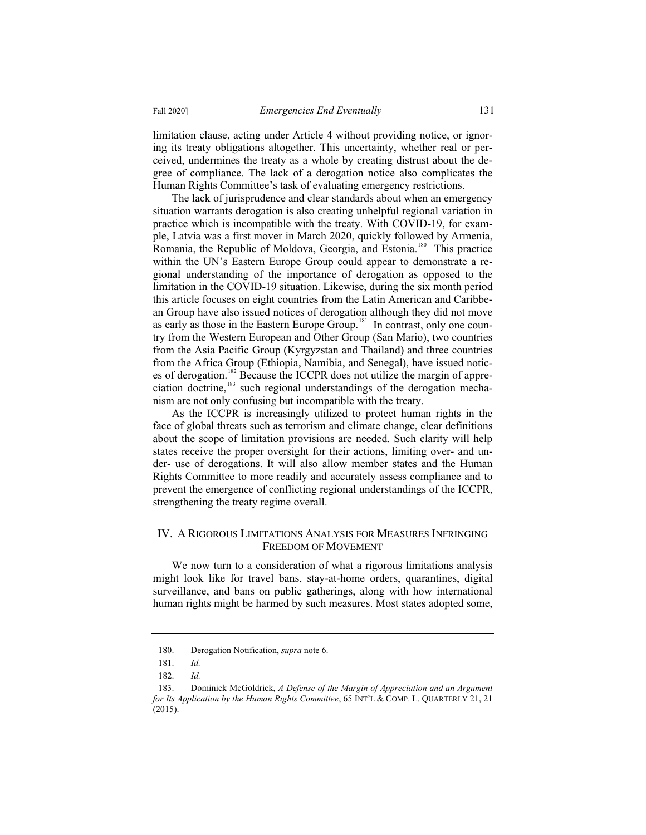limitation clause, acting under Article 4 without providing notice, or ignoring its treaty obligations altogether. This uncertainty, whether real or perceived, undermines the treaty as a whole by creating distrust about the degree of compliance. The lack of a derogation notice also complicates the Human Rights Committee's task of evaluating emergency restrictions.

The lack of jurisprudence and clear standards about when an emergency situation warrants derogation is also creating unhelpful regional variation in practice which is incompatible with the treaty. With COVID-19, for example, Latvia was a first mover in March 2020, quickly followed by Armenia, Romania, the Republic of Moldova, Georgia, and Estonia.<sup>180</sup> This practice within the UN's Eastern Europe Group could appear to demonstrate a regional understanding of the importance of derogation as opposed to the limitation in the COVID-19 situation. Likewise, during the six month period this article focuses on eight countries from the Latin American and Caribbean Group have also issued notices of derogation although they did not move as early as those in the Eastern Europe Group.<sup>181</sup> In contrast, only one country from the Western European and Other Group (San Mario), two countries from the Asia Pacific Group (Kyrgyzstan and Thailand) and three countries from the Africa Group (Ethiopia, Namibia, and Senegal), have issued notices of derogation.<sup>182</sup> Because the ICCPR does not utilize the margin of appreciation doctrine,<sup>183</sup> such regional understandings of the derogation mechanism are not only confusing but incompatible with the treaty.

As the ICCPR is increasingly utilized to protect human rights in the face of global threats such as terrorism and climate change, clear definitions about the scope of limitation provisions are needed. Such clarity will help states receive the proper oversight for their actions, limiting over- and under- use of derogations. It will also allow member states and the Human Rights Committee to more readily and accurately assess compliance and to prevent the emergence of conflicting regional understandings of the ICCPR, strengthening the treaty regime overall.

#### IV. A RIGOROUS LIMITATIONS ANALYSIS FOR MEASURES INFRINGING FREEDOM OF MOVEMENT

We now turn to a consideration of what a rigorous limitations analysis might look like for travel bans, stay-at-home orders, quarantines, digital surveillance, and bans on public gatherings, along with how international human rights might be harmed by such measures. Most states adopted some,

<sup>180.</sup> Derogation Notification, *supra* note 6.

<sup>181.</sup> *Id.*

<sup>182.</sup> *Id.*

<sup>183.</sup> Dominick McGoldrick, *A Defense of the Margin of Appreciation and an Argument for Its Application by the Human Rights Committee*, 65 INT'L & COMP. L. QUARTERLY 21, 21 (2015).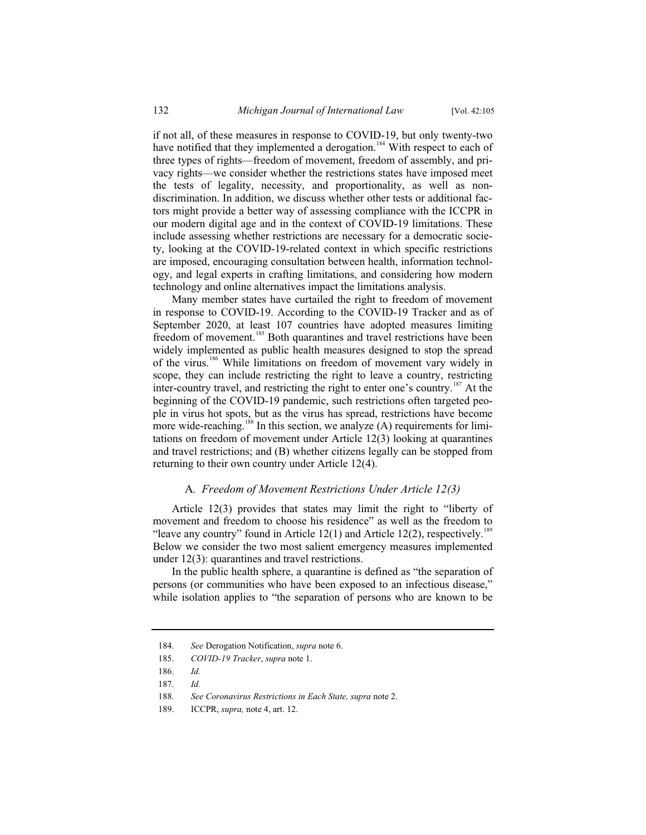if not all, of these measures in response to COVID-19, but only twenty-two have notified that they implemented a derogation.<sup>184</sup> With respect to each of three types of rights—freedom of movement, freedom of assembly, and privacy rights—we consider whether the restrictions states have imposed meet the tests of legality, necessity, and proportionality, as well as nondiscrimination. In addition, we discuss whether other tests or additional factors might provide a better way of assessing compliance with the ICCPR in our modern digital age and in the context of COVID-19 limitations. These include assessing whether restrictions are necessary for a democratic society, looking at the COVID-19-related context in which specific restrictions are imposed, encouraging consultation between health, information technology, and legal experts in crafting limitations, and considering how modern technology and online alternatives impact the limitations analysis.

Many member states have curtailed the right to freedom of movement in response to COVID-19. According to the COVID-19 Tracker and as of September 2020, at least 107 countries have adopted measures limiting freedom of movement.<sup>185</sup> Both quarantines and travel restrictions have been widely implemented as public health measures designed to stop the spread of the virus.<sup>186</sup> While limitations on freedom of movement vary widely in scope, they can include restricting the right to leave a country, restricting inter-country travel, and restricting the right to enter one's country.<sup>187</sup> At the beginning of the COVID-19 pandemic, such restrictions often targeted people in virus hot spots, but as the virus has spread, restrictions have become more wide-reaching.<sup>188</sup> In this section, we analyze  $(A)$  requirements for limitations on freedom of movement under Article 12(3) looking at quarantines and travel restrictions; and (B) whether citizens legally can be stopped from returning to their own country under Article 12(4).

#### A*. Freedom of Movement Restrictions Under Article 12(3)*

Article 12(3) provides that states may limit the right to "liberty of movement and freedom to choose his residence" as well as the freedom to "leave any country" found in Article  $12(1)$  and Article  $12(2)$ , respectively.<sup>1</sup> Below we consider the two most salient emergency measures implemented under 12(3): quarantines and travel restrictions.

In the public health sphere, a quarantine is defined as "the separation of persons (or communities who have been exposed to an infectious disease," while isolation applies to "the separation of persons who are known to be

<sup>184.</sup> *See* Derogation Notification, *supra* note 6.

<sup>185.</sup> *COVID-19 Tracker*, *supra* note 1.

<sup>186.</sup> *Id.*

<sup>187.</sup> *Id.*

<sup>188</sup>*. See Coronavirus Restrictions in Each State, supra* note 2.

<sup>189.</sup> ICCPR, *supra,* note 4, art. 12.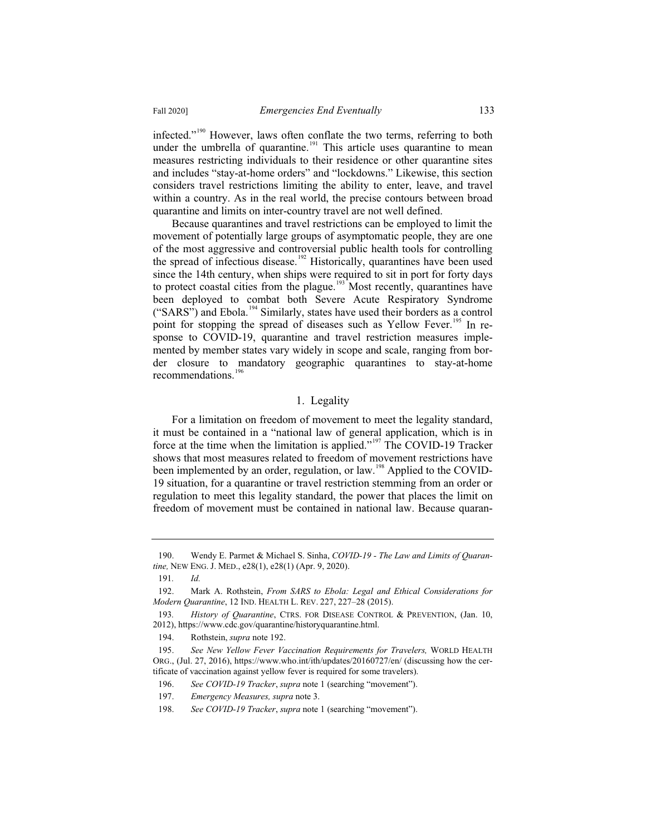infected."<sup>190</sup> However, laws often conflate the two terms, referring to both under the umbrella of quarantine.<sup>191</sup> This article uses quarantine to mean measures restricting individuals to their residence or other quarantine sites and includes "stay-at-home orders" and "lockdowns." Likewise, this section considers travel restrictions limiting the ability to enter, leave, and travel within a country. As in the real world, the precise contours between broad quarantine and limits on inter-country travel are not well defined.

Because quarantines and travel restrictions can be employed to limit the movement of potentially large groups of asymptomatic people, they are one of the most aggressive and controversial public health tools for controlling the spread of infectious disease.<sup>192</sup> Historically, quarantines have been used since the 14th century, when ships were required to sit in port for forty days to protect coastal cities from the plague.<sup>193</sup> Most recently, quarantines have been deployed to combat both Severe Acute Respiratory Syndrome ("SARS") and Ebola.<sup>194</sup> Similarly, states have used their borders as a control point for stopping the spread of diseases such as Yellow Fever.<sup>195</sup> In response to COVID-19, quarantine and travel restriction measures implemented by member states vary widely in scope and scale, ranging from border closure to mandatory geographic quarantines to stay-at-home recommendations.<sup>196</sup>

# 1. Legality

For a limitation on freedom of movement to meet the legality standard, it must be contained in a "national law of general application, which is in force at the time when the limitation is applied."<sup>197</sup> The COVID-19 Tracker shows that most measures related to freedom of movement restrictions have been implemented by an order, regulation, or law.<sup>198</sup> Applied to the COVID-19 situation, for a quarantine or travel restriction stemming from an order or regulation to meet this legality standard, the power that places the limit on freedom of movement must be contained in national law. Because quaran-

191*. Id.*

<sup>190.</sup> Wendy E. Parmet & Michael S. Sinha, *COVID-19 - The Law and Limits of Quarantine,* NEW ENG. J. MED., e28(1), e28(1) (Apr. 9, 2020).

<sup>192.</sup> Mark A. Rothstein, *From SARS to Ebola: Legal and Ethical Considerations for Modern Quarantine*, 12 IND. HEALTH L. REV. 227, 227–28 (2015).

<sup>193</sup>*. History of Quarantine*, CTRS. FOR DISEASE CONTROL & PREVENTION, (Jan. 10, 2012), https://www.cdc.gov/quarantine/historyquarantine.html.

<sup>194.</sup> Rothstein, *supra* note 192.

<sup>195.</sup> *See New Yellow Fever Vaccination Requirements for Travelers,* WORLD HEALTH ORG., (Jul. 27, 2016), https://www.who.int/ith/updates/20160727/en/ (discussing how the certificate of vaccination against yellow fever is required for some travelers).

<sup>196.</sup> *See COVID-19 Tracker*, *supra* note 1 (searching "movement").

<sup>197.</sup> *Emergency Measures, supra* note 3.

<sup>198.</sup> *See COVID-19 Tracker*, *supra* note 1 (searching "movement").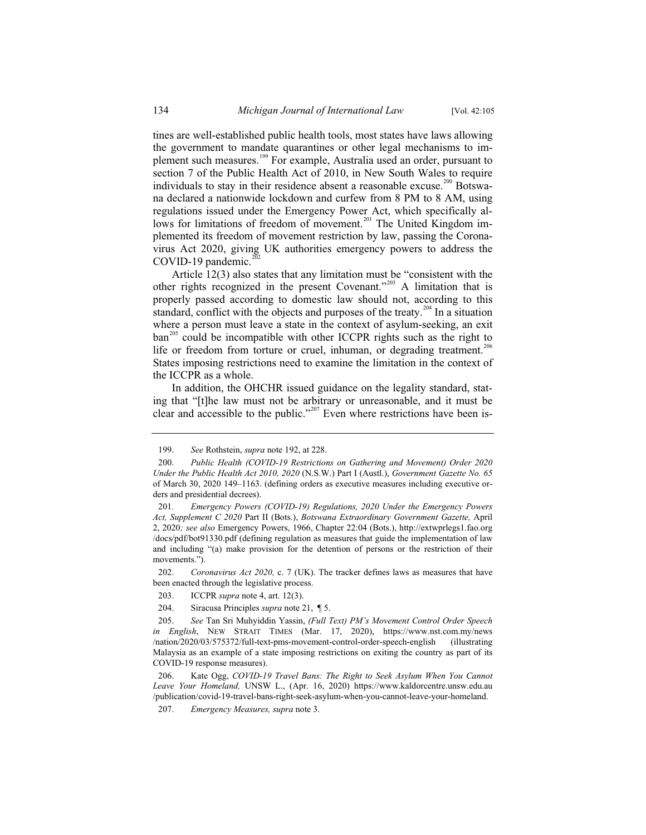tines are well-established public health tools, most states have laws allowing the government to mandate quarantines or other legal mechanisms to implement such measures.<sup>199</sup> For example, Australia used an order, pursuant to section 7 of the Public Health Act of 2010, in New South Wales to require individuals to stay in their residence absent a reasonable excuse.<sup>200</sup> Botswana declared a nationwide lockdown and curfew from 8 PM to 8 AM, using regulations issued under the Emergency Power Act, which specifically allows for limitations of freedom of movement.<sup>201</sup> The United Kingdom implemented its freedom of movement restriction by law, passing the Coronavirus Act 2020, giving UK authorities emergency powers to address the COVID-19 pandemic. $^{2\overline{0}2}$ 

Article 12(3) also states that any limitation must be "consistent with the other rights recognized in the present Covenant."<sup>203</sup> A limitation that is properly passed according to domestic law should not, according to this standard, conflict with the objects and purposes of the treaty.<sup>204</sup> In a situation where a person must leave a state in the context of asylum-seeking, an exit ban<sup>205</sup> could be incompatible with other ICCPR rights such as the right to life or freedom from torture or cruel, inhuman, or degrading treatment.<sup>206</sup> States imposing restrictions need to examine the limitation in the context of the ICCPR as a whole.

In addition, the OHCHR issued guidance on the legality standard, stating that "[t]he law must not be arbitrary or unreasonable, and it must be clear and accessible to the public."<sup>207</sup> Even where restrictions have been is-

202. *Coronavirus Act 2020,* c. 7 (UK). The tracker defines laws as measures that have been enacted through the legislative process.

204. Siracusa Principles *supra* note 21, ¶ 5.

<sup>199.</sup> *See* Rothstein, *supra* note 192, at 228.

<sup>200.</sup> *Public Health (COVID-19 Restrictions on Gathering and Movement) Order 2020 Under the Public Health Act 2010, 2020* (N.S.W.) Part I (Austl.), *Government Gazette No. 65*  of March 30, 2020 149–1163. (defining orders as executive measures including executive orders and presidential decrees).

<sup>201</sup>*. Emergency Powers (COVID-19) Regulations, 2020 Under the Emergency Powers Act, Supplement C 2020* Part II (Bots.), *Botswana Extraordinary Government Gazette,* April 2, 2020*; see also* Emergency Powers, 1966, Chapter 22:04 (Bots.), http://extwprlegs1.fao.org /docs/pdf/bot91330.pdf (defining regulation as measures that guide the implementation of law and including "(a) make provision for the detention of persons or the restriction of their movements.").

<sup>203.</sup> ICCPR *supra* note 4, art. 12(3).

<sup>205.</sup> *See* Tan Sri Muhyiddin Yassin, *(Full Text) PM's Movement Control Order Speech in English*, NEW STRAIT TIMES (Mar. 17, 2020), https://www.nst.com.my/news /nation/2020/03/575372/full-text-pms-movement-control-order-speech-english (illustrating Malaysia as an example of a state imposing restrictions on exiting the country as part of its COVID-19 response measures).

<sup>206.</sup> Kate Ogg, *COVID-19 Travel Bans: The Right to Seek Asylum When You Cannot Leave Your Homeland,* UNSW L., (Apr. 16, 2020) https://www.kaldorcentre.unsw.edu.au /publication/covid-19-travel-bans-right-seek-asylum-when-you-cannot-leave-your-homeland.

<sup>207.</sup> *Emergency Measures, supra* note 3.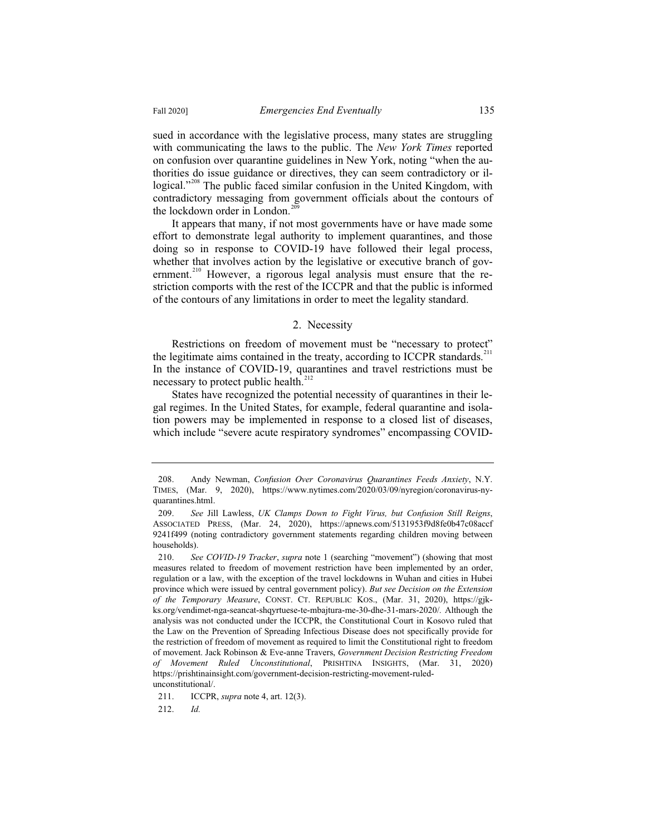sued in accordance with the legislative process, many states are struggling with communicating the laws to the public. The *New York Times* reported on confusion over quarantine guidelines in New York, noting "when the authorities do issue guidance or directives, they can seem contradictory or illogical."<sup>208</sup> The public faced similar confusion in the United Kingdom, with contradictory messaging from government officials about the contours of the lockdown order in London.<sup>20</sup>

It appears that many, if not most governments have or have made some effort to demonstrate legal authority to implement quarantines, and those doing so in response to COVID-19 have followed their legal process, whether that involves action by the legislative or executive branch of government.<sup>210</sup> However, a rigorous legal analysis must ensure that the restriction comports with the rest of the ICCPR and that the public is informed of the contours of any limitations in order to meet the legality standard.

#### 2. Necessity

Restrictions on freedom of movement must be "necessary to protect" the legitimate aims contained in the treaty, according to ICCPR standards.<sup>211</sup> In the instance of COVID-19, quarantines and travel restrictions must be necessary to protect public health.<sup>212</sup>

States have recognized the potential necessity of quarantines in their legal regimes. In the United States, for example, federal quarantine and isolation powers may be implemented in response to a closed list of diseases, which include "severe acute respiratory syndromes" encompassing COVID-

212. *Id.*

<sup>208.</sup> Andy Newman, *Confusion Over Coronavirus Quarantines Feeds Anxiety*, N.Y. TIMES, (Mar. 9, 2020), https://www.nytimes.com/2020/03/09/nyregion/coronavirus-nyquarantines.html.

<sup>209.</sup> *See* Jill Lawless, *UK Clamps Down to Fight Virus, but Confusion Still Reigns*, ASSOCIATED PRESS, (Mar. 24, 2020), https://apnews.com/5131953f9d8fe0b47c08accf 9241f499 (noting contradictory government statements regarding children moving between households).

<sup>210.</sup> *See COVID-19 Tracker*, *supra* note 1 (searching "movement") (showing that most measures related to freedom of movement restriction have been implemented by an order, regulation or a law, with the exception of the travel lockdowns in Wuhan and cities in Hubei province which were issued by central government policy). *But see Decision on the Extension of the Temporary Measure*, CONST. CT. REPUBLIC KOS., (Mar. 31, 2020), https://gjkks.org/vendimet-nga-seancat-shqyrtuese-te-mbajtura-me-30-dhe-31-mars-2020/*.* Although the analysis was not conducted under the ICCPR, the Constitutional Court in Kosovo ruled that the Law on the Prevention of Spreading Infectious Disease does not specifically provide for the restriction of freedom of movement as required to limit the Constitutional right to freedom of movement. Jack Robinson & Eve-anne Travers, *Government Decision Restricting Freedom of Movement Ruled Unconstitutional*, PRISHTINA INSIGHTS, (Mar. 31, 2020) https://prishtinainsight.com/government-decision-restricting-movement-ruledunconstitutional/.

<sup>211.</sup> ICCPR, *supra* note 4, art. 12(3).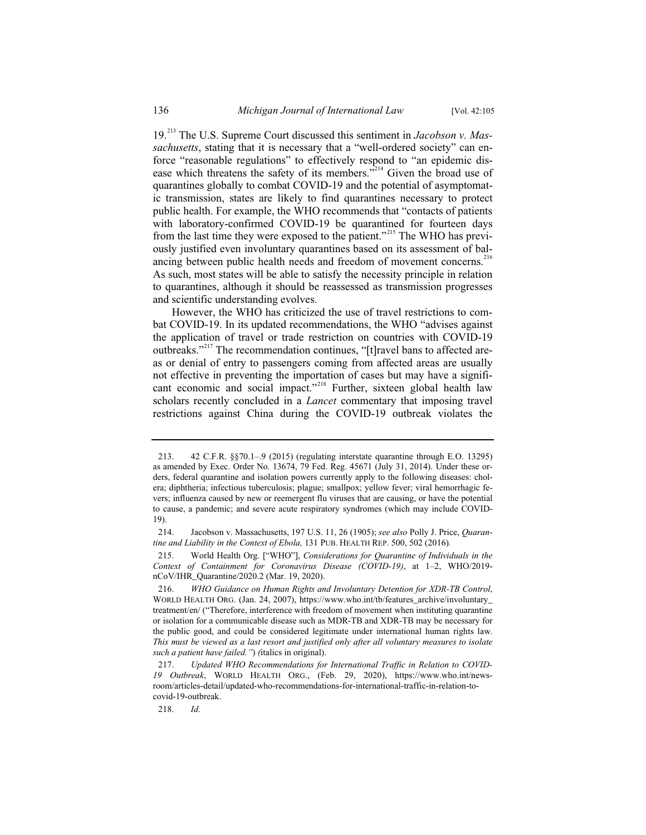19.<sup>213</sup> The U.S. Supreme Court discussed this sentiment in *Jacobson v. Massachusetts*, stating that it is necessary that a "well-ordered society" can enforce "reasonable regulations" to effectively respond to "an epidemic disease which threatens the safety of its members."<sup>214</sup> Given the broad use of quarantines globally to combat COVID-19 and the potential of asymptomatic transmission, states are likely to find quarantines necessary to protect public health. For example, the WHO recommends that "contacts of patients with laboratory-confirmed COVID-19 be quarantined for fourteen days from the last time they were exposed to the patient."<sup>215</sup> The WHO has previously justified even involuntary quarantines based on its assessment of balancing between public health needs and freedom of movement concerns.<sup>216</sup> As such, most states will be able to satisfy the necessity principle in relation to quarantines, although it should be reassessed as transmission progresses and scientific understanding evolves.

However, the WHO has criticized the use of travel restrictions to combat COVID-19. In its updated recommendations, the WHO "advises against the application of travel or trade restriction on countries with COVID-19 outbreaks."<sup>217</sup> The recommendation continues, "[t]ravel bans to affected areas or denial of entry to passengers coming from affected areas are usually not effective in preventing the importation of cases but may have a significant economic and social impact."<sup>218</sup> Further, sixteen global health law scholars recently concluded in a *Lancet* commentary that imposing travel restrictions against China during the COVID-19 outbreak violates the

<sup>213. 42</sup> C.F.R. §§70.1–.9 (2015) (regulating interstate quarantine through E.O. 13295) as amended by Exec. Order No. 13674, 79 Fed. Reg. 45671 (July 31, 2014). Under these orders, federal quarantine and isolation powers currently apply to the following diseases: cholera; diphtheria; infectious tuberculosis; plague; smallpox; yellow fever; viral hemorrhagic fevers; influenza caused by new or reemergent flu viruses that are causing, or have the potential to cause, a pandemic; and severe acute respiratory syndromes (which may include COVID-19).

<sup>214.</sup> Jacobson v. Massachusetts, 197 U.S. 11, 26 (1905); *see also* Polly J. Price, *Quarantine and Liability in the Context of Ebola,* 131 PUB. HEALTH REP. 500, 502 (2016)*.*

<sup>215.</sup> World Health Org. ["WHO"], *Considerations for Quarantine of Individuals in the Context of Containment for Coronavirus Disease (COVID-19)*, at 1–2, WHO/2019 nCoV/IHR\_Quarantine/2020.2 (Mar. 19, 2020).

<sup>216.</sup> *WHO Guidance on Human Rights and Involuntary Detention for XDR-TB Control*, WORLD HEALTH ORG. (Jan. 24, 2007), https://www.who.int/tb/features\_archive/involuntary\_ treatment/en/ ("Therefore, interference with freedom of movement when instituting quarantine or isolation for a communicable disease such as MDR-TB and XDR-TB may be necessary for the public good, and could be considered legitimate under international human rights law. *This must be viewed as a last resort and justified only after all voluntary measures to isolate such a patient have failed."*) *(*italics in original).

<sup>217.</sup> *Updated WHO Recommendations for International Traffic in Relation to COVID-19 Outbreak*, WORLD HEALTH ORG., (Feb. 29, 2020), https://www.who.int/newsroom/articles-detail/updated-who-recommendations-for-international-traffic-in-relation-tocovid-19-outbreak.

<sup>218.</sup> *Id.*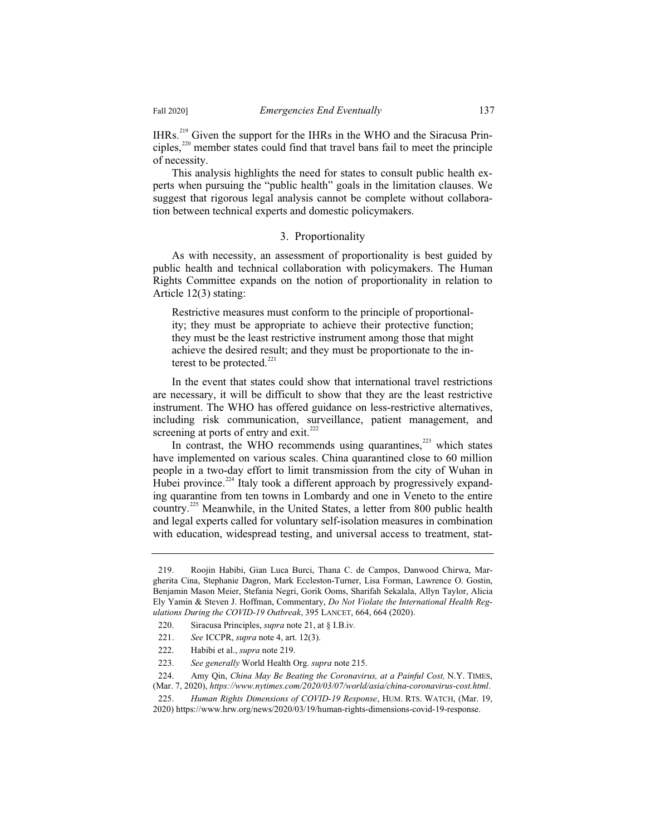IHRs.<sup>219</sup> Given the support for the IHRs in the WHO and the Siracusa Principles.<sup>220</sup> member states could find that travel bans fail to meet the principle of necessity.

This analysis highlights the need for states to consult public health experts when pursuing the "public health" goals in the limitation clauses. We suggest that rigorous legal analysis cannot be complete without collaboration between technical experts and domestic policymakers.

#### 3. Proportionality

As with necessity, an assessment of proportionality is best guided by public health and technical collaboration with policymakers. The Human Rights Committee expands on the notion of proportionality in relation to Article 12(3) stating:

Restrictive measures must conform to the principle of proportionality; they must be appropriate to achieve their protective function; they must be the least restrictive instrument among those that might achieve the desired result; and they must be proportionate to the interest to be protected. $221$ 

In the event that states could show that international travel restrictions are necessary, it will be difficult to show that they are the least restrictive instrument. The WHO has offered guidance on less-restrictive alternatives, including risk communication, surveillance, patient management, and screening at ports of entry and exit. $222$ 

In contrast, the WHO recommends using quarantines, $223$  which states have implemented on various scales. China quarantined close to 60 million people in a two-day effort to limit transmission from the city of Wuhan in Hubei province.<sup>224</sup> Italy took a different approach by progressively expanding quarantine from ten towns in Lombardy and one in Veneto to the entire country.<sup>225</sup> Meanwhile, in the United States, a letter from 800 public health and legal experts called for voluntary self-isolation measures in combination with education, widespread testing, and universal access to treatment, stat-

224. Amy Qin, *China May Be Beating the Coronavirus, at a Painful Cost,* N.Y. TIMES, (Mar. 7, 2020), *https://www.nytimes.com/2020/03/07/world/asia/china-coronavirus-cost.html*.

<sup>219.</sup> Roojin Habibi, Gian Luca Burci, Thana C. de Campos, Danwood Chirwa, Margherita Cina, Stephanie Dagron, Mark Eccleston-Turner, Lisa Forman, Lawrence O. Gostin, Benjamin Mason Meier, Stefania Negri, Gorik Ooms, Sharifah Sekalala, Allyn Taylor, Alicia Ely Yamin & Steven J. Hoffman, Commentary, *Do Not Violate the International Health Regulations During the COVID-19 Outbreak*, 395 LANCET, 664, 664 (2020).

<sup>220.</sup> Siracusa Principles, *supra* note 21, at § I.B.iv*.*

<sup>221.</sup> *See* ICCPR, *supra* note 4, art. 12(3).

<sup>222.</sup> Habibi et al., *supra* note 219.

<sup>223.</sup> *See generally* World Health Org. *supra* note 215.

<sup>225.</sup> *Human Rights Dimensions of COVID-19 Response*, HUM. RTS. WATCH, (Mar. 19, 2020) https://www.hrw.org/news/2020/03/19/human-rights-dimensions-covid-19-response.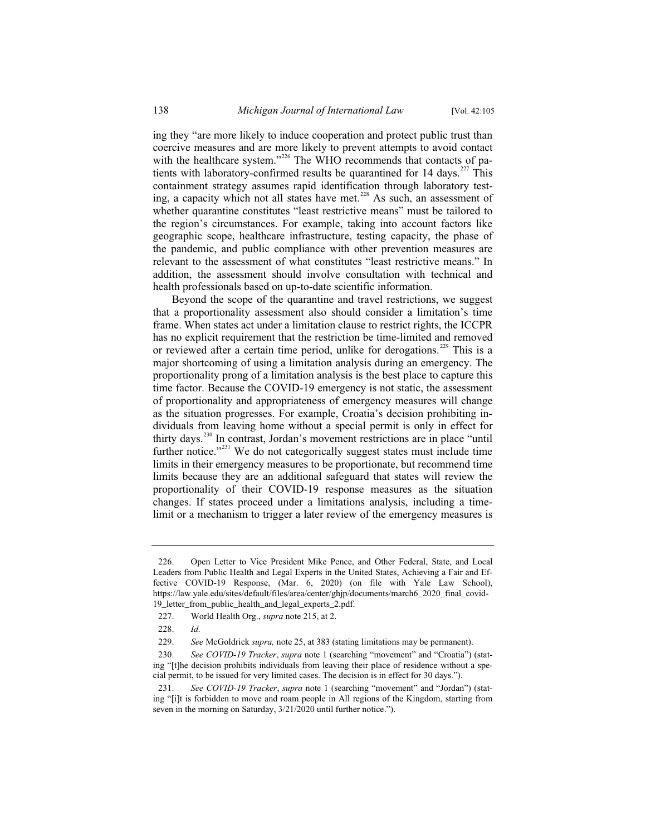ing they "are more likely to induce cooperation and protect public trust than coercive measures and are more likely to prevent attempts to avoid contact with the healthcare system."<sup>226</sup> The WHO recommends that contacts of patients with laboratory-confirmed results be quarantined for 14 days.<sup>227</sup> This containment strategy assumes rapid identification through laboratory testing, a capacity which not all states have met.<sup>228</sup> As such, an assessment of whether quarantine constitutes "least restrictive means" must be tailored to the region's circumstances. For example, taking into account factors like geographic scope, healthcare infrastructure, testing capacity, the phase of the pandemic, and public compliance with other prevention measures are relevant to the assessment of what constitutes "least restrictive means." In addition, the assessment should involve consultation with technical and health professionals based on up-to-date scientific information.

Beyond the scope of the quarantine and travel restrictions, we suggest that a proportionality assessment also should consider a limitation's time frame. When states act under a limitation clause to restrict rights, the ICCPR has no explicit requirement that the restriction be time-limited and removed or reviewed after a certain time period, unlike for derogations.<sup>229</sup> This is a major shortcoming of using a limitation analysis during an emergency. The proportionality prong of a limitation analysis is the best place to capture this time factor. Because the COVID-19 emergency is not static, the assessment of proportionality and appropriateness of emergency measures will change as the situation progresses. For example, Croatia's decision prohibiting individuals from leaving home without a special permit is only in effect for thirty days.<sup>230</sup> In contrast, Jordan's movement restrictions are in place "until further notice."<sup>231</sup> We do not categorically suggest states must include time limits in their emergency measures to be proportionate, but recommend time limits because they are an additional safeguard that states will review the proportionality of their COVID-19 response measures as the situation changes. If states proceed under a limitations analysis, including a timelimit or a mechanism to trigger a later review of the emergency measures is

<sup>226.</sup> Open Letter to Vice President Mike Pence, and Other Federal, State, and Local Leaders from Public Health and Legal Experts in the United States, Achieving a Fair and Effective COVID-19 Response, (Mar. 6, 2020) (on file with Yale Law School), https://law.yale.edu/sites/default/files/area/center/ghjp/documents/march6\_2020\_final\_covid-19\_letter\_from\_public\_health\_and\_legal\_experts\_2.pdf.

<sup>227.</sup> World Health Org., *supra* note 215, at 2.

<sup>228.</sup> *Id.*

<sup>229.</sup> *See* McGoldrick *supra,* note 25, at 383 (stating limitations may be permanent).

<sup>230.</sup> *See COVID-19 Tracker*, *supra* note 1 (searching "movement" and "Croatia") (stating "[t]he decision prohibits individuals from leaving their place of residence without a special permit, to be issued for very limited cases. The decision is in effect for 30 days.").

<sup>231.</sup> *See COVID-19 Tracker*, *supra* note 1 (searching "movement" and "Jordan") (stating "[i]t is forbidden to move and roam people in All regions of the Kingdom, starting from seven in the morning on Saturday, 3/21/2020 until further notice.").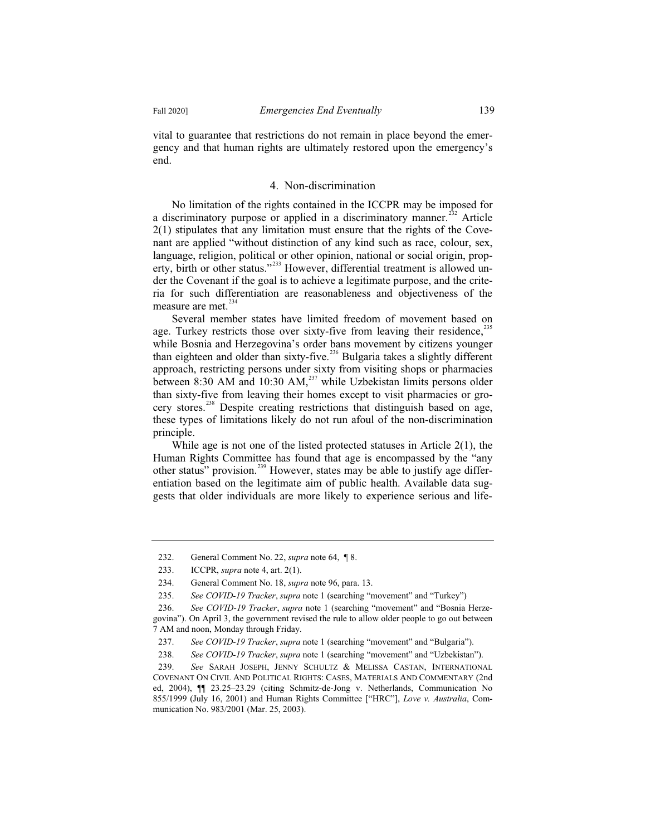vital to guarantee that restrictions do not remain in place beyond the emergency and that human rights are ultimately restored upon the emergency's end.

#### 4. Non-discrimination

No limitation of the rights contained in the ICCPR may be imposed for a discriminatory purpose or applied in a discriminatory manner.<sup>232</sup> Article 2(1) stipulates that any limitation must ensure that the rights of the Covenant are applied "without distinction of any kind such as race, colour, sex, language, religion, political or other opinion, national or social origin, property, birth or other status."<sup>233</sup> However, differential treatment is allowed under the Covenant if the goal is to achieve a legitimate purpose, and the criteria for such differentiation are reasonableness and objectiveness of the measure are met.<sup>234</sup>

Several member states have limited freedom of movement based on age. Turkey restricts those over sixty-five from leaving their residence,<sup>2</sup> while Bosnia and Herzegovina's order bans movement by citizens younger than eighteen and older than sixty-five.<sup>236</sup> Bulgaria takes a slightly different approach, restricting persons under sixty from visiting shops or pharmacies between 8:30 AM and 10:30 AM,<sup>237</sup> while Uzbekistan limits persons older than sixty-five from leaving their homes except to visit pharmacies or grocery stores.<sup>238</sup> Despite creating restrictions that distinguish based on age, these types of limitations likely do not run afoul of the non-discrimination principle.

While age is not one of the listed protected statuses in Article 2(1), the Human Rights Committee has found that age is encompassed by the "any other status" provision.<sup>239</sup> However, states may be able to justify age differentiation based on the legitimate aim of public health. Available data suggests that older individuals are more likely to experience serious and life-

<sup>232.</sup> General Comment No. 22, *supra* note 64, ¶ 8.

<sup>233.</sup> ICCPR, *supra* note 4, art. 2(1).

<sup>234.</sup> General Comment No. 18, *supra* note 96, para. 13.

<sup>235.</sup> *See COVID-19 Tracker*, *supra* note 1 (searching "movement" and "Turkey")

<sup>236.</sup> *See COVID-19 Tracker*, *supra* note 1 (searching "movement" and "Bosnia Herzegovina"). On April 3, the government revised the rule to allow older people to go out between 7 AM and noon, Monday through Friday.

<sup>237.</sup> *See COVID-19 Tracker*, *supra* note 1 (searching "movement" and "Bulgaria").

<sup>238.</sup> *See COVID-19 Tracker*, *supra* note 1 (searching "movement" and "Uzbekistan").

<sup>239.</sup> *See* SARAH JOSEPH, JENNY SCHULTZ & MELISSA CASTAN, INTERNATIONAL COVENANT ON CIVIL AND POLITICAL RIGHTS: CASES, MATERIALS AND COMMENTARY (2nd ed, 2004), ¶¶ 23.25–23.29 (citing Schmitz-de-Jong v. Netherlands, Communication No 855/1999 (July 16, 2001) and Human Rights Committee ["HRC"], *Love v. Australia*, Communication No. 983/2001 (Mar. 25, 2003).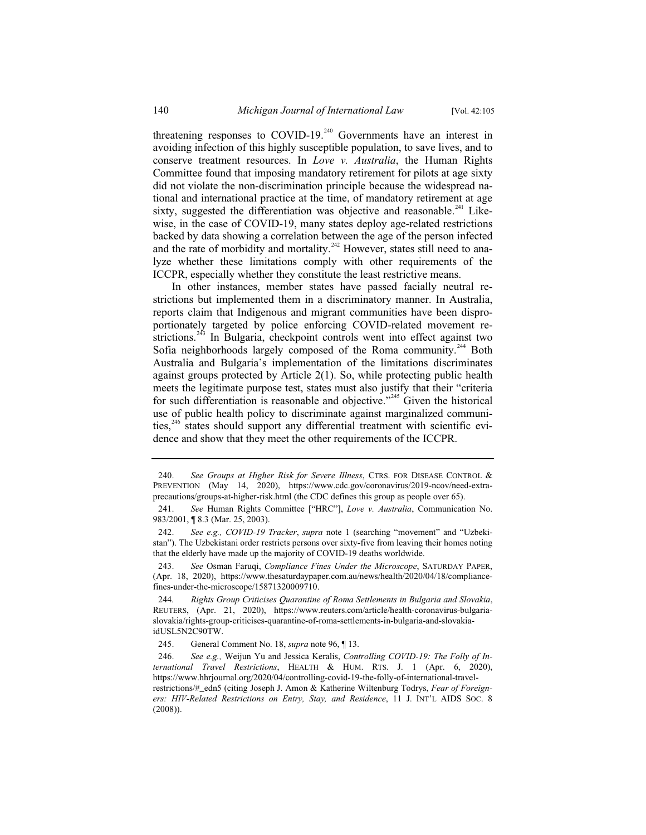threatening responses to COVID-19.<sup>240</sup> Governments have an interest in avoiding infection of this highly susceptible population, to save lives, and to conserve treatment resources. In *Love v. Australia*, the Human Rights Committee found that imposing mandatory retirement for pilots at age sixty did not violate the non-discrimination principle because the widespread national and international practice at the time, of mandatory retirement at age sixty, suggested the differentiation was objective and reasonable.<sup>241</sup> Likewise, in the case of COVID-19, many states deploy age-related restrictions backed by data showing a correlation between the age of the person infected and the rate of morbidity and mortality.<sup>242</sup> However, states still need to analyze whether these limitations comply with other requirements of the ICCPR, especially whether they constitute the least restrictive means.

In other instances, member states have passed facially neutral restrictions but implemented them in a discriminatory manner. In Australia, reports claim that Indigenous and migrant communities have been disproportionately targeted by police enforcing COVID-related movement restrictions.<sup>243</sup> In Bulgaria, checkpoint controls went into effect against two Sofia neighborhoods largely composed of the Roma community.<sup>244</sup> Both Australia and Bulgaria's implementation of the limitations discriminates against groups protected by Article 2(1). So, while protecting public health meets the legitimate purpose test, states must also justify that their "criteria for such differentiation is reasonable and objective."<sup>245</sup> Given the historical use of public health policy to discriminate against marginalized communities,<sup>246</sup> states should support any differential treatment with scientific evidence and show that they meet the other requirements of the ICCPR.

243. *See* Osman Faruqi, *Compliance Fines Under the Microscope*, SATURDAY PAPER, (Apr. 18, 2020), https://www.thesaturdaypaper.com.au/news/health/2020/04/18/compliancefines-under-the-microscope/15871320009710.

244*. Rights Group Criticises Quarantine of Roma Settlements in Bulgaria and Slovakia*, REUTERS, (Apr. 21, 2020), https://www.reuters.com/article/health-coronavirus-bulgariaslovakia/rights-group-criticises-quarantine-of-roma-settlements-in-bulgaria-and-slovakiaidUSL5N2C90TW.

245. General Comment No. 18, *supra* note 96, ¶ 13.

<sup>240.</sup> *See Groups at Higher Risk for Severe Illness*, CTRS. FOR DISEASE CONTROL & PREVENTION (May 14, 2020), https://www.cdc.gov/coronavirus/2019-ncov/need-extraprecautions/groups-at-higher-risk.html (the CDC defines this group as people over 65).

<sup>241.</sup> *See* Human Rights Committee ["HRC"], *Love v. Australia*, Communication No. 983/2001, ¶ 8.3 (Mar. 25, 2003).

<sup>242.</sup> *See e.g., COVID-19 Tracker*, *supra* note 1 (searching "movement" and "Uzbekistan"). The Uzbekistani order restricts persons over sixty-five from leaving their homes noting that the elderly have made up the majority of COVID-19 deaths worldwide.

<sup>246.</sup> *See e.g.,* Weijun Yu and Jessica Keralis, *Controlling COVID-19: The Folly of International Travel Restrictions*, HEALTH & HUM. RTS. J. 1 (Apr. 6, 2020), https://www.hhrjournal.org/2020/04/controlling-covid-19-the-folly-of-international-travelrestrictions/#\_edn5 (citing Joseph J. Amon & Katherine Wiltenburg Todrys, *Fear of Foreigners: HIV-Related Restrictions on Entry, Stay, and Residence*, 11 J. INT'L AIDS SOC. 8 (2008)).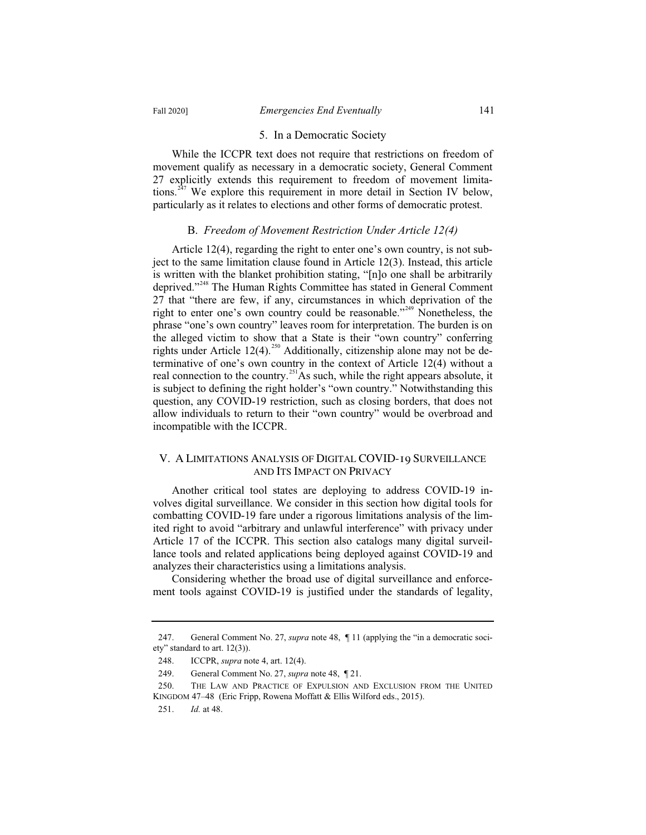#### 5. In a Democratic Society

While the ICCPR text does not require that restrictions on freedom of movement qualify as necessary in a democratic society, General Comment 27 explicitly extends this requirement to freedom of movement limitations.<sup>247</sup> We explore this requirement in more detail in Section IV below, particularly as it relates to elections and other forms of democratic protest.

#### B. *Freedom of Movement Restriction Under Article 12(4)*

Article 12(4), regarding the right to enter one's own country, is not subject to the same limitation clause found in Article 12(3). Instead, this article is written with the blanket prohibition stating, "[n]o one shall be arbitrarily deprived."<sup>248</sup> The Human Rights Committee has stated in General Comment 27 that "there are few, if any, circumstances in which deprivation of the right to enter one's own country could be reasonable."<sup>249</sup> Nonetheless, the phrase "one's own country" leaves room for interpretation. The burden is on the alleged victim to show that a State is their "own country" conferring rights under Article 12(4).<sup>250</sup> Additionally, citizenship alone may not be determinative of one's own country in the context of Article 12(4) without a real connection to the country.<sup>251</sup>As such, while the right appears absolute, it is subject to defining the right holder's "own country." Notwithstanding this question, any COVID-19 restriction, such as closing borders, that does not allow individuals to return to their "own country" would be overbroad and incompatible with the ICCPR.

# V. A LIMITATIONS ANALYSIS OF DIGITAL COVID-19 SURVEILLANCE AND ITS IMPACT ON PRIVACY

Another critical tool states are deploying to address COVID-19 involves digital surveillance. We consider in this section how digital tools for combatting COVID-19 fare under a rigorous limitations analysis of the limited right to avoid "arbitrary and unlawful interference" with privacy under Article 17 of the ICCPR. This section also catalogs many digital surveillance tools and related applications being deployed against COVID-19 and analyzes their characteristics using a limitations analysis.

Considering whether the broad use of digital surveillance and enforcement tools against COVID-19 is justified under the standards of legality,

<sup>247.</sup> General Comment No. 27, *supra* note 48, ¶ 11 (applying the "in a democratic society" standard to art. 12(3)).

<sup>248.</sup> ICCPR, *supra* note 4, art. 12(4).

<sup>249.</sup> General Comment No. 27, *supra* note 48, ¶ 21.

<sup>250.</sup> THE LAW AND PRACTICE OF EXPULSION AND EXCLUSION FROM THE UNITED KINGDOM 47–48 (Eric Fripp, Rowena Moffatt & Ellis Wilford eds., 2015).

<sup>251.</sup> *Id.* at 48.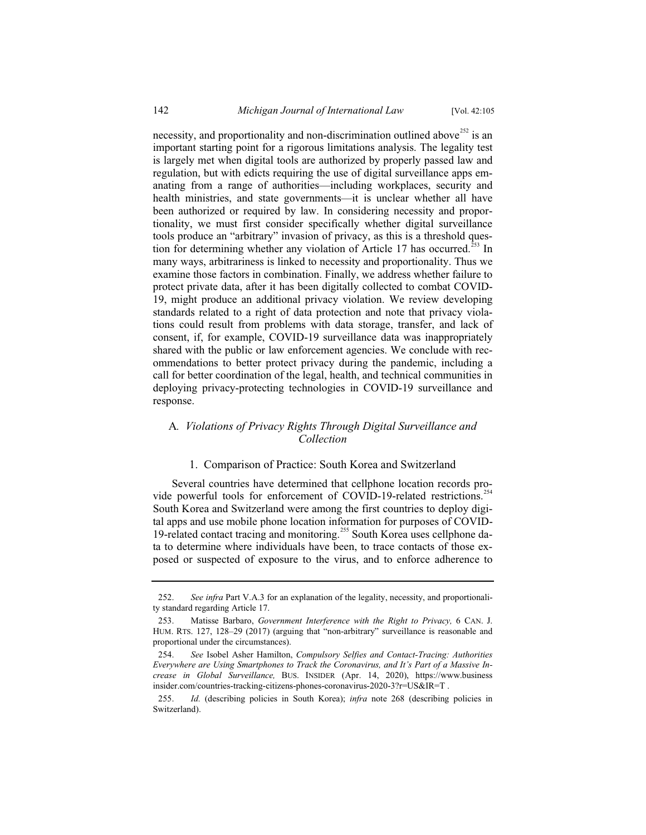necessity, and proportionality and non-discrimination outlined above<sup>252</sup> is an important starting point for a rigorous limitations analysis. The legality test is largely met when digital tools are authorized by properly passed law and regulation, but with edicts requiring the use of digital surveillance apps emanating from a range of authorities—including workplaces, security and health ministries, and state governments—it is unclear whether all have been authorized or required by law. In considering necessity and proportionality, we must first consider specifically whether digital surveillance tools produce an "arbitrary" invasion of privacy, as this is a threshold question for determining whether any violation of Article 17 has occurred.<sup>253</sup> In many ways, arbitrariness is linked to necessity and proportionality. Thus we examine those factors in combination. Finally, we address whether failure to protect private data, after it has been digitally collected to combat COVID-19, might produce an additional privacy violation. We review developing standards related to a right of data protection and note that privacy violations could result from problems with data storage, transfer, and lack of consent, if, for example, COVID-19 surveillance data was inappropriately shared with the public or law enforcement agencies. We conclude with recommendations to better protect privacy during the pandemic, including a call for better coordination of the legal, health, and technical communities in deploying privacy-protecting technologies in COVID-19 surveillance and response.

# A*. Violations of Privacy Rights Through Digital Surveillance and Collection*

### 1. Comparison of Practice: South Korea and Switzerland

Several countries have determined that cellphone location records provide powerful tools for enforcement of COVID-19-related restrictions.<sup>254</sup> South Korea and Switzerland were among the first countries to deploy digital apps and use mobile phone location information for purposes of COVID-19-related contact tracing and monitoring.<sup>255</sup> South Korea uses cellphone data to determine where individuals have been, to trace contacts of those exposed or suspected of exposure to the virus, and to enforce adherence to

<sup>252.</sup> *See infra* Part V.A.3 for an explanation of the legality, necessity, and proportionality standard regarding Article 17.

<sup>253.</sup> Matisse Barbaro, *Government Interference with the Right to Privacy,* 6 CAN. J. HUM. RTS. 127, 128–29 (2017) (arguing that "non-arbitrary" surveillance is reasonable and proportional under the circumstances).

<sup>254.</sup> *See* Isobel Asher Hamilton, *Compulsory Selfies and Contact-Tracing: Authorities Everywhere are Using Smartphones to Track the Coronavirus, and It's Part of a Massive Increase in Global Surveillance,* BUS. INSIDER (Apr. 14, 2020), https://www.business insider.com/countries-tracking-citizens-phones-coronavirus-2020-3?r=US&IR=T .

<sup>255.</sup> *Id.* (describing policies in South Korea); *infra* note 268 (describing policies in Switzerland).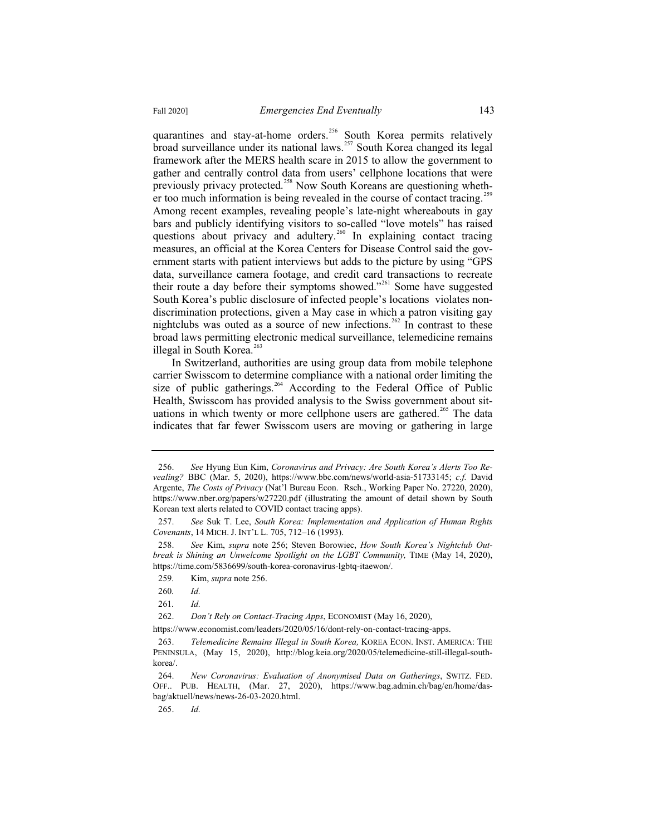quarantines and stay-at-home orders.<sup>256</sup> South Korea permits relatively broad surveillance under its national laws.<sup>257</sup> South Korea changed its legal framework after the MERS health scare in 2015 to allow the government to gather and centrally control data from users' cellphone locations that were previously privacy protected.<sup>258</sup> Now South Koreans are questioning whether too much information is being revealed in the course of contact tracing.<sup>259</sup> Among recent examples, revealing people's late-night whereabouts in gay bars and publicly identifying visitors to so-called "love motels" has raised questions about privacy and adultery.<sup>260</sup> In explaining contact tracing measures, an official at the Korea Centers for Disease Control said the government starts with patient interviews but adds to the picture by using "GPS data, surveillance camera footage, and credit card transactions to recreate their route a day before their symptoms showed."<sup>261</sup> Some have suggested South Korea's public disclosure of infected people's locations violates nondiscrimination protections, given a May case in which a patron visiting gay nightclubs was outed as a source of new infections.<sup>262</sup> In contrast to these broad laws permitting electronic medical surveillance, telemedicine remains illegal in South Korea. $263$ 

In Switzerland, authorities are using group data from mobile telephone carrier Swisscom to determine compliance with a national order limiting the size of public gatherings.<sup>264</sup> According to the Federal Office of Public Health, Swisscom has provided analysis to the Swiss government about situations in which twenty or more cellphone users are gathered.<sup>265</sup> The data indicates that far fewer Swisscom users are moving or gathering in large

<sup>256.</sup> *See* Hyung Eun Kim, *Coronavirus and Privacy: Are South Korea's Alerts Too Revealing?* BBC (Mar. 5, 2020), https://www.bbc.com/news/world-asia-51733145; *c.f.* David Argente, *The Costs of Privacy* (Nat'l Bureau Econ. Rsch., Working Paper No. 27220, 2020), https://www.nber.org/papers/w27220.pdf (illustrating the amount of detail shown by South Korean text alerts related to COVID contact tracing apps).

<sup>257.</sup> *See* Suk T. Lee, *South Korea: Implementation and Application of Human Rights Covenants*, 14 MICH. J. INT'L L. 705, 712–16 (1993).

<sup>258.</sup> *See* Kim, *supra* note 256; Steven Borowiec, *How South Korea's Nightclub Outbreak is Shining an Unwelcome Spotlight on the LGBT Community,* TIME (May 14, 2020), https://time.com/5836699/south-korea-coronavirus-lgbtq-itaewon/.

<sup>259</sup>*.* Kim, *supra* note 256.

<sup>260</sup>*. Id.*

<sup>261</sup>*. Id.*

<sup>262.</sup> *Don't Rely on Contact-Tracing Apps*, ECONOMIST (May 16, 2020),

https://www.economist.com/leaders/2020/05/16/dont-rely-on-contact-tracing-apps.

<sup>263.</sup> *Telemedicine Remains Illegal in South Korea,* KOREA ECON. INST. AMERICA: THE PENINSULA, (May 15, 2020), http://blog.keia.org/2020/05/telemedicine-still-illegal-southkorea/.

<sup>264.</sup> *New Coronavirus: Evaluation of Anonymised Data on Gatherings*, SWITZ. FED. OFF.. PUB. HEALTH, (Mar. 27, 2020), https://www.bag.admin.ch/bag/en/home/dasbag/aktuell/news/news-26-03-2020.html.

<sup>265.</sup> *Id.*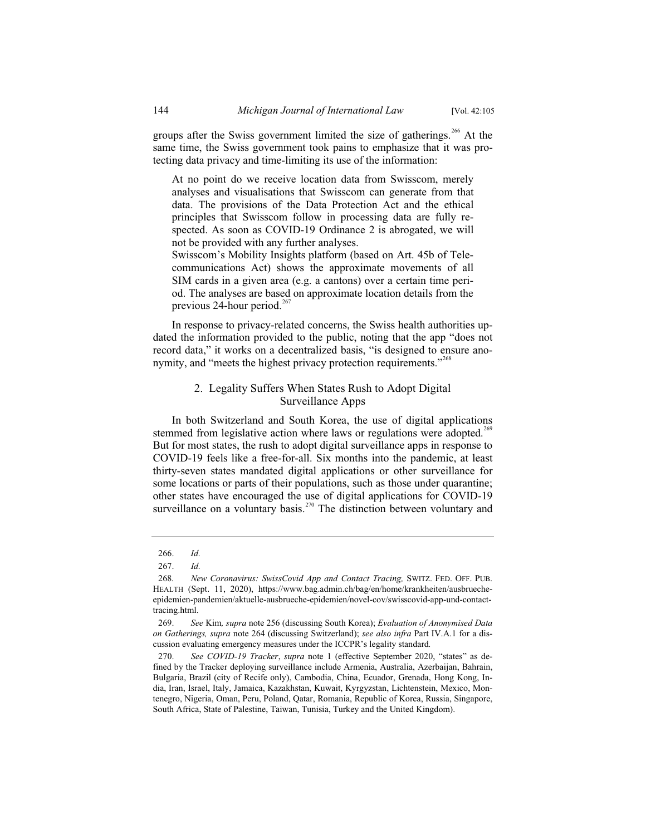groups after the Swiss government limited the size of gatherings.<sup>266</sup> At the same time, the Swiss government took pains to emphasize that it was protecting data privacy and time-limiting its use of the information:

At no point do we receive location data from Swisscom, merely analyses and visualisations that Swisscom can generate from that data. The provisions of the Data Protection Act and the ethical principles that Swisscom follow in processing data are fully respected. As soon as COVID-19 Ordinance 2 is abrogated, we will not be provided with any further analyses. Swisscom's Mobility Insights platform (based on Art. 45b of Tele-

communications Act) shows the approximate movements of all SIM cards in a given area (e.g. a cantons) over a certain time period. The analyses are based on approximate location details from the previous 24-hour period. $267$ 

In response to privacy-related concerns, the Swiss health authorities updated the information provided to the public, noting that the app "does not record data," it works on a decentralized basis, "is designed to ensure anonymity, and "meets the highest privacy protection requirements."<sup>268</sup>

# 2. Legality Suffers When States Rush to Adopt Digital Surveillance Apps

In both Switzerland and South Korea, the use of digital applications stemmed from legislative action where laws or regulations were adopted.<sup>269</sup> But for most states, the rush to adopt digital surveillance apps in response to COVID-19 feels like a free-for-all. Six months into the pandemic, at least thirty-seven states mandated digital applications or other surveillance for some locations or parts of their populations, such as those under quarantine; other states have encouraged the use of digital applications for COVID-19 surveillance on a voluntary basis.<sup> $270$ </sup> The distinction between voluntary and

<sup>266.</sup> *Id.*

<sup>267.</sup> *Id.*

<sup>268</sup>*. New Coronavirus: SwissCovid App and Contact Tracing,* SWITZ. FED. OFF. PUB. HEALTH (Sept. 11, 2020), https://www.bag.admin.ch/bag/en/home/krankheiten/ausbruecheepidemien-pandemien/aktuelle-ausbrueche-epidemien/novel-cov/swisscovid-app-und-contacttracing.html.

<sup>269.</sup> *See* Kim*, supra* note 256 (discussing South Korea); *Evaluation of Anonymised Data on Gatherings, supra* note 264 (discussing Switzerland); *see also infra* Part IV.A.1 for a discussion evaluating emergency measures under the ICCPR's legality standard*.*

<sup>270.</sup> *See COVID-19 Tracker*, *supra* note 1 (effective September 2020, "states" as defined by the Tracker deploying surveillance include Armenia, Australia, Azerbaijan, Bahrain, Bulgaria, Brazil (city of Recife only), Cambodia, China, Ecuador, Grenada, Hong Kong, India, Iran, Israel, Italy, Jamaica, Kazakhstan, Kuwait, Kyrgyzstan, Lichtenstein, Mexico, Montenegro, Nigeria, Oman, Peru, Poland, Qatar, Romania, Republic of Korea, Russia, Singapore, South Africa, State of Palestine, Taiwan, Tunisia, Turkey and the United Kingdom).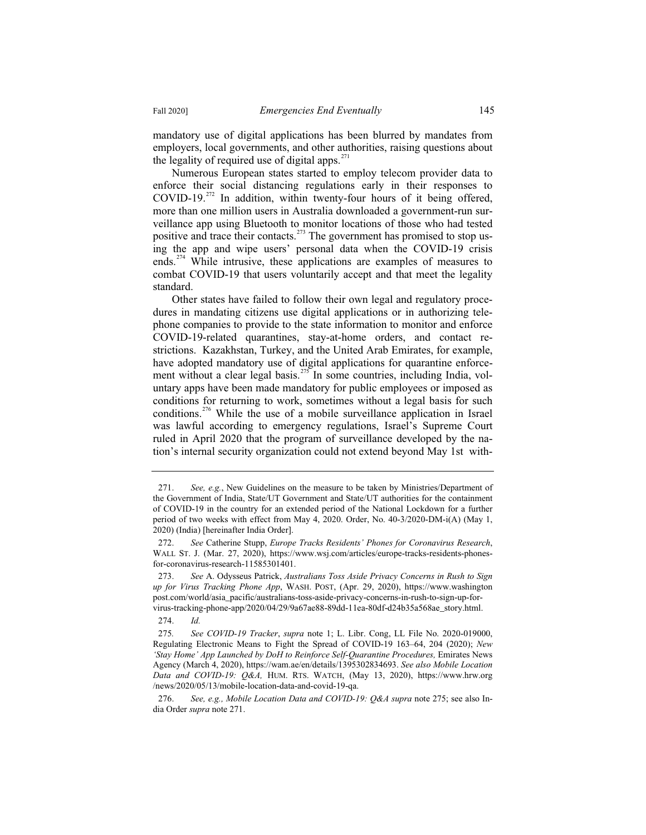mandatory use of digital applications has been blurred by mandates from employers, local governments, and other authorities, raising questions about the legality of required use of digital apps. $271$ 

Numerous European states started to employ telecom provider data to enforce their social distancing regulations early in their responses to COVID-19.<sup>272</sup> In addition, within twenty-four hours of it being offered, more than one million users in Australia downloaded a government-run surveillance app using Bluetooth to monitor locations of those who had tested positive and trace their contacts.<sup>273</sup> The government has promised to stop using the app and wipe users' personal data when the COVID-19 crisis ends.<sup>274</sup> While intrusive, these applications are examples of measures to combat COVID-19 that users voluntarily accept and that meet the legality standard.

Other states have failed to follow their own legal and regulatory procedures in mandating citizens use digital applications or in authorizing telephone companies to provide to the state information to monitor and enforce COVID-19-related quarantines, stay-at-home orders, and contact restrictions. Kazakhstan, Turkey, and the United Arab Emirates, for example, have adopted mandatory use of digital applications for quarantine enforcement without a clear legal basis.<sup>275</sup> In some countries, including India, voluntary apps have been made mandatory for public employees or imposed as conditions for returning to work, sometimes without a legal basis for such conditions.<sup>276</sup> While the use of a mobile surveillance application in Israel was lawful according to emergency regulations, Israel's Supreme Court ruled in April 2020 that the program of surveillance developed by the nation's internal security organization could not extend beyond May 1st with-

274. *Id.*

<sup>271.</sup> *See, e.g.*, New Guidelines on the measure to be taken by Ministries/Department of the Government of India, State/UT Government and State/UT authorities for the containment of COVID-19 in the country for an extended period of the National Lockdown for a further period of two weeks with effect from May 4, 2020. Order, No. 40-3/2020-DM-i(A) (May 1, 2020) (India) [hereinafter India Order].

<sup>272.</sup> *See* Catherine Stupp, *Europe Tracks Residents' Phones for Coronavirus Research*, WALL ST. J. (Mar. 27, 2020), https://www.wsj.com/articles/europe-tracks-residents-phonesfor-coronavirus-research-11585301401.

<sup>273.</sup> *See* A. Odysseus Patrick, *Australians Toss Aside Privacy Concerns in Rush to Sign up for Virus Tracking Phone App*, WASH. POST, (Apr. 29, 2020), https://www.washington post.com/world/asia\_pacific/australians-toss-aside-privacy-concerns-in-rush-to-sign-up-forvirus-tracking-phone-app/2020/04/29/9a67ae88-89dd-11ea-80df-d24b35a568ae\_story.html.

<sup>275</sup>*. See COVID-19 Tracker*, *supra* note 1; L. Libr. Cong, LL File No. 2020-019000, Regulating Electronic Means to Fight the Spread of COVID-19 163–64, 204 (2020); *New*  'Stay Home' App Launched by DoH to Reinforce Self-Quarantine Procedures, Emirates News Agency (March 4, 2020), https://wam.ae/en/details/1395302834693. *See also Mobile Location Data and COVID-19: Q&A,* HUM. RTS. WATCH, (May 13, 2020), https://www.hrw.org /news/2020/05/13/mobile-location-data-and-covid-19-qa.

<sup>276.</sup> *See, e.g., Mobile Location Data and COVID-19: Q&A supra* note 275; see also India Order *supra* note 271.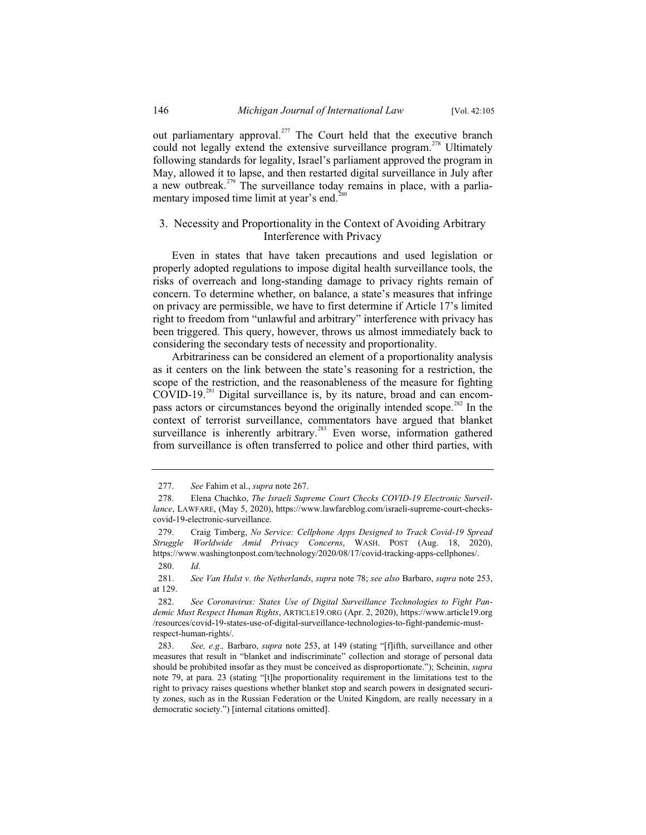out parliamentary approval.<sup>277</sup> The Court held that the executive branch could not legally extend the extensive surveillance program.<sup>278</sup> Ultimately following standards for legality, Israel's parliament approved the program in May, allowed it to lapse, and then restarted digital surveillance in July after a new outbreak.<sup>279</sup> The surveillance today remains in place, with a parliamentary imposed time limit at year's end. $^{280}$ 

# 3. Necessity and Proportionality in the Context of Avoiding Arbitrary Interference with Privacy

Even in states that have taken precautions and used legislation or properly adopted regulations to impose digital health surveillance tools, the risks of overreach and long-standing damage to privacy rights remain of concern. To determine whether, on balance, a state's measures that infringe on privacy are permissible, we have to first determine if Article 17's limited right to freedom from "unlawful and arbitrary" interference with privacy has been triggered. This query, however, throws us almost immediately back to considering the secondary tests of necessity and proportionality.

Arbitrariness can be considered an element of a proportionality analysis as it centers on the link between the state's reasoning for a restriction, the scope of the restriction, and the reasonableness of the measure for fighting COVID-19.<sup>281</sup> Digital surveillance is, by its nature, broad and can encompass actors or circumstances beyond the originally intended scope.<sup>282</sup> In the context of terrorist surveillance, commentators have argued that blanket surveillance is inherently arbitrary.<sup>283</sup> Even worse, information gathered from surveillance is often transferred to police and other third parties, with

<sup>277.</sup> *See* Fahim et al., *supra* note 267.

<sup>278.</sup> Elena Chachko, *The Israeli Supreme Court Checks COVID-19 Electronic Surveillance*, LAWFARE, (May 5, 2020), https://www.lawfareblog.com/israeli-supreme-court-checkscovid-19-electronic-surveillance.

<sup>279.</sup> Craig Timberg, *No Service: Cellphone Apps Designed to Track Covid-19 Spread Struggle Worldwide Amid Privacy Concerns*, WASH. POST (Aug. 18, 2020), https://www.washingtonpost.com/technology/2020/08/17/covid-tracking-apps-cellphones/.

<sup>280.</sup> *Id.*

<sup>281.</sup> *See Van Hulst v. the Netherlands*, *supra* note 78; *see also* Barbaro, *supra* note 253, at 129.

<sup>282.</sup> *See Coronavirus: States Use of Digital Surveillance Technologies to Fight Pandemic Must Respect Human Rights*, ARTICLE19.ORG (Apr. 2, 2020), https://www.article19.org /resources/covid-19-states-use-of-digital-surveillance-technologies-to-fight-pandemic-mustrespect-human-rights/.

<sup>283.</sup> *See, e.g.,* Barbaro, *supra* note 253, at 149 (stating "[f]ifth, surveillance and other measures that result in "blanket and indiscriminate" collection and storage of personal data should be prohibited insofar as they must be conceived as disproportionate."); Scheinin, *supra*  note 79, at para. 23 (stating "[t]he proportionality requirement in the limitations test to the right to privacy raises questions whether blanket stop and search powers in designated security zones, such as in the Russian Federation or the United Kingdom, are really necessary in a democratic society.") [internal citations omitted].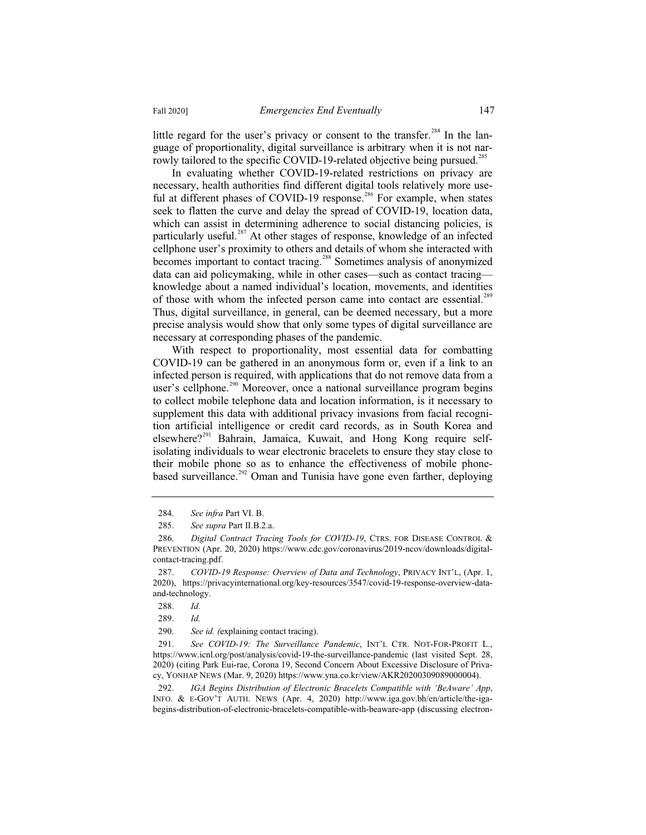little regard for the user's privacy or consent to the transfer.<sup>284</sup> In the language of proportionality, digital surveillance is arbitrary when it is not narrowly tailored to the specific COVID-19-related objective being pursued.<sup>285</sup>

In evaluating whether COVID-19-related restrictions on privacy are necessary, health authorities find different digital tools relatively more useful at different phases of COVID-19 response.<sup>286</sup> For example, when states seek to flatten the curve and delay the spread of COVID-19, location data, which can assist in determining adherence to social distancing policies, is particularly useful.<sup>287</sup> At other stages of response, knowledge of an infected cellphone user's proximity to others and details of whom she interacted with becomes important to contact tracing.<sup>288</sup> Sometimes analysis of anonymized data can aid policymaking, while in other cases—such as contact tracing knowledge about a named individual's location, movements, and identities of those with whom the infected person came into contact are essential.<sup>289</sup> Thus, digital surveillance, in general, can be deemed necessary, but a more precise analysis would show that only some types of digital surveillance are necessary at corresponding phases of the pandemic.

With respect to proportionality, most essential data for combatting COVID-19 can be gathered in an anonymous form or, even if a link to an infected person is required, with applications that do not remove data from a user's cellphone.<sup>290</sup> Moreover, once a national surveillance program begins to collect mobile telephone data and location information, is it necessary to supplement this data with additional privacy invasions from facial recognition artificial intelligence or credit card records, as in South Korea and  $e$ lsewhere?<sup>291</sup> Bahrain, Jamaica, Kuwait, and Hong Kong require selfisolating individuals to wear electronic bracelets to ensure they stay close to their mobile phone so as to enhance the effectiveness of mobile phonebased surveillance.<sup>292</sup> Oman and Tunisia have gone even farther, deploying

291. *See COVID-19: The Surveillance Pandemic*, INT'L CTR. NOT-FOR-PROFIT L., https://www.icnl.org/post/analysis/covid-19-the-surveillance-pandemic (last visited Sept. 28, 2020) (citing Park Eui-rae, Corona 19, Second Concern About Excessive Disclosure of Privacy, YONHAP NEWS (Mar. 9, 2020) https://www.yna.co.kr/view/AKR20200309089000004).

292. *IGA Begins Distribution of Electronic Bracelets Compatible with 'BeAware' App*, INFO. & E-GOV'T AUTH. NEWS (Apr. 4, 2020) http://www.iga.gov.bh/en/article/the-igabegins-distribution-of-electronic-bracelets-compatible-with-beaware-app (discussing electron-

<sup>284.</sup> *See infra* Part VI. B.

<sup>285.</sup> *See supra* Part II.B.2.a.

<sup>286.</sup> *Digital Contract Tracing Tools for COVID-19*, CTRS. FOR DISEASE CONTROL & PREVENTION (Apr. 20, 2020) https://www.cdc.gov/coronavirus/2019-ncov/downloads/digitalcontact-tracing.pdf.

<sup>287.</sup> *COVID-19 Response: Overview of Data and Technology*, PRIVACY INT'L, (Apr. 1, 2020), https://privacyinternational.org/key-resources/3547/covid-19-response-overview-dataand-technology.

<sup>288.</sup> *Id.*

<sup>289.</sup> *Id.*

<sup>290.</sup> *See id. (*explaining contact tracing).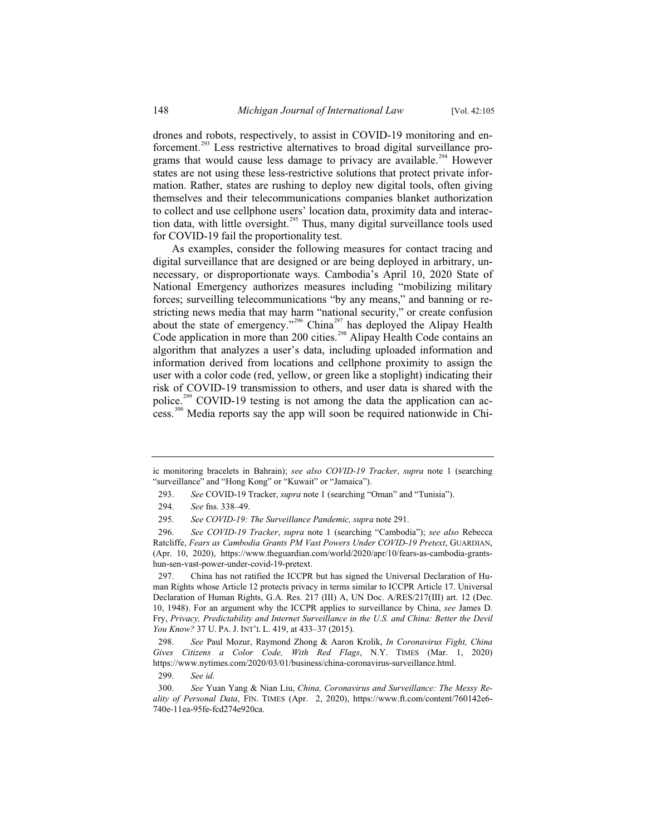drones and robots, respectively, to assist in COVID-19 monitoring and enforcement.<sup>293</sup> Less restrictive alternatives to broad digital surveillance programs that would cause less damage to privacy are available.<sup>294</sup> However states are not using these less-restrictive solutions that protect private information. Rather, states are rushing to deploy new digital tools, often giving themselves and their telecommunications companies blanket authorization to collect and use cellphone users' location data, proximity data and interaction data, with little oversight.<sup>295</sup> Thus, many digital surveillance tools used for COVID-19 fail the proportionality test.

As examples, consider the following measures for contact tracing and digital surveillance that are designed or are being deployed in arbitrary, unnecessary, or disproportionate ways. Cambodia's April 10, 2020 State of National Emergency authorizes measures including "mobilizing military forces; surveilling telecommunications "by any means," and banning or restricting news media that may harm "national security," or create confusion about the state of emergency."<sup>296</sup> China<sup>297</sup> has deployed the Alipay Health Code application in more than 200 cities.<sup>298</sup> Alipay Health Code contains an algorithm that analyzes a user's data, including uploaded information and information derived from locations and cellphone proximity to assign the user with a color code (red, yellow, or green like a stoplight) indicating their risk of COVID-19 transmission to others, and user data is shared with the police.<sup>299</sup> COVID-19 testing is not among the data the application can access.<sup>300</sup> Media reports say the app will soon be required nationwide in Chi-

299. *See id.*

ic monitoring bracelets in Bahrain); *see also COVID-19 Tracker*, *supra* note 1 (searching "surveillance" and "Hong Kong" or "Kuwait" or "Jamaica").

<sup>293.</sup> *See* COVID-19 Tracker, *supra* note 1 (searching "Oman" and "Tunisia").

<sup>294.</sup> *See* fns. 338–49.

<sup>295.</sup> *See COVID-19: The Surveillance Pandemic, supra* note 291.

<sup>296.</sup> *See COVID-19 Tracker*, *supra* note 1 (searching "Cambodia"); *see also* Rebecca Ratcliffe, *Fears as Cambodia Grants PM Vast Powers Under COVID-19 Pretext*, GUARDIAN, (Apr. 10, 2020), https://www.theguardian.com/world/2020/apr/10/fears-as-cambodia-grantshun-sen-vast-power-under-covid-19-pretext.

<sup>297.</sup> China has not ratified the ICCPR but has signed the Universal Declaration of Human Rights whose Article 12 protects privacy in terms similar to ICCPR Article 17. Universal Declaration of Human Rights, G.A. Res. 217 (III) A, UN Doc. A/RES/217(III) art. 12 (Dec. 10, 1948). For an argument why the ICCPR applies to surveillance by China, *see* James D. Fry, *Privacy, Predictability and Internet Surveillance in the U.S. and China: Better the Devil You Know?* 37 U. PA. J. INT'L L. 419, at 433–37 (2015).

<sup>298.</sup> *See* Paul Mozur, Raymond Zhong & Aaron Krolik, *In Coronavirus Fight, China Gives Citizens a Color Code, With Red Flags*, N.Y. TIMES (Mar. 1, 2020) https://www.nytimes.com/2020/03/01/business/china-coronavirus-surveillance.html.

<sup>300.</sup> *See* Yuan Yang & Nian Liu, *China, Coronavirus and Surveillance: The Messy Reality of Personal Data*, FIN. TIMES (Apr. 2, 2020), https://www.ft.com/content/760142e6- 740e-11ea-95fe-fcd274e920ca.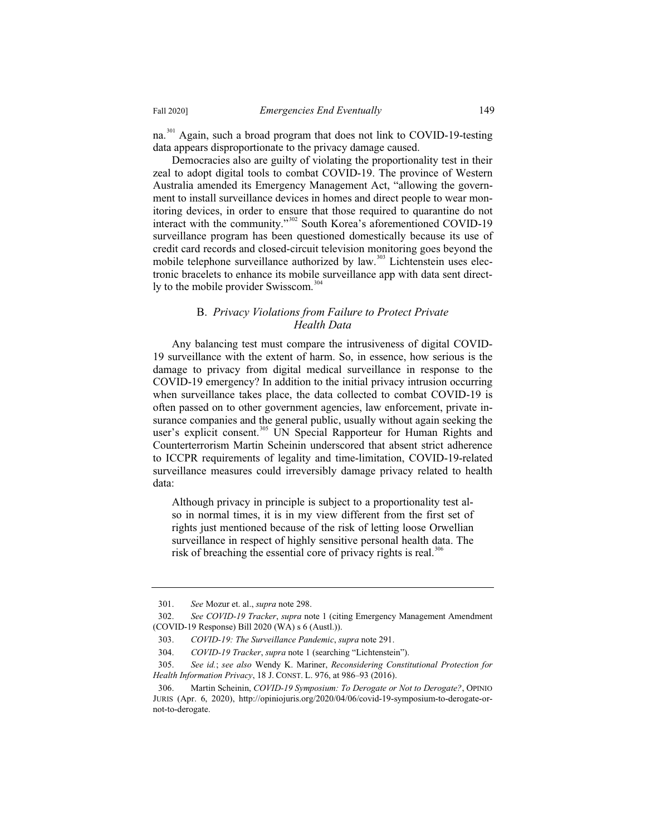na.<sup>301</sup> Again, such a broad program that does not link to COVID-19-testing data appears disproportionate to the privacy damage caused.

Democracies also are guilty of violating the proportionality test in their zeal to adopt digital tools to combat COVID-19. The province of Western Australia amended its Emergency Management Act, "allowing the government to install surveillance devices in homes and direct people to wear monitoring devices, in order to ensure that those required to quarantine do not interact with the community."<sup>302</sup> South Korea's aforementioned COVID-19 surveillance program has been questioned domestically because its use of credit card records and closed-circuit television monitoring goes beyond the mobile telephone surveillance authorized by law.<sup>303</sup> Lichtenstein uses electronic bracelets to enhance its mobile surveillance app with data sent directly to the mobile provider Swisscom.<sup>304</sup>

# B. *Privacy Violations from Failure to Protect Private Health Data*

Any balancing test must compare the intrusiveness of digital COVID-19 surveillance with the extent of harm. So, in essence, how serious is the damage to privacy from digital medical surveillance in response to the COVID-19 emergency? In addition to the initial privacy intrusion occurring when surveillance takes place, the data collected to combat COVID-19 is often passed on to other government agencies, law enforcement, private insurance companies and the general public, usually without again seeking the user's explicit consent.<sup>305</sup> UN Special Rapporteur for Human Rights and Counterterrorism Martin Scheinin underscored that absent strict adherence to ICCPR requirements of legality and time-limitation, COVID-19-related surveillance measures could irreversibly damage privacy related to health data:

Although privacy in principle is subject to a proportionality test also in normal times, it is in my view different from the first set of rights just mentioned because of the risk of letting loose Orwellian surveillance in respect of highly sensitive personal health data. The risk of breaching the essential core of privacy rights is real.<sup>36</sup>

<sup>301.</sup> *See* Mozur et. al., *supra* note 298.

<sup>302.</sup> *See COVID-19 Tracker*, *supra* note 1 (citing Emergency Management Amendment (COVID-19 Response) Bill 2020 (WA) s 6 (Austl.)).

<sup>303.</sup> *COVID-19: The Surveillance Pandemic*, *supra* note 291.

<sup>304.</sup> *COVID-19 Tracker*, *supra* note 1 (searching "Lichtenstein").

<sup>305.</sup> *See id.*; *see also* Wendy K. Mariner, *Reconsidering Constitutional Protection for Health Information Privacy*, 18 J. CONST. L. 976, at 986–93 (2016).

<sup>306.</sup> Martin Scheinin, *COVID-19 Symposium: To Derogate or Not to Derogate?*, OPINIO JURIS (Apr. 6, 2020), http://opiniojuris.org/2020/04/06/covid-19-symposium-to-derogate-ornot-to-derogate.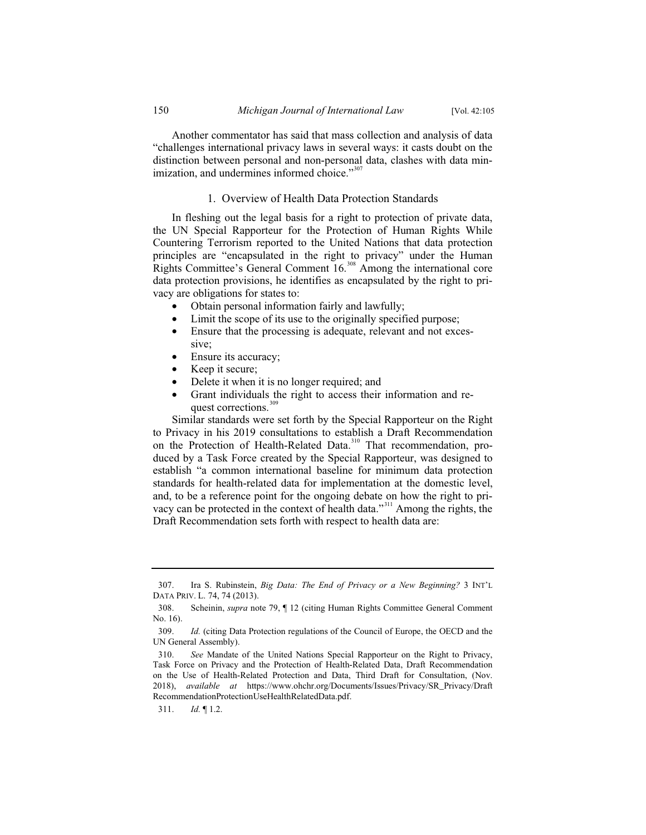Another commentator has said that mass collection and analysis of data "challenges international privacy laws in several ways: it casts doubt on the distinction between personal and non-personal data, clashes with data minimization, and undermines informed choice."<sup>307</sup>

### 1. Overview of Health Data Protection Standards

In fleshing out the legal basis for a right to protection of private data, the UN Special Rapporteur for the Protection of Human Rights While Countering Terrorism reported to the United Nations that data protection principles are "encapsulated in the right to privacy" under the Human Rights Committee's General Comment 16.<sup>308</sup> Among the international core data protection provisions, he identifies as encapsulated by the right to privacy are obligations for states to:

- Obtain personal information fairly and lawfully;
- Limit the scope of its use to the originally specified purpose;
- Ensure that the processing is adequate, relevant and not excessive;
- Ensure its accuracy;
- Keep it secure;
- Delete it when it is no longer required; and
- Grant individuals the right to access their information and request corrections.<sup>30</sup>

Similar standards were set forth by the Special Rapporteur on the Right to Privacy in his 2019 consultations to establish a Draft Recommendation on the Protection of Health-Related Data.<sup>310</sup> That recommendation, produced by a Task Force created by the Special Rapporteur, was designed to establish "a common international baseline for minimum data protection standards for health-related data for implementation at the domestic level, and, to be a reference point for the ongoing debate on how the right to privacy can be protected in the context of health data."<sup>311</sup> Among the rights, the Draft Recommendation sets forth with respect to health data are:

<sup>307.</sup> Ira S. Rubinstein, *Big Data: The End of Privacy or a New Beginning?* 3 INT'L DATA PRIV. L. 74, 74 (2013).

<sup>308.</sup> Scheinin, *supra* note 79, ¶ 12 (citing Human Rights Committee General Comment No. 16).

<sup>309.</sup> *Id.* (citing Data Protection regulations of the Council of Europe, the OECD and the UN General Assembly).

<sup>310.</sup> *See* Mandate of the United Nations Special Rapporteur on the Right to Privacy, Task Force on Privacy and the Protection of Health-Related Data, Draft Recommendation on the Use of Health-Related Protection and Data, Third Draft for Consultation, (Nov. 2018), *available at* https://www.ohchr.org/Documents/Issues/Privacy/SR\_Privacy/Draft RecommendationProtectionUseHealthRelatedData.pdf.

<sup>311.</sup> *Id.* ¶ 1.2.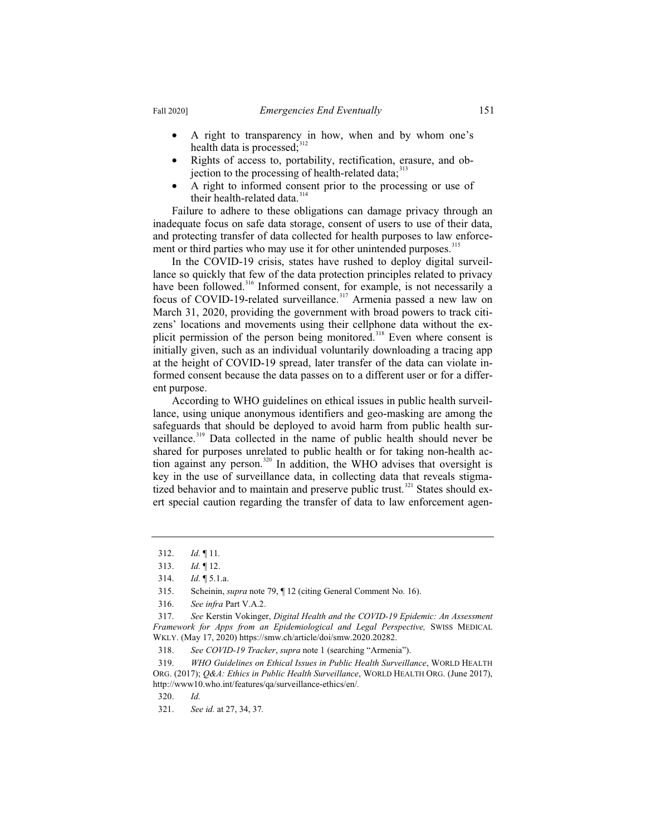- A right to transparency in how, when and by whom one's health data is processed; $312$
- Rights of access to, portability, rectification, erasure, and objection to the processing of health-related data; $313$
- A right to informed consent prior to the processing or use of their health-related data.<sup>314</sup>

Failure to adhere to these obligations can damage privacy through an inadequate focus on safe data storage, consent of users to use of their data, and protecting transfer of data collected for health purposes to law enforcement or third parties who may use it for other unintended purposes.<sup>315</sup>

In the COVID-19 crisis, states have rushed to deploy digital surveillance so quickly that few of the data protection principles related to privacy have been followed.<sup>316</sup> Informed consent, for example, is not necessarily a focus of COVID-19-related surveillance.<sup>317</sup> Armenia passed a new law on March 31, 2020, providing the government with broad powers to track citizens' locations and movements using their cellphone data without the explicit permission of the person being monitored.<sup>318</sup> Even where consent is initially given, such as an individual voluntarily downloading a tracing app at the height of COVID-19 spread, later transfer of the data can violate informed consent because the data passes on to a different user or for a different purpose.

According to WHO guidelines on ethical issues in public health surveillance, using unique anonymous identifiers and geo-masking are among the safeguards that should be deployed to avoid harm from public health surveillance.<sup>319</sup> Data collected in the name of public health should never be shared for purposes unrelated to public health or for taking non-health action against any person.<sup>320</sup> In addition, the WHO advises that oversight is key in the use of surveillance data, in collecting data that reveals stigmatized behavior and to maintain and preserve public trust.<sup>321</sup> States should exert special caution regarding the transfer of data to law enforcement agen-

<sup>312.</sup> *Id.* ¶ 11*.*

<sup>313.</sup> *Id.* ¶ 12.

<sup>314.</sup> *Id.* ¶ 5.1.a.

<sup>315.</sup> Scheinin, *supra* note 79, ¶ 12 (citing General Comment No. 16).

<sup>316.</sup> *See infra* Part V.A.2.

<sup>317.</sup> *See* Kerstin Vokinger, *Digital Health and the COVID-19 Epidemic: An Assessment Framework for Apps from an Epidemiological and Legal Perspective,* SWISS MEDICAL WKLY. (May 17, 2020) https://smw.ch/article/doi/smw.2020.20282.

<sup>318.</sup> *See COVID-19 Tracker*, *supra* note 1 (searching "Armenia").

<sup>319.</sup> *WHO Guidelines on Ethical Issues in Public Health Surveillance*, WORLD HEALTH ORG. (2017); *Q&A: Ethics in Public Health Surveillance*, WORLD HEALTH ORG. (June 2017), http://www10.who.int/features/qa/surveillance-ethics/en/*.*

<sup>320.</sup> *Id.*

<sup>321.</sup> *See id.* at 27, 34, 37*.*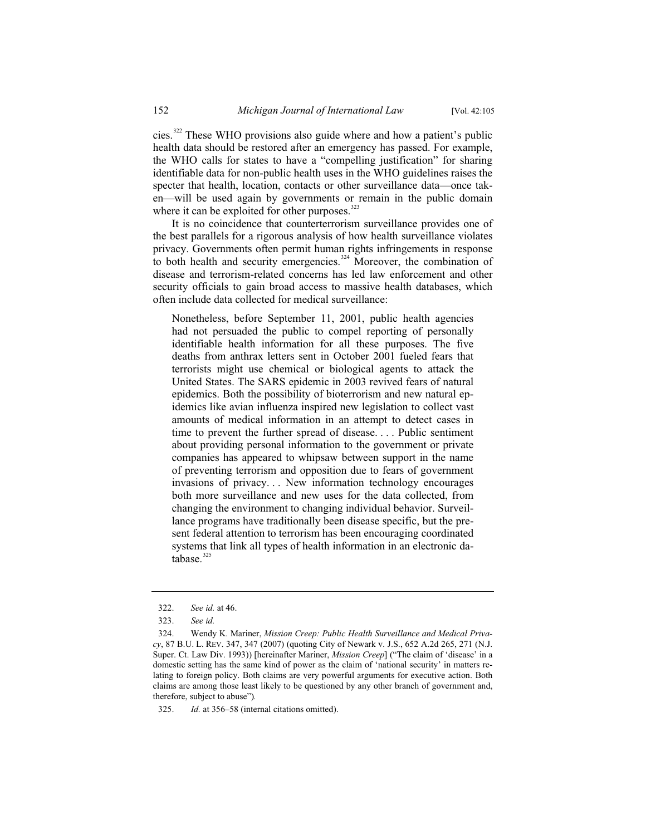cies.<sup>322</sup> These WHO provisions also guide where and how a patient's public health data should be restored after an emergency has passed. For example, the WHO calls for states to have a "compelling justification" for sharing identifiable data for non-public health uses in the WHO guidelines raises the specter that health, location, contacts or other surveillance data—once taken—will be used again by governments or remain in the public domain where it can be exploited for other purposes.<sup>323</sup>

It is no coincidence that counterterrorism surveillance provides one of the best parallels for a rigorous analysis of how health surveillance violates privacy. Governments often permit human rights infringements in response to both health and security emergencies.<sup>324</sup> Moreover, the combination of disease and terrorism-related concerns has led law enforcement and other security officials to gain broad access to massive health databases, which often include data collected for medical surveillance:

Nonetheless, before September 11, 2001, public health agencies had not persuaded the public to compel reporting of personally identifiable health information for all these purposes. The five deaths from anthrax letters sent in October 2001 fueled fears that terrorists might use chemical or biological agents to attack the United States. The SARS epidemic in 2003 revived fears of natural epidemics. Both the possibility of bioterrorism and new natural epidemics like avian influenza inspired new legislation to collect vast amounts of medical information in an attempt to detect cases in time to prevent the further spread of disease. . . . Public sentiment about providing personal information to the government or private companies has appeared to whipsaw between support in the name of preventing terrorism and opposition due to fears of government invasions of privacy. . . New information technology encourages both more surveillance and new uses for the data collected, from changing the environment to changing individual behavior. Surveillance programs have traditionally been disease specific, but the present federal attention to terrorism has been encouraging coordinated systems that link all types of health information in an electronic database.<sup>325</sup>

<sup>322.</sup> *See id.* at 46.

<sup>323.</sup> *See id.*

<sup>324.</sup> Wendy K. Mariner, *Mission Creep: Public Health Surveillance and Medical Privacy*, 87 B.U. L. REV. 347, 347 (2007) (quoting City of Newark v. J.S., 652 A.2d 265, 271 (N.J. Super. Ct. Law Div. 1993)) [hereinafter Mariner, *Mission Creep*] ("The claim of 'disease' in a domestic setting has the same kind of power as the claim of 'national security' in matters relating to foreign policy. Both claims are very powerful arguments for executive action. Both claims are among those least likely to be questioned by any other branch of government and, therefore, subject to abuse")*.*

<sup>325.</sup> *Id.* at 356–58 (internal citations omitted).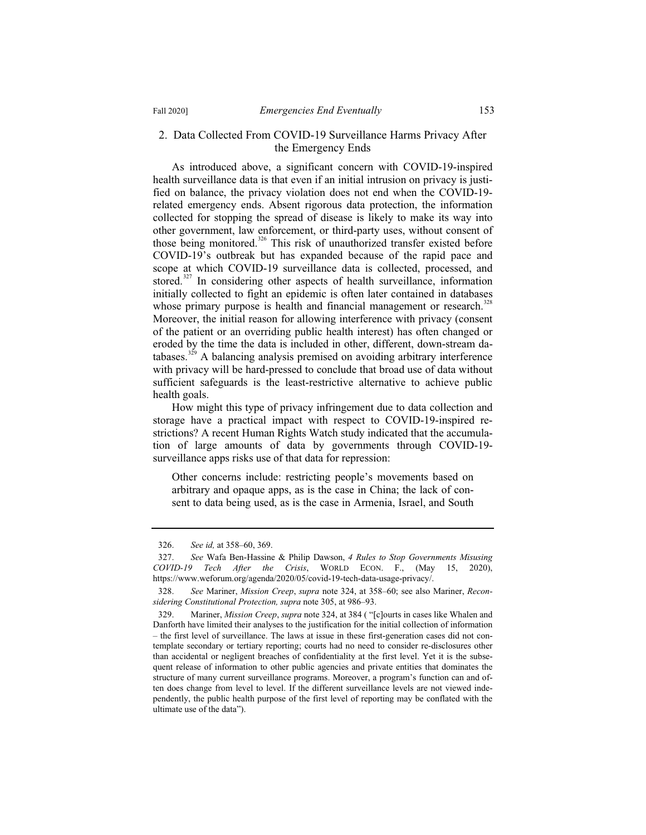### 2. Data Collected From COVID-19 Surveillance Harms Privacy After the Emergency Ends

As introduced above, a significant concern with COVID-19-inspired health surveillance data is that even if an initial intrusion on privacy is justified on balance, the privacy violation does not end when the COVID-19 related emergency ends. Absent rigorous data protection, the information collected for stopping the spread of disease is likely to make its way into other government, law enforcement, or third-party uses, without consent of those being monitored.<sup>326</sup> This risk of unauthorized transfer existed before COVID-19's outbreak but has expanded because of the rapid pace and scope at which COVID-19 surveillance data is collected, processed, and stored. $327$  In considering other aspects of health surveillance, information initially collected to fight an epidemic is often later contained in databases whose primary purpose is health and financial management or research.<sup>328</sup> Moreover, the initial reason for allowing interference with privacy (consent of the patient or an overriding public health interest) has often changed or eroded by the time the data is included in other, different, down-stream databases.<sup>329</sup> A balancing analysis premised on avoiding arbitrary interference with privacy will be hard-pressed to conclude that broad use of data without sufficient safeguards is the least-restrictive alternative to achieve public health goals.

How might this type of privacy infringement due to data collection and storage have a practical impact with respect to COVID-19-inspired restrictions? A recent Human Rights Watch study indicated that the accumulation of large amounts of data by governments through COVID-19 surveillance apps risks use of that data for repression:

Other concerns include: restricting people's movements based on arbitrary and opaque apps, as is the case in China; the lack of consent to data being used, as is the case in Armenia, Israel, and South

<sup>326.</sup> *See id,* at 358–60, 369.

<sup>327.</sup> *See* Wafa Ben-Hassine & Philip Dawson, *4 Rules to Stop Governments Misusing COVID-19 Tech After the Crisis*, WORLD ECON. F., (May 15, 2020), https://www.weforum.org/agenda/2020/05/covid-19-tech-data-usage-privacy/.

<sup>328.</sup> *See* Mariner, *Mission Creep*, *supra* note 324, at 358–60; see also Mariner, *Reconsidering Constitutional Protection, supra* note 305, at 986–93.

<sup>329.</sup> Mariner, *Mission Creep*, *supra* note 324, at 384 ( "[c]ourts in cases like Whalen and Danforth have limited their analyses to the justification for the initial collection of information – the first level of surveillance. The laws at issue in these first-generation cases did not contemplate secondary or tertiary reporting; courts had no need to consider re-disclosures other than accidental or negligent breaches of confidentiality at the first level. Yet it is the subsequent release of information to other public agencies and private entities that dominates the structure of many current surveillance programs. Moreover, a program's function can and often does change from level to level. If the different surveillance levels are not viewed independently, the public health purpose of the first level of reporting may be conflated with the ultimate use of the data").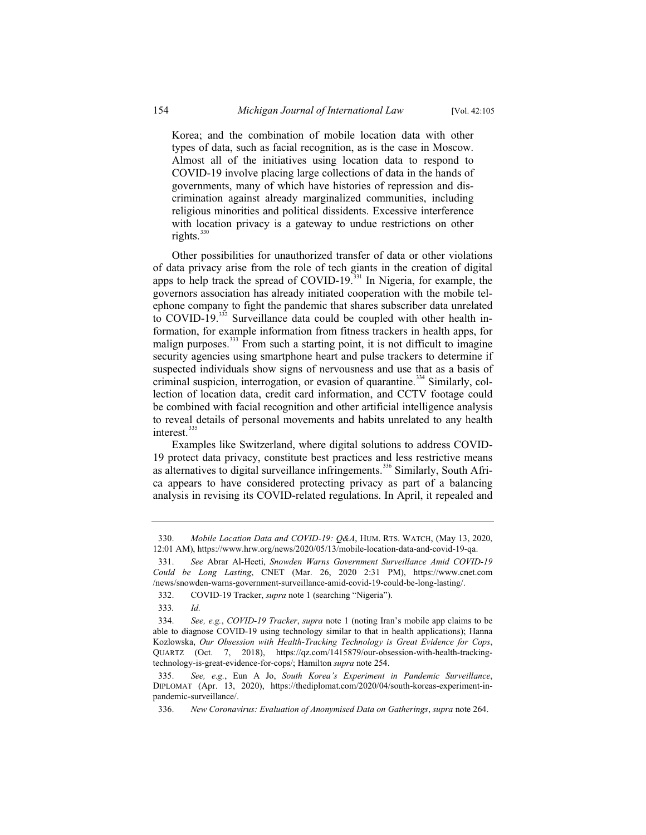Korea; and the combination of mobile location data with other types of data, such as facial recognition, as is the case in Moscow. Almost all of the initiatives using location data to respond to COVID-19 involve placing large collections of data in the hands of governments, many of which have histories of repression and discrimination against already marginalized communities, including religious minorities and political dissidents. Excessive interference with location privacy is a gateway to undue restrictions on other rights. $330$ 

Other possibilities for unauthorized transfer of data or other violations of data privacy arise from the role of tech giants in the creation of digital apps to help track the spread of COVID-19. $^{331}$  In Nigeria, for example, the governors association has already initiated cooperation with the mobile telephone company to fight the pandemic that shares subscriber data unrelated to COVID-19. $332$  Surveillance data could be coupled with other health information, for example information from fitness trackers in health apps, for malign purposes. $333$  From such a starting point, it is not difficult to imagine security agencies using smartphone heart and pulse trackers to determine if suspected individuals show signs of nervousness and use that as a basis of criminal suspicion, interrogation, or evasion of quarantine.<sup>334</sup> Similarly, collection of location data, credit card information, and CCTV footage could be combined with facial recognition and other artificial intelligence analysis to reveal details of personal movements and habits unrelated to any health interest<sup>335</sup>

Examples like Switzerland, where digital solutions to address COVID-19 protect data privacy, constitute best practices and less restrictive means as alternatives to digital surveillance infringements.<sup>336</sup> Similarly, South Africa appears to have considered protecting privacy as part of a balancing analysis in revising its COVID-related regulations. In April, it repealed and

333*. Id.*

<sup>330.</sup> *Mobile Location Data and COVID-19: Q&A*, HUM. RTS. WATCH, (May 13, 2020, 12:01 AM), https://www.hrw.org/news/2020/05/13/mobile-location-data-and-covid-19-qa.

<sup>331.</sup> *See* Abrar Al-Heeti, *Snowden Warns Government Surveillance Amid COVID-19 Could be Long Lasting*, CNET (Mar. 26, 2020 2:31 PM), https://www.cnet.com /news/snowden-warns-government-surveillance-amid-covid-19-could-be-long-lasting/.

<sup>332.</sup> COVID-19 Tracker, *supra* note 1 (searching "Nigeria").

<sup>334.</sup> *See, e.g.*, *COVID-19 Tracker*, *supra* note 1 (noting Iran's mobile app claims to be able to diagnose COVID-19 using technology similar to that in health applications); Hanna Kozlowska, *Our Obsession with Health-Tracking Technology is Great Evidence for Cops*, QUARTZ (Oct. 7, 2018), https://qz.com/1415879/our-obsession-with-health-trackingtechnology-is-great-evidence-for-cops/; Hamilton *supra* note 254.

<sup>335.</sup> *See, e.g.*, Eun A Jo, *South Korea's Experiment in Pandemic Surveillance*, DIPLOMAT (Apr. 13, 2020), https://thediplomat.com/2020/04/south-koreas-experiment-inpandemic-surveillance/.

<sup>336.</sup> *New Coronavirus: Evaluation of Anonymised Data on Gatherings*, *supra* note 264.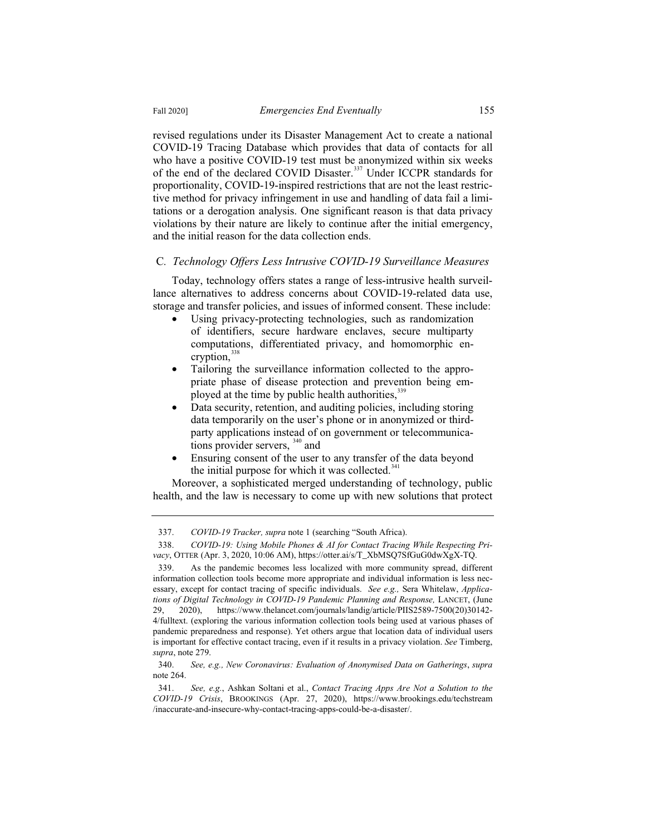revised regulations under its Disaster Management Act to create a national COVID-19 Tracing Database which provides that data of contacts for all who have a positive COVID-19 test must be anonymized within six weeks of the end of the declared COVID Disaster.<sup>337</sup> Under ICCPR standards for proportionality, COVID-19-inspired restrictions that are not the least restrictive method for privacy infringement in use and handling of data fail a limitations or a derogation analysis. One significant reason is that data privacy violations by their nature are likely to continue after the initial emergency, and the initial reason for the data collection ends.

#### C*. Technology Offers Less Intrusive COVID-19 Surveillance Measures*

Today, technology offers states a range of less-intrusive health surveillance alternatives to address concerns about COVID-19-related data use, storage and transfer policies, and issues of informed consent. These include:

- Using privacy-protecting technologies, such as randomization of identifiers, secure hardware enclaves, secure multiparty computations, differentiated privacy, and homomorphic encryption, $3$
- Tailoring the surveillance information collected to the appropriate phase of disease protection and prevention being employed at the time by public health authorities, 335
- Data security, retention, and auditing policies, including storing data temporarily on the user's phone or in anonymized or thirdparty applications instead of on government or telecommunications provider servers, <sup>340</sup> and
- Ensuring consent of the user to any transfer of the data beyond the initial purpose for which it was collected. $341$

Moreover, a sophisticated merged understanding of technology, public health, and the law is necessary to come up with new solutions that protect

340. *See, e.g., New Coronavirus: Evaluation of Anonymised Data on Gatherings*, *supra* note 264.

<sup>337.</sup> *COVID-19 Tracker, supra* note 1 (searching "South Africa).

<sup>338.</sup> *COVID-19: Using Mobile Phones & AI for Contact Tracing While Respecting Privacy*, OTTER (Apr. 3, 2020, 10:06 AM), https://otter.ai/s/T\_XbMSQ7SfGuG0dwXgX-TQ.

<sup>339.</sup> As the pandemic becomes less localized with more community spread, different information collection tools become more appropriate and individual information is less necessary, except for contact tracing of specific individuals. *See e.g.,* Sera Whitelaw, *Applications of Digital Technology in COVID-19 Pandemic Planning and Response, LANCET, (June* 29, 2020), https://www.thelancet.com/journals/landig/article/PIIS2589-7500(20)30142- 4/fulltext. (exploring the various information collection tools being used at various phases of pandemic preparedness and response). Yet others argue that location data of individual users is important for effective contact tracing, even if it results in a privacy violation. *See* Timberg, *supra*, note 279.

<sup>341.</sup> *See, e.g.*, Ashkan Soltani et al., *Contact Tracing Apps Are Not a Solution to the COVID-19 Crisis*, BROOKINGS (Apr. 27, 2020), https://www.brookings.edu/techstream /inaccurate-and-insecure-why-contact-tracing-apps-could-be-a-disaster/.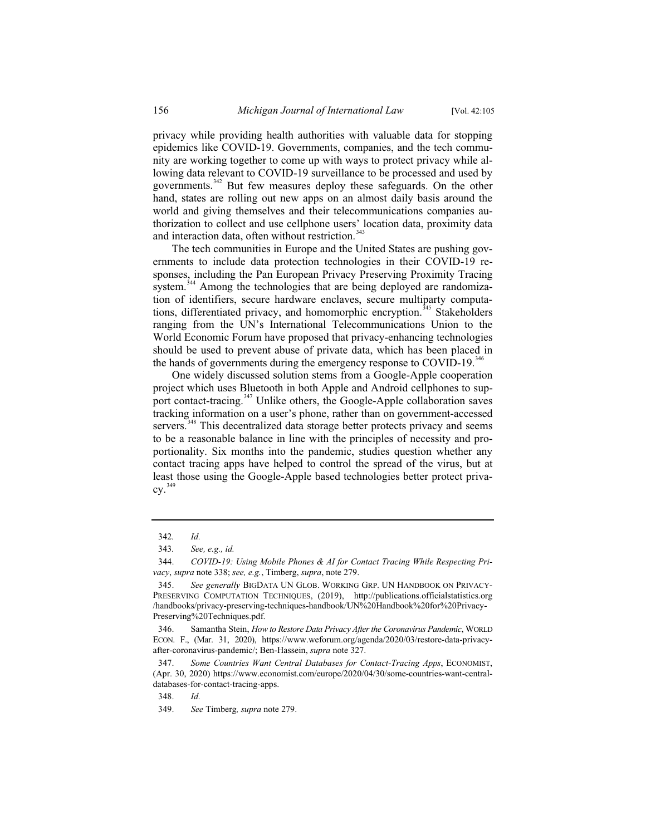privacy while providing health authorities with valuable data for stopping epidemics like COVID-19. Governments, companies, and the tech community are working together to come up with ways to protect privacy while allowing data relevant to COVID-19 surveillance to be processed and used by governments.<sup>342</sup> But few measures deploy these safeguards. On the other hand, states are rolling out new apps on an almost daily basis around the world and giving themselves and their telecommunications companies authorization to collect and use cellphone users' location data, proximity data and interaction data, often without restriction.<sup>343</sup>

The tech communities in Europe and the United States are pushing governments to include data protection technologies in their COVID-19 responses, including the Pan European Privacy Preserving Proximity Tracing system.<sup>344</sup> Among the technologies that are being deployed are randomization of identifiers, secure hardware enclaves, secure multiparty computations, differentiated privacy, and homomorphic encryption.<sup> $345$ </sup> Stakeholders ranging from the UN's International Telecommunications Union to the World Economic Forum have proposed that privacy-enhancing technologies should be used to prevent abuse of private data, which has been placed in the hands of governments during the emergency response to COVID-19.<sup>346</sup>

One widely discussed solution stems from a Google-Apple cooperation project which uses Bluetooth in both Apple and Android cellphones to support contact-tracing.<sup>347</sup> Unlike others, the Google-Apple collaboration saves tracking information on a user's phone, rather than on government-accessed servers.<sup>348</sup> This decentralized data storage better protects privacy and seems to be a reasonable balance in line with the principles of necessity and proportionality. Six months into the pandemic, studies question whether any contact tracing apps have helped to control the spread of the virus, but at least those using the Google-Apple based technologies better protect priva- $\text{cv.}^{349}$ 

<sup>342</sup>*. Id.*

<sup>343</sup>*. See, e.g., id.*

<sup>344.</sup> *COVID-19: Using Mobile Phones & AI for Contact Tracing While Respecting Privacy*, *supra* note 338; *see, e.g.*, Timberg, *supra*, note 279.

<sup>345.</sup> *See generally* BIGDATA UN GLOB. WORKING GRP. UN HANDBOOK ON PRIVACY-PRESERVING COMPUTATION TECHNIQUES, (2019), http://publications.officialstatistics.org /handbooks/privacy-preserving-techniques-handbook/UN%20Handbook%20for%20Privacy-Preserving%20Techniques.pdf.

<sup>346.</sup> Samantha Stein, *How to Restore Data Privacy After the Coronavirus Pandemic*, WORLD ECON. F., (Mar. 31, 2020), https://www.weforum.org/agenda/2020/03/restore-data-privacyafter-coronavirus-pandemic/; Ben-Hassein, *supra* note 327.

<sup>347.</sup> *Some Countries Want Central Databases for Contact-Tracing Apps*, ECONOMIST, (Apr. 30, 2020) https://www.economist.com/europe/2020/04/30/some-countries-want-centraldatabases-for-contact-tracing-apps.

<sup>348.</sup> *Id.*

<sup>349.</sup> *See* Timberg*, supra* note 279.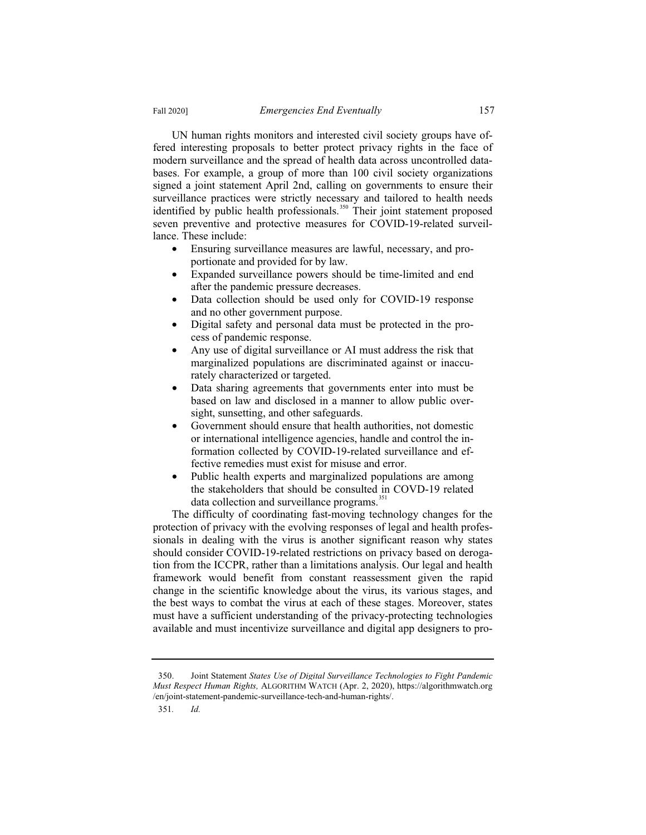UN human rights monitors and interested civil society groups have offered interesting proposals to better protect privacy rights in the face of modern surveillance and the spread of health data across uncontrolled databases. For example, a group of more than 100 civil society organizations signed a joint statement April 2nd, calling on governments to ensure their surveillance practices were strictly necessary and tailored to health needs identified by public health professionals.<sup>350</sup> Their joint statement proposed seven preventive and protective measures for COVID-19-related surveillance. These include:

- Ensuring surveillance measures are lawful, necessary, and proportionate and provided for by law.
- Expanded surveillance powers should be time-limited and end after the pandemic pressure decreases.
- Data collection should be used only for COVID-19 response and no other government purpose.
- Digital safety and personal data must be protected in the process of pandemic response.
- Any use of digital surveillance or AI must address the risk that marginalized populations are discriminated against or inaccurately characterized or targeted.
- Data sharing agreements that governments enter into must be based on law and disclosed in a manner to allow public oversight, sunsetting, and other safeguards.
- Government should ensure that health authorities, not domestic or international intelligence agencies, handle and control the information collected by COVID-19-related surveillance and effective remedies must exist for misuse and error.
- Public health experts and marginalized populations are among the stakeholders that should be consulted in COVD-19 related data collection and surveillance programs.<sup>351</sup>

The difficulty of coordinating fast-moving technology changes for the protection of privacy with the evolving responses of legal and health professionals in dealing with the virus is another significant reason why states should consider COVID-19-related restrictions on privacy based on derogation from the ICCPR, rather than a limitations analysis. Our legal and health framework would benefit from constant reassessment given the rapid change in the scientific knowledge about the virus, its various stages, and the best ways to combat the virus at each of these stages. Moreover, states must have a sufficient understanding of the privacy-protecting technologies available and must incentivize surveillance and digital app designers to pro-

<sup>350.</sup> Joint Statement *States Use of Digital Surveillance Technologies to Fight Pandemic Must Respect Human Rights,* ALGORITHM WATCH (Apr. 2, 2020), https://algorithmwatch.org /en/joint-statement-pandemic-surveillance-tech-and-human-rights/.

<sup>351</sup>*. Id.*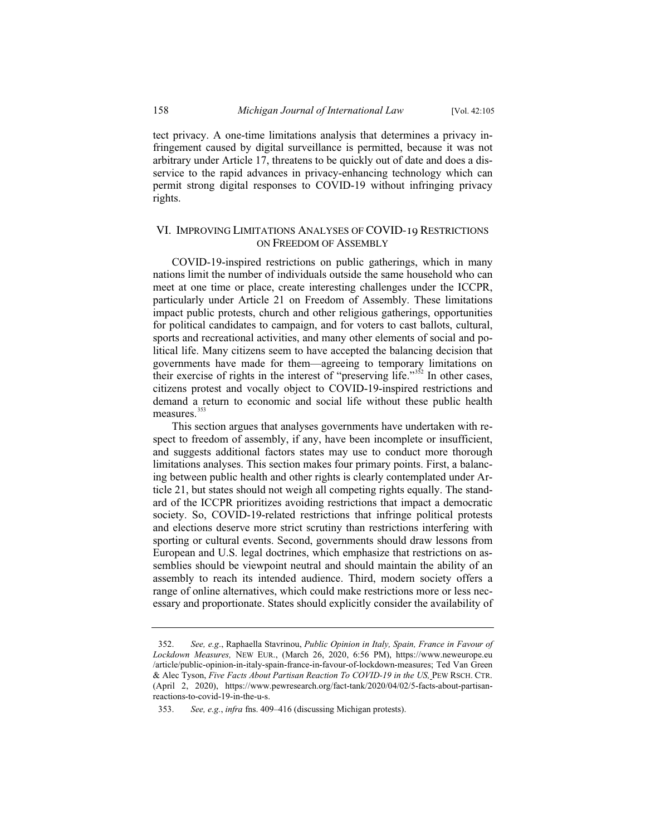tect privacy. A one-time limitations analysis that determines a privacy infringement caused by digital surveillance is permitted, because it was not arbitrary under Article 17, threatens to be quickly out of date and does a disservice to the rapid advances in privacy-enhancing technology which can permit strong digital responses to COVID-19 without infringing privacy rights.

# VI. IMPROVING LIMITATIONS ANALYSES OF COVID-19 RESTRICTIONS ON FREEDOM OF ASSEMBLY

COVID-19-inspired restrictions on public gatherings, which in many nations limit the number of individuals outside the same household who can meet at one time or place, create interesting challenges under the ICCPR, particularly under Article 21 on Freedom of Assembly. These limitations impact public protests, church and other religious gatherings, opportunities for political candidates to campaign, and for voters to cast ballots, cultural, sports and recreational activities, and many other elements of social and political life. Many citizens seem to have accepted the balancing decision that governments have made for them—agreeing to temporary limitations on their exercise of rights in the interest of "preserving life."<sup>352</sup> In other cases, citizens protest and vocally object to COVID-19-inspired restrictions and demand a return to economic and social life without these public health measures.<sup>353</sup>

This section argues that analyses governments have undertaken with respect to freedom of assembly, if any, have been incomplete or insufficient, and suggests additional factors states may use to conduct more thorough limitations analyses. This section makes four primary points. First, a balancing between public health and other rights is clearly contemplated under Article 21, but states should not weigh all competing rights equally. The standard of the ICCPR prioritizes avoiding restrictions that impact a democratic society. So, COVID-19-related restrictions that infringe political protests and elections deserve more strict scrutiny than restrictions interfering with sporting or cultural events. Second, governments should draw lessons from European and U.S. legal doctrines, which emphasize that restrictions on assemblies should be viewpoint neutral and should maintain the ability of an assembly to reach its intended audience. Third, modern society offers a range of online alternatives, which could make restrictions more or less necessary and proportionate. States should explicitly consider the availability of

<sup>352.</sup> *See, e.g*., Raphaella Stavrinou, *Public Opinion in Italy, Spain, France in Favour of Lockdown Measures,* NEW EUR., (March 26, 2020, 6:56 PM), https://www.neweurope.eu /article/public-opinion-in-italy-spain-france-in-favour-of-lockdown-measures; Ted Van Green & Alec Tyson, *Five Facts About Partisan Reaction To COVID-19 in the US,* PEW RSCH. CTR. (April 2, 2020), https://www.pewresearch.org/fact-tank/2020/04/02/5-facts-about-partisanreactions-to-covid-19-in-the-u-s.

<sup>353.</sup> *See, e.g.*, *infra* fns. 409–416 (discussing Michigan protests).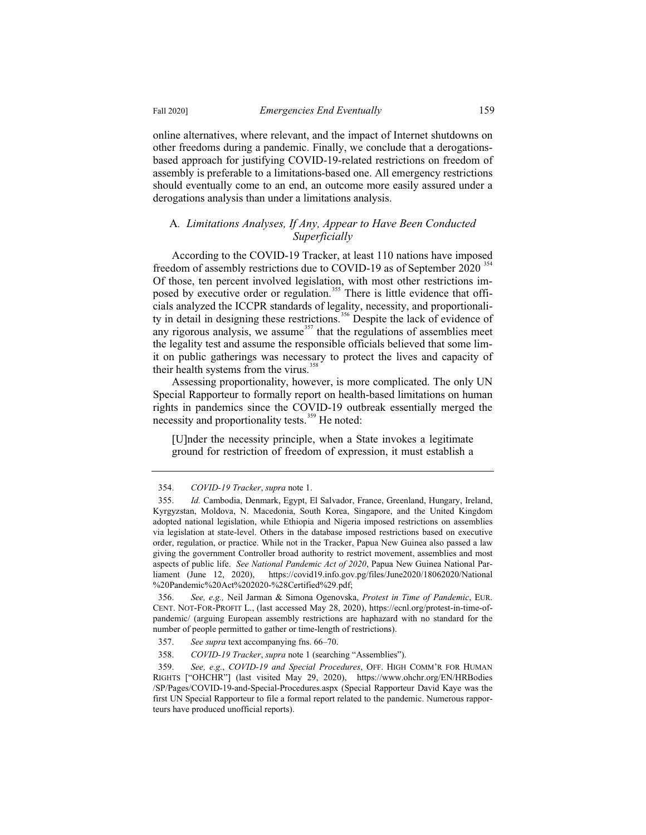online alternatives, where relevant, and the impact of Internet shutdowns on other freedoms during a pandemic. Finally, we conclude that a derogationsbased approach for justifying COVID-19-related restrictions on freedom of assembly is preferable to a limitations-based one. All emergency restrictions should eventually come to an end, an outcome more easily assured under a derogations analysis than under a limitations analysis.

### A*. Limitations Analyses, If Any, Appear to Have Been Conducted Superficially*

According to the COVID-19 Tracker, at least 110 nations have imposed freedom of assembly restrictions due to COVID-19 as of September 2020<sup>354</sup> Of those, ten percent involved legislation, with most other restrictions imposed by executive order or regulation.<sup>355</sup> There is little evidence that officials analyzed the ICCPR standards of legality, necessity, and proportionality in detail in designing these restrictions.<sup>356</sup> Despite the lack of evidence of any rigorous analysis, we assume  $357$  that the regulations of assemblies meet the legality test and assume the responsible officials believed that some limit on public gatherings was necessary to protect the lives and capacity of their health systems from the virus. $388$ 

Assessing proportionality, however, is more complicated. The only UN Special Rapporteur to formally report on health-based limitations on human rights in pandemics since the COVID-19 outbreak essentially merged the necessity and proportionality tests.<sup>359</sup> He noted:

[U]nder the necessity principle, when a State invokes a legitimate ground for restriction of freedom of expression, it must establish a

356. *See, e.g.,* Neil Jarman & Simona Ogenovska, *Protest in Time of Pandemic*, EUR. CENT. NOT-FOR-PROFIT L., (last accessed May 28, 2020), https://ecnl.org/protest-in-time-ofpandemic/ (arguing European assembly restrictions are haphazard with no standard for the number of people permitted to gather or time-length of restrictions).

<sup>354.</sup> *COVID-19 Tracker*, *supra* note 1.

<sup>355.</sup> *Id.* Cambodia, Denmark, Egypt, El Salvador, France, Greenland, Hungary, Ireland, Kyrgyzstan, Moldova, N. Macedonia, South Korea, Singapore, and the United Kingdom adopted national legislation, while Ethiopia and Nigeria imposed restrictions on assemblies via legislation at state-level. Others in the database imposed restrictions based on executive order, regulation, or practice. While not in the Tracker, Papua New Guinea also passed a law giving the government Controller broad authority to restrict movement, assemblies and most aspects of public life. *See National Pandemic Act of 2020*, Papua New Guinea National Parliament (June 12, 2020), https://covid19.info.gov.pg/files/June2020/18062020/National %20Pandemic%20Act%202020-%28Certified%29.pdf;

<sup>357.</sup> *See supra* text accompanying fns. 66–70.

<sup>358.</sup> *COVID-19 Tracker*, *supra* note 1 (searching "Assemblies").

<sup>359.</sup> *See, e.g.*, *COVID-19 and Special Procedures*, OFF. HIGH COMM'R FOR HUMAN RIGHTS ["OHCHR"] (last visited May 29, 2020), https://www.ohchr.org/EN/HRBodies /SP/Pages/COVID-19-and-Special-Procedures.aspx (Special Rapporteur David Kaye was the first UN Special Rapporteur to file a formal report related to the pandemic. Numerous rapporteurs have produced unofficial reports).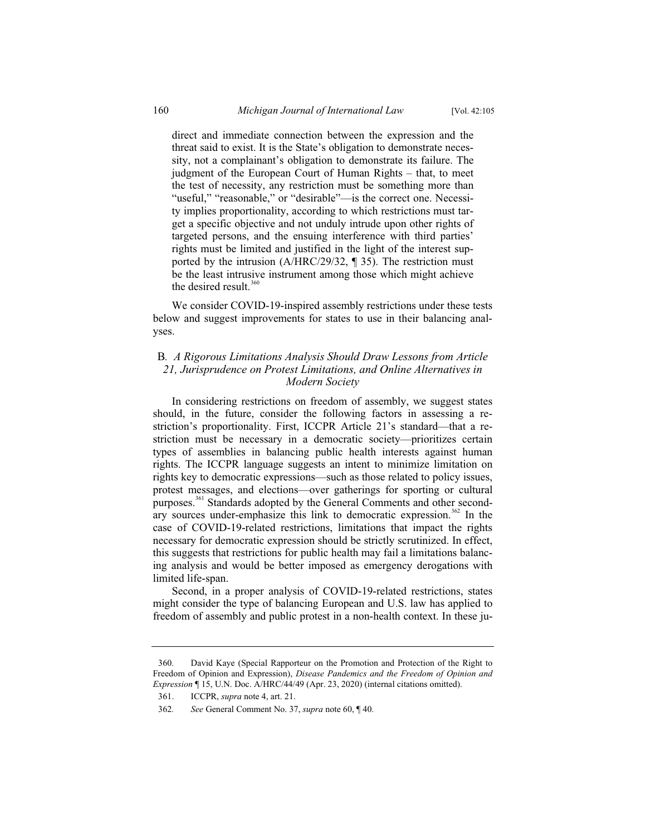direct and immediate connection between the expression and the threat said to exist. It is the State's obligation to demonstrate necessity, not a complainant's obligation to demonstrate its failure. The judgment of the European Court of Human Rights – that, to meet the test of necessity, any restriction must be something more than "useful," "reasonable," or "desirable"—is the correct one. Necessity implies proportionality, according to which restrictions must target a specific objective and not unduly intrude upon other rights of targeted persons, and the ensuing interference with third parties' rights must be limited and justified in the light of the interest supported by the intrusion (A/HRC/29/32, ¶ 35). The restriction must be the least intrusive instrument among those which might achieve the desired result. $360$ 

We consider COVID-19-inspired assembly restrictions under these tests below and suggest improvements for states to use in their balancing analyses.

# B*. A Rigorous Limitations Analysis Should Draw Lessons from Article 21, Jurisprudence on Protest Limitations, and Online Alternatives in Modern Society*

In considering restrictions on freedom of assembly, we suggest states should, in the future, consider the following factors in assessing a restriction's proportionality. First, ICCPR Article 21's standard—that a restriction must be necessary in a democratic society—prioritizes certain types of assemblies in balancing public health interests against human rights. The ICCPR language suggests an intent to minimize limitation on rights key to democratic expressions—such as those related to policy issues, protest messages, and elections—over gatherings for sporting or cultural purposes.<sup>361</sup> Standards adopted by the General Comments and other secondary sources under-emphasize this link to democratic expression.<sup>362</sup> In the case of COVID-19-related restrictions, limitations that impact the rights necessary for democratic expression should be strictly scrutinized. In effect, this suggests that restrictions for public health may fail a limitations balancing analysis and would be better imposed as emergency derogations with limited life-span.

Second, in a proper analysis of COVID-19-related restrictions, states might consider the type of balancing European and U.S. law has applied to freedom of assembly and public protest in a non-health context. In these ju-

<sup>360</sup>*.* David Kaye (Special Rapporteur on the Promotion and Protection of the Right to Freedom of Opinion and Expression), *Disease Pandemics and the Freedom of Opinion and Expression* ¶ 15, U.N. Doc. A/HRC/44/49 (Apr. 23, 2020) (internal citations omitted).

<sup>361.</sup> ICCPR, *supra* note 4, art. 21.

<sup>362</sup>*. See* General Comment No. 37, *supra* note 60, ¶ 40.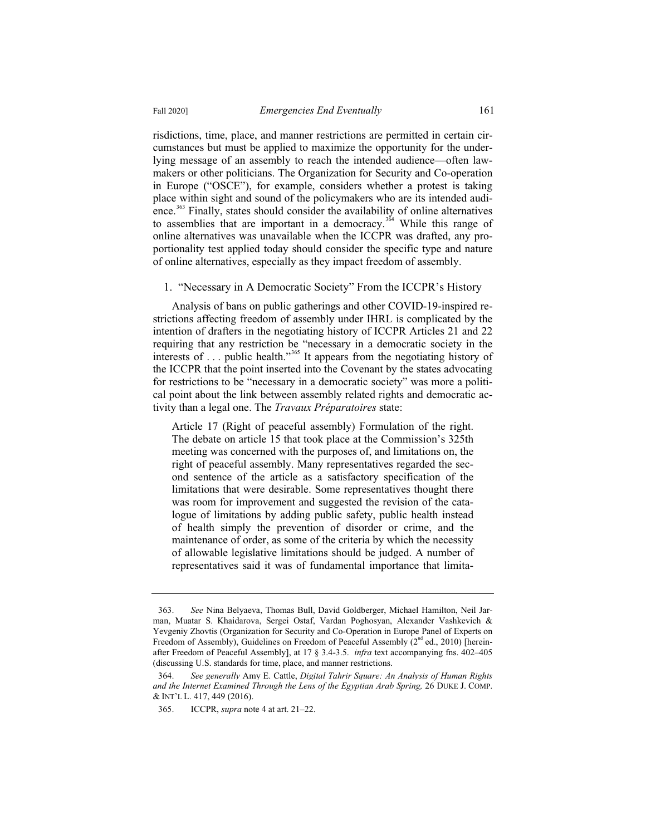risdictions, time, place, and manner restrictions are permitted in certain circumstances but must be applied to maximize the opportunity for the underlying message of an assembly to reach the intended audience—often lawmakers or other politicians. The Organization for Security and Co-operation in Europe ("OSCE"), for example, considers whether a protest is taking place within sight and sound of the policymakers who are its intended audience.<sup>363</sup> Finally, states should consider the availability of online alternatives to assemblies that are important in a democracy.<sup>364</sup> While this range of

online alternatives was unavailable when the ICCPR was drafted, any proportionality test applied today should consider the specific type and nature of online alternatives, especially as they impact freedom of assembly.

### 1. "Necessary in A Democratic Society" From the ICCPR's History

Analysis of bans on public gatherings and other COVID-19-inspired restrictions affecting freedom of assembly under IHRL is complicated by the intention of drafters in the negotiating history of ICCPR Articles 21 and 22 requiring that any restriction be "necessary in a democratic society in the interests of  $\dots$  public health."<sup>365</sup> It appears from the negotiating history of the ICCPR that the point inserted into the Covenant by the states advocating for restrictions to be "necessary in a democratic society" was more a political point about the link between assembly related rights and democratic activity than a legal one. The *Travaux Préparatoires* state:

Article 17 (Right of peaceful assembly) Formulation of the right. The debate on article 15 that took place at the Commission's 325th meeting was concerned with the purposes of, and limitations on, the right of peaceful assembly. Many representatives regarded the second sentence of the article as a satisfactory specification of the limitations that were desirable. Some representatives thought there was room for improvement and suggested the revision of the catalogue of limitations by adding public safety, public health instead of health simply the prevention of disorder or crime, and the maintenance of order, as some of the criteria by which the necessity of allowable legislative limitations should be judged. A number of representatives said it was of fundamental importance that limita-

<sup>363.</sup> *See* Nina Belyaeva, Thomas Bull, David Goldberger, Michael Hamilton, Neil Jarman, Muatar S. Khaidarova, Sergei Ostaf, Vardan Poghosyan, Alexander Vashkevich & Yevgeniy Zhovtis (Organization for Security and Co-Operation in Europe Panel of Experts on Freedom of Assembly), Guidelines on Freedom of Peaceful Assembly  $(2^{nd}$  ed., 2010) [hereinafter Freedom of Peaceful Assembly], at 17 § 3.4-3.5. *infra* text accompanying fns. 402–405 (discussing U.S. standards for time, place, and manner restrictions.

<sup>364.</sup> *See generally* Amy E. Cattle, *Digital Tahrir Square: An Analysis of Human Rights and the Internet Examined Through the Lens of the Egyptian Arab Spring,* 26 DUKE J. COMP. & INT'L L. 417, 449 (2016).

<sup>365.</sup> ICCPR, *supra* note 4 at art. 21–22.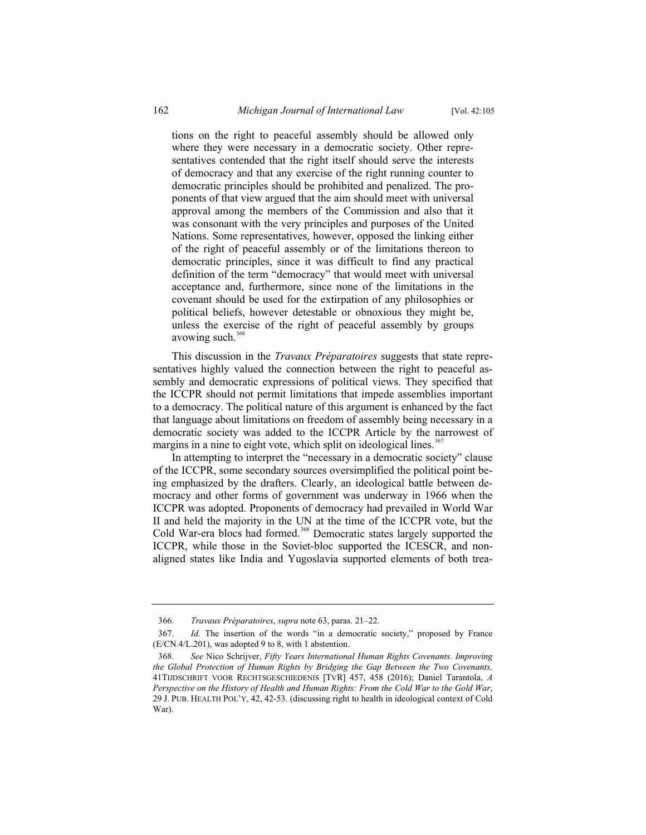tions on the right to peaceful assembly should be allowed only where they were necessary in a democratic society. Other representatives contended that the right itself should serve the interests of democracy and that any exercise of the right running counter to democratic principles should be prohibited and penalized. The proponents of that view argued that the aim should meet with universal approval among the members of the Commission and also that it was consonant with the very principles and purposes of the United Nations. Some representatives, however, opposed the linking either of the right of peaceful assembly or of the limitations thereon to democratic principles, since it was difficult to find any practical definition of the term "democracy" that would meet with universal acceptance and, furthermore, since none of the limitations in the covenant should be used for the extirpation of any philosophies or political beliefs, however detestable or obnoxious they might be, unless the exercise of the right of peaceful assembly by groups avowing such. $366$ 

This discussion in the *Travaux Préparatoires* suggests that state representatives highly valued the connection between the right to peaceful assembly and democratic expressions of political views. They specified that the ICCPR should not permit limitations that impede assemblies important to a democracy. The political nature of this argument is enhanced by the fact that language about limitations on freedom of assembly being necessary in a democratic society was added to the ICCPR Article by the narrowest of margins in a nine to eight vote, which split on ideological lines.<sup>367</sup>

In attempting to interpret the "necessary in a democratic society" clause of the ICCPR, some secondary sources oversimplified the political point being emphasized by the drafters. Clearly, an ideological battle between democracy and other forms of government was underway in 1966 when the ICCPR was adopted. Proponents of democracy had prevailed in World War II and held the majority in the UN at the time of the ICCPR vote, but the Cold War-era blocs had formed.<sup>368</sup> Democratic states largely supported the ICCPR, while those in the Soviet-bloc supported the ICESCR, and nonaligned states like India and Yugoslavia supported elements of both trea-

<sup>366.</sup> *Travaux Préparatoires*, *supra* note 63, paras. 21–22.

<sup>367.</sup> *Id.* The insertion of the words "in a democratic society," proposed by France (E/CN.4/L.201), was adopted 9 to 8, with 1 abstention.

<sup>368.</sup> *See* Nico Schrijver, *Fifty Years International Human Rights Covenants. Improving the Global Protection of Human Rights by Bridging the Gap Between the Two Covenants,* 41TIJDSCHRIFT VOOR RECHTSGESCHIEDENIS [TVR] 457, 458 (2016); Daniel Tarantola, *A Perspective on the History of Health and Human Rights: From the Cold War to the Gold War*, 29 J. PUB. HEALTH POL'Y, 42, 42-53. (discussing right to health in ideological context of Cold War).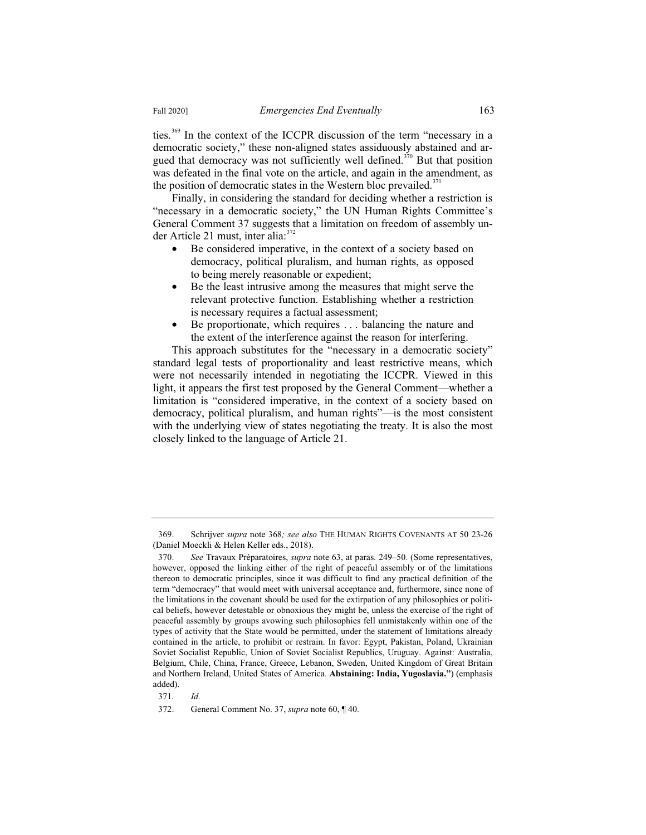ties.<sup>369</sup> In the context of the ICCPR discussion of the term "necessary in a democratic society," these non-aligned states assiduously abstained and argued that democracy was not sufficiently well defined.<sup> $370$ </sup> But that position was defeated in the final vote on the article, and again in the amendment, as the position of democratic states in the Western bloc prevailed.<sup>371</sup>

Finally, in considering the standard for deciding whether a restriction is "necessary in a democratic society," the UN Human Rights Committee's General Comment 37 suggests that a limitation on freedom of assembly under Article 21 must, inter alia: $372$ 

- Be considered imperative, in the context of a society based on democracy, political pluralism, and human rights, as opposed to being merely reasonable or expedient;
- Be the least intrusive among the measures that might serve the relevant protective function. Establishing whether a restriction is necessary requires a factual assessment;
- Be proportionate, which requires . . . balancing the nature and the extent of the interference against the reason for interfering.

This approach substitutes for the "necessary in a democratic society" standard legal tests of proportionality and least restrictive means, which were not necessarily intended in negotiating the ICCPR. Viewed in this light, it appears the first test proposed by the General Comment—whether a limitation is "considered imperative, in the context of a society based on democracy, political pluralism, and human rights"—is the most consistent with the underlying view of states negotiating the treaty. It is also the most closely linked to the language of Article 21.

<sup>369.</sup> Schrijver *supra* note 368*; see also* THE HUMAN RIGHTS COVENANTS AT 50 23-26 (Daniel Moeckli & Helen Keller eds., 2018).

<sup>370.</sup> *See* Travaux Préparatoires, *supra* note 63, at paras. 249–50. (Some representatives, however, opposed the linking either of the right of peaceful assembly or of the limitations thereon to democratic principles, since it was difficult to find any practical definition of the term "democracy" that would meet with universal acceptance and, furthermore, since none of the limitations in the covenant should be used for the extirpation of any philosophies or political beliefs, however detestable or obnoxious they might be, unless the exercise of the right of peaceful assembly by groups avowing such philosophies fell unmistakenly within one of the types of activity that the State would be permitted, under the statement of limitations already contained in the article, to prohibit or restrain. In favor: Egypt, Pakistan, Poland, Ukrainian Soviet Socialist Republic, Union of Soviet Socialist Republics, Uruguay. Against: Australia, Belgium, Chile, China, France, Greece, Lebanon, Sweden, United Kingdom of Great Britain and Northern Ireland, United States of America. **Abstaining: India, Yugoslavia."**) (emphasis added).

<sup>371</sup>*. Id.*

<sup>372.</sup> General Comment No. 37, *supra* note 60, ¶ 40.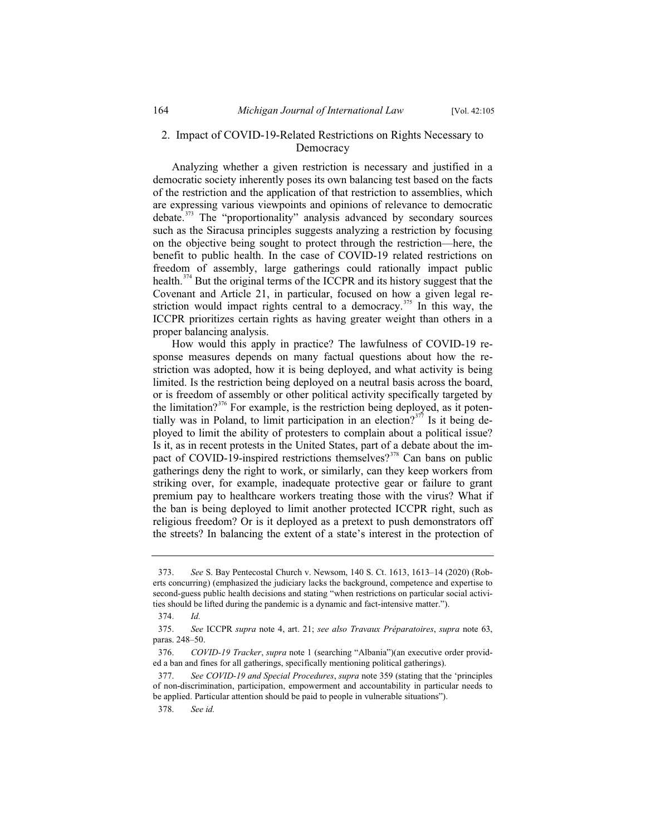# 2. Impact of COVID-19-Related Restrictions on Rights Necessary to Democracy

Analyzing whether a given restriction is necessary and justified in a democratic society inherently poses its own balancing test based on the facts of the restriction and the application of that restriction to assemblies, which are expressing various viewpoints and opinions of relevance to democratic debate.<sup>373</sup> The "proportionality" analysis advanced by secondary sources such as the Siracusa principles suggests analyzing a restriction by focusing on the objective being sought to protect through the restriction—here, the benefit to public health. In the case of COVID-19 related restrictions on freedom of assembly, large gatherings could rationally impact public health.<sup>374</sup> But the original terms of the ICCPR and its history suggest that the Covenant and Article 21, in particular, focused on how a given legal restriction would impact rights central to a democracy.<sup>375</sup> In this way, the ICCPR prioritizes certain rights as having greater weight than others in a proper balancing analysis.

How would this apply in practice? The lawfulness of COVID-19 response measures depends on many factual questions about how the restriction was adopted, how it is being deployed, and what activity is being limited. Is the restriction being deployed on a neutral basis across the board, or is freedom of assembly or other political activity specifically targeted by the limitation?<sup>376</sup> For example, is the restriction being deployed, as it potentially was in Poland, to limit participation in an election?<sup>377</sup> Is it being deployed to limit the ability of protesters to complain about a political issue? Is it, as in recent protests in the United States, part of a debate about the impact of COVID-19-inspired restrictions themselves?<sup>378</sup> Can bans on public gatherings deny the right to work, or similarly, can they keep workers from striking over, for example, inadequate protective gear or failure to grant premium pay to healthcare workers treating those with the virus? What if the ban is being deployed to limit another protected ICCPR right, such as religious freedom? Or is it deployed as a pretext to push demonstrators off the streets? In balancing the extent of a state's interest in the protection of

<sup>373.</sup> *See* S. Bay Pentecostal Church v. Newsom, 140 S. Ct. 1613, 1613–14 (2020) (Roberts concurring) (emphasized the judiciary lacks the background, competence and expertise to second-guess public health decisions and stating "when restrictions on particular social activities should be lifted during the pandemic is a dynamic and fact-intensive matter.").

<sup>374.</sup> *Id.*

<sup>375.</sup> *See* ICCPR *supra* note 4, art. 21; *see also Travaux Préparatoires*, *supra* note 63, paras. 248–50.

<sup>376.</sup> *COVID-19 Tracker*, *supra* note 1 (searching "Albania")(an executive order provided a ban and fines for all gatherings, specifically mentioning political gatherings).

<sup>377.</sup> *See COVID-19 and Special Procedures*, *supra* note 359 (stating that the 'principles of non-discrimination, participation, empowerment and accountability in particular needs to be applied. Particular attention should be paid to people in vulnerable situations").

<sup>378.</sup> *See id.*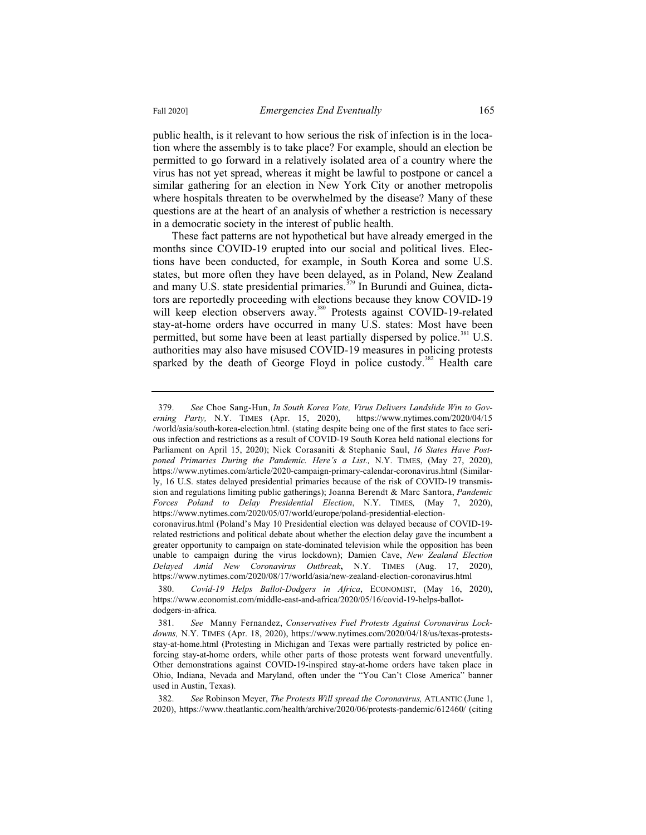public health, is it relevant to how serious the risk of infection is in the location where the assembly is to take place? For example, should an election be permitted to go forward in a relatively isolated area of a country where the virus has not yet spread, whereas it might be lawful to postpone or cancel a similar gathering for an election in New York City or another metropolis where hospitals threaten to be overwhelmed by the disease? Many of these questions are at the heart of an analysis of whether a restriction is necessary in a democratic society in the interest of public health.

These fact patterns are not hypothetical but have already emerged in the months since COVID-19 erupted into our social and political lives. Elections have been conducted, for example, in South Korea and some U.S. states, but more often they have been delayed, as in Poland, New Zealand and many U.S. state presidential primaries.<sup> $379$ </sup> In Burundi and Guinea, dictators are reportedly proceeding with elections because they know COVID-19 will keep election observers away.<sup>380</sup> Protests against COVID-19-related stay-at-home orders have occurred in many U.S. states: Most have been permitted, but some have been at least partially dispersed by police.<sup>381</sup> U.S. authorities may also have misused COVID-19 measures in policing protests sparked by the death of George Floyd in police custody.<sup>382</sup> Health care

<sup>379.</sup> *See* Choe Sang-Hun, *In South Korea Vote, Virus Delivers Landslide Win to Governing Party,* N.Y. TIMES (Apr. 15, 2020), https://www.nytimes.com/2020/04/15 /world/asia/south-korea-election.html. (stating despite being one of the first states to face serious infection and restrictions as a result of COVID-19 South Korea held national elections for Parliament on April 15, 2020); Nick Corasaniti & Stephanie Saul, *16 States Have Postponed Primaries During the Pandemic. Here's a List.,* N.Y. TIMES, (May 27, 2020), https://www.nytimes.com/article/2020-campaign-primary-calendar-coronavirus.html (Similarly, 16 U.S. states delayed presidential primaries because of the risk of COVID-19 transmission and regulations limiting public gatherings); Joanna Berendt & Marc Santora, *Pandemic Forces Poland to Delay Presidential Election*, N.Y. TIMES*,* (May 7, 2020), https://www.nytimes.com/2020/05/07/world/europe/poland-presidential-election-

coronavirus.html (Poland's May 10 Presidential election was delayed because of COVID-19 related restrictions and political debate about whether the election delay gave the incumbent a greater opportunity to campaign on state-dominated television while the opposition has been unable to campaign during the virus lockdown); Damien Cave, *New Zealand Election Delayed Amid New Coronavirus Outbreak***,** N.Y. TIMES (Aug. 17, 2020), https://www.nytimes.com/2020/08/17/world/asia/new-zealand-election-coronavirus.html

<sup>380.</sup> *Covid-19 Helps Ballot-Dodgers in Africa*, ECONOMIST, (May 16, 2020), https://www.economist.com/middle-east-and-africa/2020/05/16/covid-19-helps-ballotdodgers-in-africa.

<sup>381.</sup> *See* Manny Fernandez, *Conservatives Fuel Protests Against Coronavirus Lockdowns,* N.Y. TIMES (Apr. 18, 2020), https://www.nytimes.com/2020/04/18/us/texas-protestsstay-at-home.html (Protesting in Michigan and Texas were partially restricted by police enforcing stay-at-home orders, while other parts of those protests went forward uneventfully. Other demonstrations against COVID-19-inspired stay-at-home orders have taken place in Ohio, Indiana, Nevada and Maryland, often under the "You Can't Close America" banner used in Austin, Texas).

<sup>382.</sup> *See* Robinson Meyer, *The Protests Will spread the Coronavirus,* ATLANTIC (June 1, 2020), https://www.theatlantic.com/health/archive/2020/06/protests-pandemic/612460/ (citing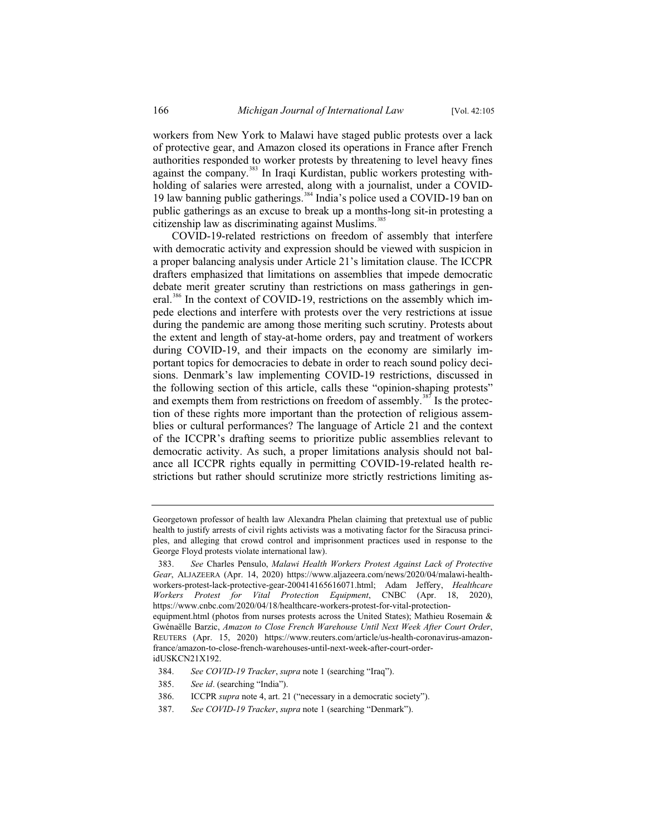workers from New York to Malawi have staged public protests over a lack of protective gear, and Amazon closed its operations in France after French authorities responded to worker protests by threatening to level heavy fines against the company.<sup>383</sup> In Iraqi Kurdistan, public workers protesting withholding of salaries were arrested, along with a journalist, under a COVID-19 law banning public gatherings.<sup>384</sup> India's police used a COVID-19 ban on public gatherings as an excuse to break up a months-long sit-in protesting a citizenship law as discriminating against Muslims.<sup>385</sup>

COVID-19-related restrictions on freedom of assembly that interfere with democratic activity and expression should be viewed with suspicion in a proper balancing analysis under Article 21's limitation clause. The ICCPR drafters emphasized that limitations on assemblies that impede democratic debate merit greater scrutiny than restrictions on mass gatherings in general.<sup>386</sup> In the context of COVID-19, restrictions on the assembly which impede elections and interfere with protests over the very restrictions at issue during the pandemic are among those meriting such scrutiny. Protests about the extent and length of stay-at-home orders, pay and treatment of workers during COVID-19, and their impacts on the economy are similarly important topics for democracies to debate in order to reach sound policy decisions. Denmark's law implementing COVID-19 restrictions, discussed in the following section of this article, calls these "opinion-shaping protests" and exempts them from restrictions on freedom of assembly.<sup>387</sup> Is the protection of these rights more important than the protection of religious assemblies or cultural performances? The language of Article 21 and the context of the ICCPR's drafting seems to prioritize public assemblies relevant to democratic activity. As such, a proper limitations analysis should not balance all ICCPR rights equally in permitting COVID-19-related health restrictions but rather should scrutinize more strictly restrictions limiting as-

387. *See COVID-19 Tracker*, *supra* note 1 (searching "Denmark").

Georgetown professor of health law Alexandra Phelan claiming that pretextual use of public health to justify arrests of civil rights activists was a motivating factor for the Siracusa principles, and alleging that crowd control and imprisonment practices used in response to the George Floyd protests violate international law).

<sup>383.</sup> *See* Charles Pensulo, *Malawi Health Workers Protest Against Lack of Protective Gear*, ALJAZEERA (Apr. 14, 2020) https://www.aljazeera.com/news/2020/04/malawi-healthworkers-protest-lack-protective-gear-200414165616071.html; Adam Jeffery, *Healthcare Workers Protest for Vital Protection Equipment*, CNBC (Apr. 18, 2020), https://www.cnbc.com/2020/04/18/healthcare-workers-protest-for-vital-protectionequipment.html (photos from nurses protests across the United States); Mathieu Rosemain &

Gwénaëlle Barzic, *Amazon to Close French Warehouse Until Next Week After Court Order*, REUTERS (Apr. 15, 2020) https://www.reuters.com/article/us-health-coronavirus-amazonfrance/amazon-to-close-french-warehouses-until-next-week-after-court-orderidUSKCN21X192.

<sup>384.</sup> *See COVID-19 Tracker*, *supra* note 1 (searching "Iraq").

<sup>385.</sup> *See id*. (searching "India").

<sup>386.</sup> ICCPR *supra* note 4, art. 21 ("necessary in a democratic society").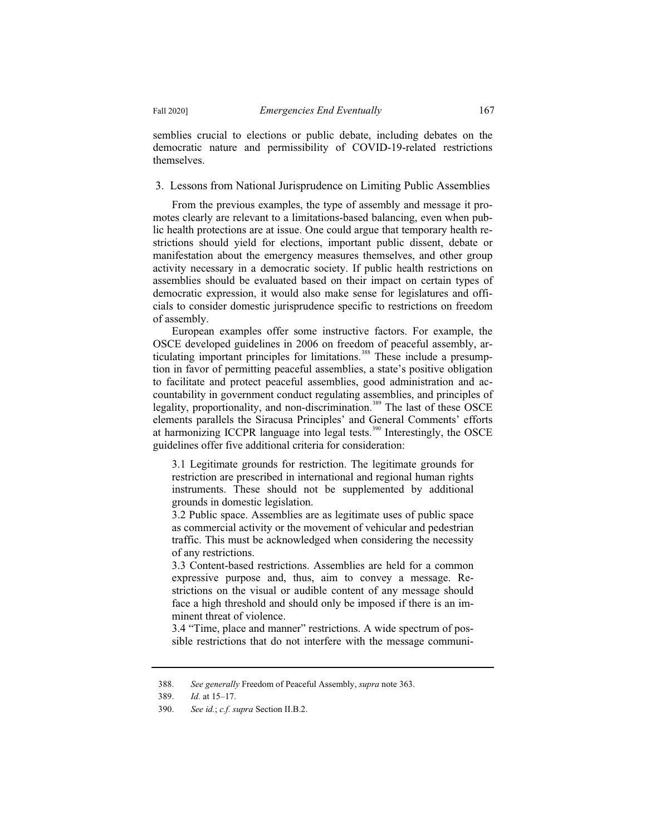semblies crucial to elections or public debate, including debates on the democratic nature and permissibility of COVID-19-related restrictions themselves.

3. Lessons from National Jurisprudence on Limiting Public Assemblies

From the previous examples, the type of assembly and message it promotes clearly are relevant to a limitations-based balancing, even when public health protections are at issue. One could argue that temporary health restrictions should yield for elections, important public dissent, debate or manifestation about the emergency measures themselves, and other group activity necessary in a democratic society. If public health restrictions on assemblies should be evaluated based on their impact on certain types of democratic expression, it would also make sense for legislatures and officials to consider domestic jurisprudence specific to restrictions on freedom of assembly.

European examples offer some instructive factors. For example, the OSCE developed guidelines in 2006 on freedom of peaceful assembly, articulating important principles for limitations.<sup>388</sup> These include a presumption in favor of permitting peaceful assemblies, a state's positive obligation to facilitate and protect peaceful assemblies, good administration and accountability in government conduct regulating assemblies, and principles of legality, proportionality, and non-discrimination.<sup>389</sup> The last of these OSCE elements parallels the Siracusa Principles' and General Comments' efforts at harmonizing ICCPR language into legal tests.<sup>390</sup> Interestingly, the OSCE guidelines offer five additional criteria for consideration:

3.1 Legitimate grounds for restriction. The legitimate grounds for restriction are prescribed in international and regional human rights instruments. These should not be supplemented by additional grounds in domestic legislation.

3.2 Public space. Assemblies are as legitimate uses of public space as commercial activity or the movement of vehicular and pedestrian traffic. This must be acknowledged when considering the necessity of any restrictions.

3.3 Content-based restrictions. Assemblies are held for a common expressive purpose and, thus, aim to convey a message. Restrictions on the visual or audible content of any message should face a high threshold and should only be imposed if there is an imminent threat of violence.

3.4 "Time, place and manner" restrictions. A wide spectrum of possible restrictions that do not interfere with the message communi-

<sup>388.</sup> *See generally* Freedom of Peaceful Assembly, *supra* note 363.

<sup>389.</sup> *Id.* at 15–17.

<sup>390.</sup> *See id.*; *c.f. supra* Section II.B.2.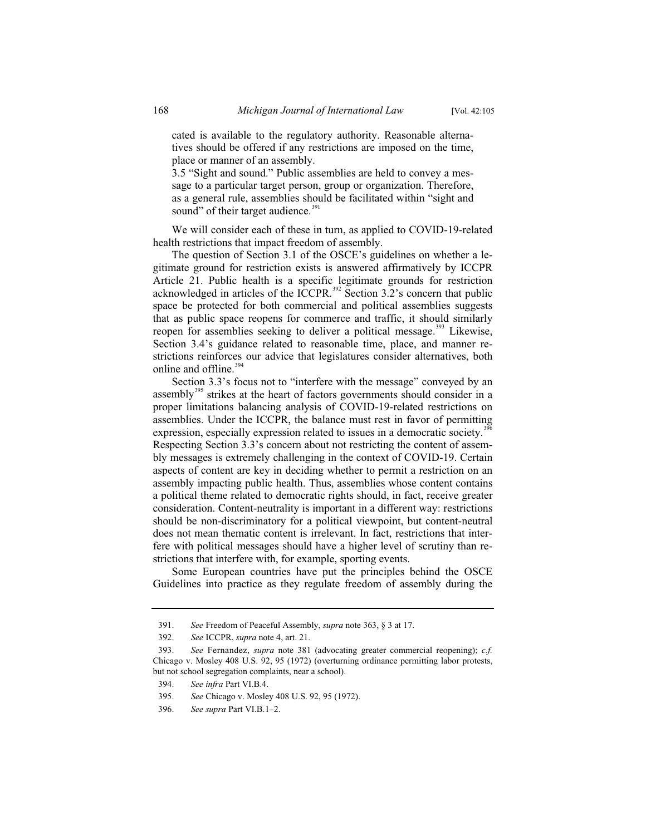cated is available to the regulatory authority. Reasonable alternatives should be offered if any restrictions are imposed on the time, place or manner of an assembly.

3.5 "Sight and sound." Public assemblies are held to convey a message to a particular target person, group or organization. Therefore, as a general rule, assemblies should be facilitated within "sight and sound" of their target audience.<sup>391</sup>

We will consider each of these in turn, as applied to COVID-19-related health restrictions that impact freedom of assembly.

The question of Section 3.1 of the OSCE's guidelines on whether a legitimate ground for restriction exists is answered affirmatively by ICCPR Article 21. Public health is a specific legitimate grounds for restriction acknowledged in articles of the ICCPR.<sup>392</sup> Section 3.2's concern that public space be protected for both commercial and political assemblies suggests that as public space reopens for commerce and traffic, it should similarly reopen for assemblies seeking to deliver a political message.<sup>393</sup> Likewise, Section 3.4's guidance related to reasonable time, place, and manner restrictions reinforces our advice that legislatures consider alternatives, both online and offline.<sup>394</sup>

Section 3.3's focus not to "interfere with the message" conveyed by an assembly<sup>395</sup> strikes at the heart of factors governments should consider in a proper limitations balancing analysis of COVID-19-related restrictions on assemblies. Under the ICCPR, the balance must rest in favor of permitting expression, especially expression related to issues in a democratic society.<sup>39</sup> Respecting Section 3.3's concern about not restricting the content of assembly messages is extremely challenging in the context of COVID-19. Certain aspects of content are key in deciding whether to permit a restriction on an assembly impacting public health. Thus, assemblies whose content contains a political theme related to democratic rights should, in fact, receive greater consideration. Content-neutrality is important in a different way: restrictions should be non-discriminatory for a political viewpoint, but content-neutral does not mean thematic content is irrelevant. In fact, restrictions that interfere with political messages should have a higher level of scrutiny than restrictions that interfere with, for example, sporting events.

Some European countries have put the principles behind the OSCE Guidelines into practice as they regulate freedom of assembly during the

<sup>391.</sup> *See* Freedom of Peaceful Assembly, *supra* note 363, § 3 at 17.

<sup>392.</sup> *See* ICCPR, *supra* note 4, art. 21.

<sup>393.</sup> *See* Fernandez, *supra* note 381 (advocating greater commercial reopening); *c.f.*  Chicago v. Mosley 408 U.S. 92, 95 (1972) (overturning ordinance permitting labor protests, but not school segregation complaints, near a school).

<sup>394.</sup> *See infra* Part VI.B.4.

<sup>395.</sup> *See* Chicago v. Mosley 408 U.S. 92, 95 (1972).

<sup>396.</sup> *See supra* Part VI.B.1–2.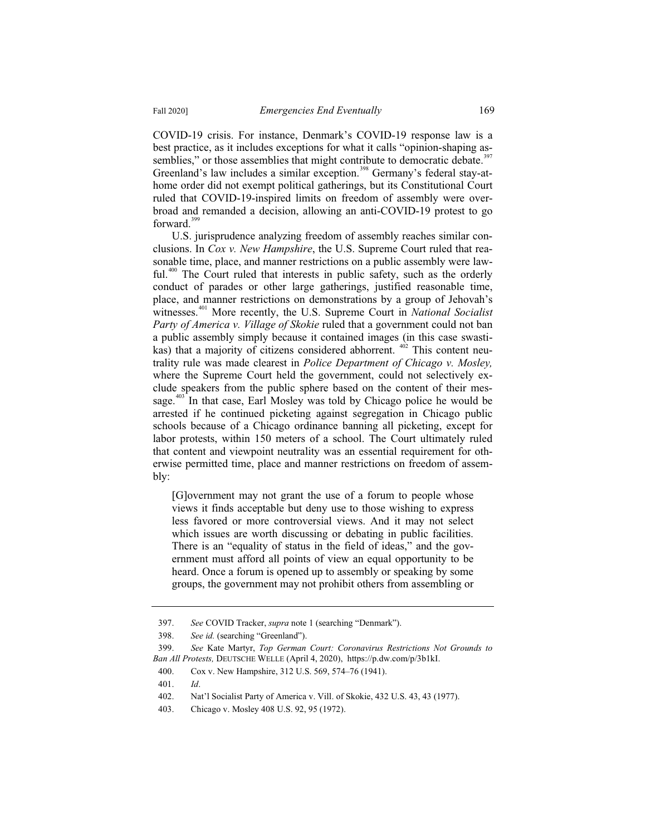COVID-19 crisis. For instance, Denmark's COVID-19 response law is a best practice, as it includes exceptions for what it calls "opinion-shaping assemblies," or those assemblies that might contribute to democratic debate.<sup>397</sup> Greenland's law includes a similar exception.<sup>398</sup> Germany's federal stay-athome order did not exempt political gatherings, but its Constitutional Court ruled that COVID-19-inspired limits on freedom of assembly were overbroad and remanded a decision, allowing an anti-COVID-19 protest to go forward.<sup>399</sup>

U.S. jurisprudence analyzing freedom of assembly reaches similar conclusions. In *Cox v. New Hampshire*, the U.S. Supreme Court ruled that reasonable time, place, and manner restrictions on a public assembly were law- $\text{ful.}^{400}$  The Court ruled that interests in public safety, such as the orderly conduct of parades or other large gatherings, justified reasonable time, place, and manner restrictions on demonstrations by a group of Jehovah's witnesses.<sup>401</sup> More recently, the U.S. Supreme Court in *National Socialist Party of America v. Village of Skokie* ruled that a government could not ban a public assembly simply because it contained images (in this case swastikas) that a majority of citizens considered abhorrent.  $402$  This content neutrality rule was made clearest in *Police Department of Chicago v. Mosley,* where the Supreme Court held the government, could not selectively exclude speakers from the public sphere based on the content of their message. $403$  In that case, Earl Mosley was told by Chicago police he would be arrested if he continued picketing against segregation in Chicago public schools because of a Chicago ordinance banning all picketing, except for labor protests, within 150 meters of a school. The Court ultimately ruled that content and viewpoint neutrality was an essential requirement for otherwise permitted time, place and manner restrictions on freedom of assembly:

[G]overnment may not grant the use of a forum to people whose views it finds acceptable but deny use to those wishing to express less favored or more controversial views. And it may not select which issues are worth discussing or debating in public facilities. There is an "equality of status in the field of ideas," and the government must afford all points of view an equal opportunity to be heard. Once a forum is opened up to assembly or speaking by some groups, the government may not prohibit others from assembling or

<sup>397.</sup> *See* COVID Tracker, *supra* note 1 (searching "Denmark").

<sup>398.</sup> *See id.* (searching "Greenland").

<sup>399.</sup> *See* Kate Martyr, *Top German Court: Coronavirus Restrictions Not Grounds to Ban All Protests,* DEUTSCHE WELLE (April 4, 2020), https://p.dw.com/p/3b1kI.

<sup>400.</sup> Cox v. New Hampshire, 312 U.S. 569, 574–76 (1941).

<sup>401.</sup> *Id*.

<sup>402.</sup> Nat'l Socialist Party of America v. Vill. of Skokie, 432 U.S. 43, 43 (1977).

<sup>403.</sup> Chicago v. Mosley 408 U.S. 92, 95 (1972).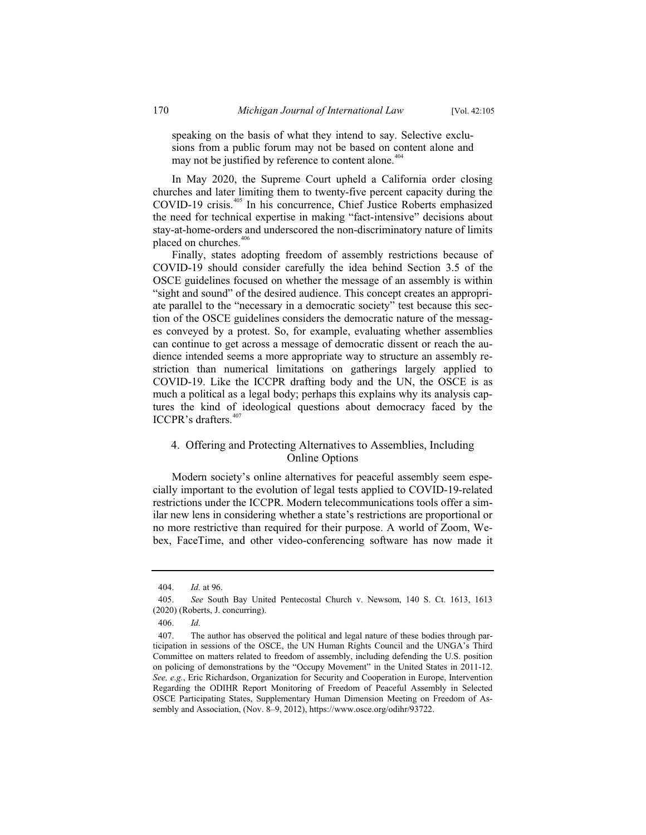speaking on the basis of what they intend to say. Selective exclusions from a public forum may not be based on content alone and may not be justified by reference to content alone.<sup>404</sup>

In May 2020, the Supreme Court upheld a California order closing churches and later limiting them to twenty-five percent capacity during the COVID-19 crisis.<sup>405</sup> In his concurrence, Chief Justice Roberts emphasized the need for technical expertise in making "fact-intensive" decisions about stay-at-home-orders and underscored the non-discriminatory nature of limits placed on churches.<sup>406</sup>

Finally, states adopting freedom of assembly restrictions because of COVID-19 should consider carefully the idea behind Section 3.5 of the OSCE guidelines focused on whether the message of an assembly is within "sight and sound" of the desired audience. This concept creates an appropriate parallel to the "necessary in a democratic society" test because this section of the OSCE guidelines considers the democratic nature of the messages conveyed by a protest. So, for example, evaluating whether assemblies can continue to get across a message of democratic dissent or reach the audience intended seems a more appropriate way to structure an assembly restriction than numerical limitations on gatherings largely applied to COVID-19. Like the ICCPR drafting body and the UN, the OSCE is as much a political as a legal body; perhaps this explains why its analysis captures the kind of ideological questions about democracy faced by the ICCPR's drafters.<sup>407</sup>

# 4. Offering and Protecting Alternatives to Assemblies, Including Online Options

Modern society's online alternatives for peaceful assembly seem especially important to the evolution of legal tests applied to COVID-19-related restrictions under the ICCPR. Modern telecommunications tools offer a similar new lens in considering whether a state's restrictions are proportional or no more restrictive than required for their purpose. A world of Zoom, Webex, FaceTime, and other video-conferencing software has now made it

<sup>404.</sup> *Id.* at 96.

<sup>405.</sup> *See* South Bay United Pentecostal Church v. Newsom, 140 S. Ct. 1613, 1613 (2020) (Roberts, J. concurring).

<sup>406.</sup> *Id.*

<sup>407.</sup> The author has observed the political and legal nature of these bodies through participation in sessions of the OSCE, the UN Human Rights Council and the UNGA's Third Committee on matters related to freedom of assembly, including defending the U.S. position on policing of demonstrations by the "Occupy Movement" in the United States in 2011-12. *See, e.g.*, Eric Richardson, Organization for Security and Cooperation in Europe, Intervention Regarding the ODIHR Report Monitoring of Freedom of Peaceful Assembly in Selected OSCE Participating States, Supplementary Human Dimension Meeting on Freedom of Assembly and Association, (Nov. 8–9, 2012), https://www.osce.org/odihr/93722.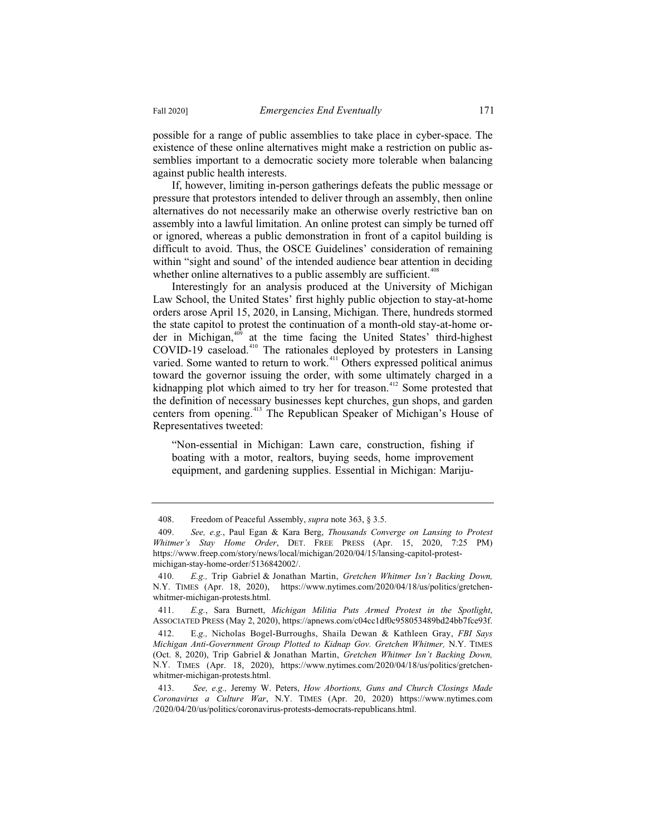possible for a range of public assemblies to take place in cyber-space. The existence of these online alternatives might make a restriction on public assemblies important to a democratic society more tolerable when balancing against public health interests.

If, however, limiting in-person gatherings defeats the public message or pressure that protestors intended to deliver through an assembly, then online alternatives do not necessarily make an otherwise overly restrictive ban on assembly into a lawful limitation. An online protest can simply be turned off or ignored, whereas a public demonstration in front of a capitol building is difficult to avoid. Thus, the OSCE Guidelines' consideration of remaining within "sight and sound' of the intended audience bear attention in deciding whether online alternatives to a public assembly are sufficient.<sup> $408$ </sup>

Interestingly for an analysis produced at the University of Michigan Law School, the United States' first highly public objection to stay-at-home orders arose April 15, 2020, in Lansing, Michigan. There, hundreds stormed the state capitol to protest the continuation of a month-old stay-at-home order in Michigan, $409$  at the time facing the United States' third-highest COVID-19 caseload.<sup>410</sup> The rationales deployed by protesters in Lansing varied. Some wanted to return to work.<sup>411</sup> Others expressed political animus toward the governor issuing the order, with some ultimately charged in a kidnapping plot which aimed to try her for treason.<sup>412</sup> Some protested that the definition of necessary businesses kept churches, gun shops, and garden centers from opening.<sup>413</sup> The Republican Speaker of Michigan's House of Representatives tweeted:

"Non-essential in Michigan: Lawn care, construction, fishing if boating with a motor, realtors, buying seeds, home improvement equipment, and gardening supplies. Essential in Michigan: Mariju-

<sup>408.</sup> Freedom of Peaceful Assembly, *supra* note 363, § 3.5.

<sup>409.</sup> *See, e.g.*, Paul Egan & Kara Berg, *Thousands Converge on Lansing to Protest Whitmer's Stay Home Order*, DET. FREE PRESS (Apr. 15, 2020, 7:25 PM) https://www.freep.com/story/news/local/michigan/2020/04/15/lansing-capitol-protestmichigan-stay-home-order/5136842002/.

<sup>410.</sup> *E.g.,* Trip Gabriel & Jonathan Martin, *Gretchen Whitmer Isn't Backing Down,*  N.Y. TIMES (Apr. 18, 2020), https://www.nytimes.com/2020/04/18/us/politics/gretchenwhitmer-michigan-protests.html.

<sup>411.</sup> *E.g.*, Sara Burnett, *Michigan Militia Puts Armed Protest in the Spotlight*, ASSOCIATED PRESS (May 2, 2020), https://apnews.com/c04cc1df0c958053489bd24bb7fce93f.

<sup>412.</sup> E.*g.,* Nicholas Bogel-Burroughs, Shaila Dewan & Kathleen Gray, *FBI Says Michigan Anti-Government Group Plotted to Kidnap Gov. Gretchen Whitmer,* N.Y. TIMES (Oct. 8, 2020), Trip Gabriel & Jonathan Martin, *Gretchen Whitmer Isn't Backing Down,*  N.Y. TIMES (Apr. 18, 2020), https://www.nytimes.com/2020/04/18/us/politics/gretchenwhitmer-michigan-protests.html.

<sup>413.</sup> *See, e.g.,* Jeremy W. Peters, *How Abortions, Guns and Church Closings Made Coronavirus a Culture War*, N.Y. TIMES (Apr. 20, 2020) https://www.nytimes.com /2020/04/20/us/politics/coronavirus-protests-democrats-republicans.html.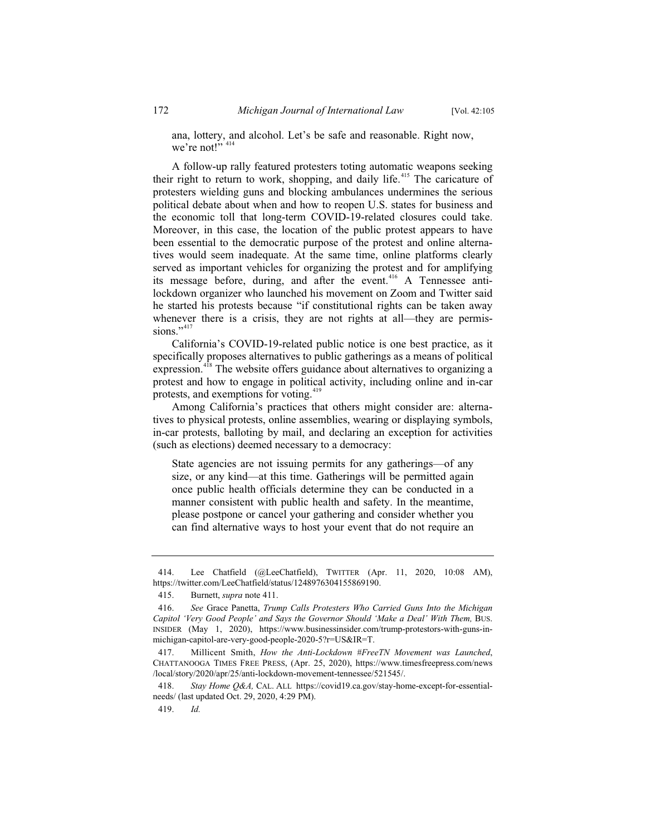ana, lottery, and alcohol. Let's be safe and reasonable. Right now, we're not!" 414

A follow-up rally featured protesters toting automatic weapons seeking their right to return to work, shopping, and daily life.<sup> $415$ </sup> The caricature of protesters wielding guns and blocking ambulances undermines the serious political debate about when and how to reopen U.S. states for business and the economic toll that long-term COVID-19-related closures could take. Moreover, in this case, the location of the public protest appears to have been essential to the democratic purpose of the protest and online alternatives would seem inadequate. At the same time, online platforms clearly served as important vehicles for organizing the protest and for amplifying its message before, during, and after the event.<sup>416</sup> A Tennessee antilockdown organizer who launched his movement on Zoom and Twitter said he started his protests because "if constitutional rights can be taken away whenever there is a crisis, they are not rights at all—they are permissions."<sup>417</sup>

California's COVID-19-related public notice is one best practice, as it specifically proposes alternatives to public gatherings as a means of political expression.<sup>418</sup> The website offers guidance about alternatives to organizing a protest and how to engage in political activity, including online and in-car protests, and exemptions for voting.<sup>419</sup>

Among California's practices that others might consider are: alternatives to physical protests, online assemblies, wearing or displaying symbols, in-car protests, balloting by mail, and declaring an exception for activities (such as elections) deemed necessary to a democracy:

State agencies are not issuing permits for any gatherings—of any size, or any kind—at this time. Gatherings will be permitted again once public health officials determine they can be conducted in a manner consistent with public health and safety. In the meantime, please postpone or cancel your gathering and consider whether you can find alternative ways to host your event that do not require an

418. *Stay Home Q&A,* CAL. ALL https://covid19.ca.gov/stay-home-except-for-essentialneeds/ (last updated Oct. 29, 2020, 4:29 PM).

<sup>414.</sup> Lee Chatfield (@LeeChatfield), TWITTER (Apr. 11, 2020, 10:08 AM), https://twitter.com/LeeChatfield/status/1248976304155869190.

<sup>415.</sup> Burnett, *supra* note 411.

<sup>416.</sup> *See* Grace Panetta, *Trump Calls Protesters Who Carried Guns Into the Michigan Capitol 'Very Good People' and Says the Governor Should 'Make a Deal' With Them,* BUS. INSIDER (May 1, 2020), https://www.businessinsider.com/trump-protestors-with-guns-inmichigan-capitol-are-very-good-people-2020-5?r=US&IR=T.

<sup>417.</sup> Millicent Smith, *How the Anti-Lockdown #FreeTN Movement was Launched*, CHATTANOOGA TIMES FREE PRESS, (Apr. 25, 2020), https://www.timesfreepress.com/news /local/story/2020/apr/25/anti-lockdown-movement-tennessee/521545/.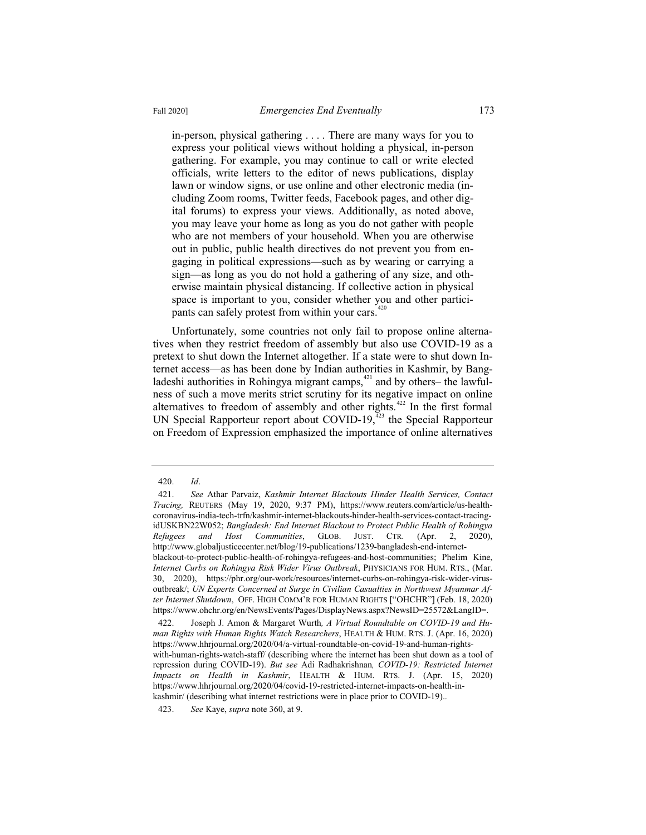in-person, physical gathering . . . . There are many ways for you to express your political views without holding a physical, in-person gathering. For example, you may continue to call or write elected officials, write letters to the editor of news publications, display lawn or window signs, or use online and other electronic media (including Zoom rooms, Twitter feeds, Facebook pages, and other digital forums) to express your views. Additionally, as noted above, you may leave your home as long as you do not gather with people who are not members of your household. When you are otherwise out in public, public health directives do not prevent you from engaging in political expressions—such as by wearing or carrying a sign—as long as you do not hold a gathering of any size, and otherwise maintain physical distancing. If collective action in physical space is important to you, consider whether you and other participants can safely protest from within your cars. $4$ 

Unfortunately, some countries not only fail to propose online alternatives when they restrict freedom of assembly but also use COVID-19 as a pretext to shut down the Internet altogether. If a state were to shut down Internet access—as has been done by Indian authorities in Kashmir, by Bangladeshi authorities in Rohingya migrant camps, $421$  and by others– the lawfulness of such a move merits strict scrutiny for its negative impact on online alternatives to freedom of assembly and other rights.<sup> $422$ </sup> In the first formal UN Special Rapporteur report about COVID-19, $423$  the Special Rapporteur on Freedom of Expression emphasized the importance of online alternatives

<sup>420.</sup> *Id*.

<sup>421.</sup> *See* Athar Parvaiz, *Kashmir Internet Blackouts Hinder Health Services, Contact Tracing,* REUTERS (May 19, 2020, 9:37 PM), https://www.reuters.com/article/us-healthcoronavirus-india-tech-trfn/kashmir-internet-blackouts-hinder-health-services-contact-tracingidUSKBN22W052; *Bangladesh: End Internet Blackout to Protect Public Health of Rohingya Refugees and Host Communities*, GLOB. JUST. CTR. (Apr. 2, 2020), http://www.globaljusticecenter.net/blog/19-publications/1239-bangladesh-end-internetblackout-to-protect-public-health-of-rohingya-refugees-and-host-communities; Phelim Kine, *Internet Curbs on Rohingya Risk Wider Virus Outbreak*, PHYSICIANS FOR HUM. RTS., (Mar. 30, 2020), https://phr.org/our-work/resources/internet-curbs-on-rohingya-risk-wider-virusoutbreak/; *UN Experts Concerned at Surge in Civilian Casualties in Northwest Myanmar After Internet Shutdown*, OFF. HIGH COMM'R FOR HUMAN RIGHTS ["OHCHR"] (Feb. 18, 2020) https://www.ohchr.org/en/NewsEvents/Pages/DisplayNews.aspx?NewsID=25572&LangID=.

<sup>422.</sup> Joseph J. Amon & Margaret Wurth*, A Virtual Roundtable on COVID-19 and Human Rights with Human Rights Watch Researchers*, HEALTH & HUM. RTS. J. (Apr. 16, 2020) https://www.hhrjournal.org/2020/04/a-virtual-roundtable-on-covid-19-and-human-rightswith-human-rights-watch-staff/ (describing where the internet has been shut down as a tool of repression during COVID-19). *But see* Adi Radhakrishnan*, COVID-19: Restricted Internet Impacts on Health in Kashmir*, HEALTH & HUM. RTS. J. (Apr. 15, 2020) https://www.hhrjournal.org/2020/04/covid-19-restricted-internet-impacts-on-health-inkashmir/ (describing what internet restrictions were in place prior to COVID-19)..

<sup>423.</sup> *See* Kaye, *supra* note 360, at 9.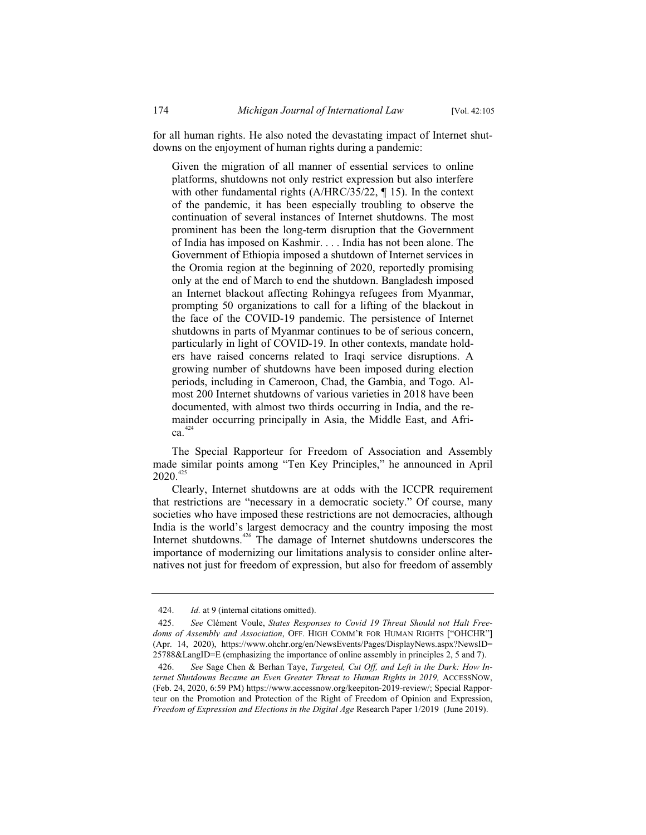for all human rights. He also noted the devastating impact of Internet shutdowns on the enjoyment of human rights during a pandemic:

Given the migration of all manner of essential services to online platforms, shutdowns not only restrict expression but also interfere with other fundamental rights (A/HRC/35/22, ¶ 15). In the context of the pandemic, it has been especially troubling to observe the continuation of several instances of Internet shutdowns. The most prominent has been the long-term disruption that the Government of India has imposed on Kashmir. . . . India has not been alone. The Government of Ethiopia imposed a shutdown of Internet services in the Oromia region at the beginning of 2020, reportedly promising only at the end of March to end the shutdown. Bangladesh imposed an Internet blackout affecting Rohingya refugees from Myanmar, prompting 50 organizations to call for a lifting of the blackout in the face of the COVID-19 pandemic. The persistence of Internet shutdowns in parts of Myanmar continues to be of serious concern, particularly in light of COVID-19. In other contexts, mandate holders have raised concerns related to Iraqi service disruptions. A growing number of shutdowns have been imposed during election periods, including in Cameroon, Chad, the Gambia, and Togo. Almost 200 Internet shutdowns of various varieties in 2018 have been documented, with almost two thirds occurring in India, and the remainder occurring principally in Asia, the Middle East, and Afri $ca^{424}$ 

The Special Rapporteur for Freedom of Association and Assembly made similar points among "Ten Key Principles," he announced in April  $2020.<sup>425</sup>$ 

Clearly, Internet shutdowns are at odds with the ICCPR requirement that restrictions are "necessary in a democratic society." Of course, many societies who have imposed these restrictions are not democracies, although India is the world's largest democracy and the country imposing the most Internet shutdowns.<sup>426</sup> The damage of Internet shutdowns underscores the importance of modernizing our limitations analysis to consider online alternatives not just for freedom of expression, but also for freedom of assembly

<sup>424.</sup> *Id.* at 9 (internal citations omitted).

<sup>425.</sup> *See* Clément Voule, *States Responses to Covid 19 Threat Should not Halt Freedoms of Assembly and Association*, OFF. HIGH COMM'R FOR HUMAN RIGHTS ["OHCHR"] (Apr. 14, 2020), https://www.ohchr.org/en/NewsEvents/Pages/DisplayNews.aspx?NewsID= 25788&LangID=E (emphasizing the importance of online assembly in principles 2, 5 and 7).

<sup>426.</sup> *See* Sage Chen & Berhan Taye, *Targeted, Cut Off, and Left in the Dark: How Internet Shutdowns Became an Even Greater Threat to Human Rights in 2019,* ACCESSNOW, (Feb. 24, 2020, 6:59 PM) https://www.accessnow.org/keepiton-2019-review/; Special Rapporteur on the Promotion and Protection of the Right of Freedom of Opinion and Expression, *Freedom of Expression and Elections in the Digital Age* Research Paper 1/2019 (June 2019).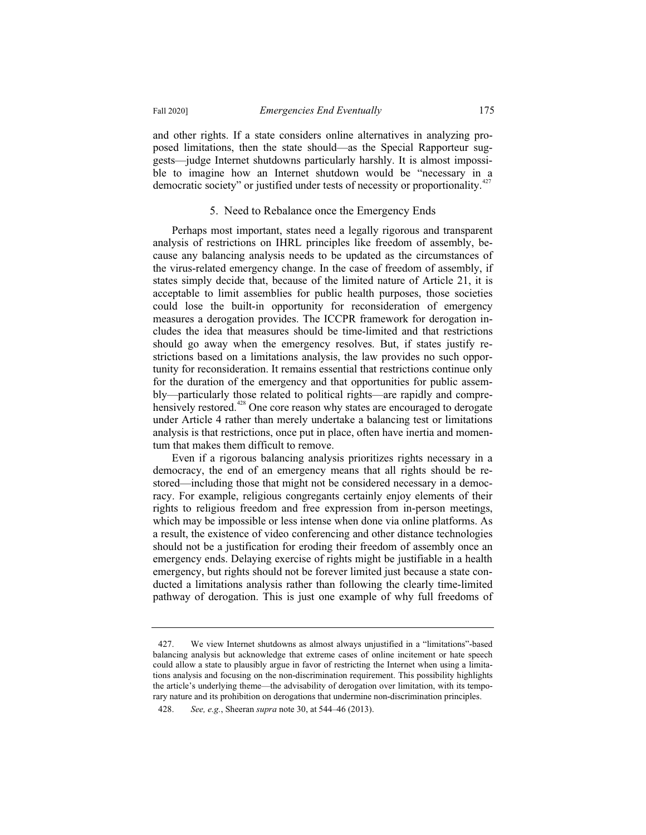and other rights. If a state considers online alternatives in analyzing proposed limitations, then the state should—as the Special Rapporteur suggests—judge Internet shutdowns particularly harshly. It is almost impossible to imagine how an Internet shutdown would be "necessary in a democratic society" or justified under tests of necessity or proportionality.<sup>427</sup>

#### 5. Need to Rebalance once the Emergency Ends

Perhaps most important, states need a legally rigorous and transparent analysis of restrictions on IHRL principles like freedom of assembly, because any balancing analysis needs to be updated as the circumstances of the virus-related emergency change. In the case of freedom of assembly, if states simply decide that, because of the limited nature of Article 21, it is acceptable to limit assemblies for public health purposes, those societies could lose the built-in opportunity for reconsideration of emergency measures a derogation provides. The ICCPR framework for derogation includes the idea that measures should be time-limited and that restrictions should go away when the emergency resolves. But, if states justify restrictions based on a limitations analysis, the law provides no such opportunity for reconsideration. It remains essential that restrictions continue only for the duration of the emergency and that opportunities for public assembly—particularly those related to political rights—are rapidly and comprehensively restored.<sup>428</sup> One core reason why states are encouraged to derogate under Article 4 rather than merely undertake a balancing test or limitations analysis is that restrictions, once put in place, often have inertia and momentum that makes them difficult to remove.

Even if a rigorous balancing analysis prioritizes rights necessary in a democracy, the end of an emergency means that all rights should be restored—including those that might not be considered necessary in a democracy. For example, religious congregants certainly enjoy elements of their rights to religious freedom and free expression from in-person meetings, which may be impossible or less intense when done via online platforms. As a result, the existence of video conferencing and other distance technologies should not be a justification for eroding their freedom of assembly once an emergency ends. Delaying exercise of rights might be justifiable in a health emergency, but rights should not be forever limited just because a state conducted a limitations analysis rather than following the clearly time-limited pathway of derogation. This is just one example of why full freedoms of

<sup>427.</sup> We view Internet shutdowns as almost always unjustified in a "limitations"-based balancing analysis but acknowledge that extreme cases of online incitement or hate speech could allow a state to plausibly argue in favor of restricting the Internet when using a limitations analysis and focusing on the non-discrimination requirement. This possibility highlights the article's underlying theme—the advisability of derogation over limitation, with its temporary nature and its prohibition on derogations that undermine non-discrimination principles.

<sup>428.</sup> *See, e.g.*, Sheeran *supra* note 30, at 544–46 (2013).